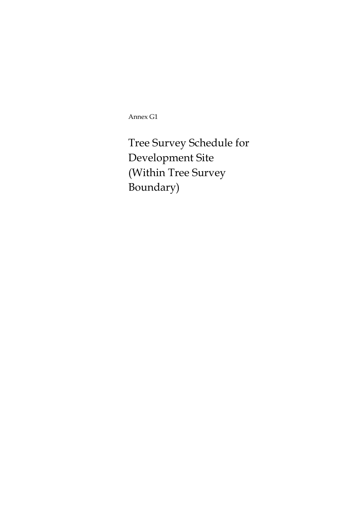Annex G1

Tree Survey Schedule for Development Site (Within Tree Survey Boundary)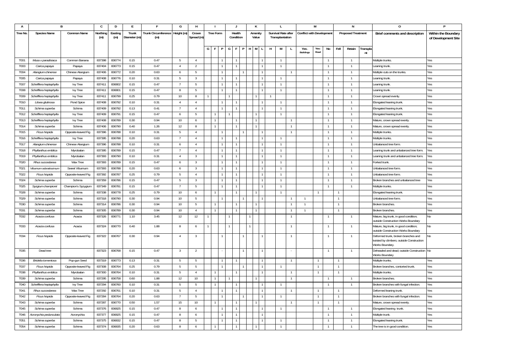| A        |                                  | B                             | C        | D       | E.           |                                  | G              | Н                |                  | $\mathbf{J}$   |   | К         |    | L                   |              |                                  | М            |              |      | N                         |                | 0                                                                               |                     |
|----------|----------------------------------|-------------------------------|----------|---------|--------------|----------------------------------|----------------|------------------|------------------|----------------|---|-----------|----|---------------------|--------------|----------------------------------|--------------|--------------|------|---------------------------|----------------|---------------------------------------------------------------------------------|---------------------|
| Tree No. | <b>Species Name</b>              | Common Name                   | Northing | Easting | Trunk        | Trunk Circumference   Height (m) |                | Crown            | <b>Tree Form</b> | Health         |   | Amenity   |    | Survival Rate after |              | <b>Conflict with Development</b> |              |              |      | <b>Proposed Treatment</b> |                | Brief comments and description                                                  | Within the Boundary |
|          |                                  |                               | (m)      | (m)     | Diameter (m) | (m)                              |                | Spread (m)       |                  | Condition      |   | Value     |    | Transplantation     |              |                                  |              |              |      |                           |                |                                                                                 | of Development Site |
|          |                                  |                               |          |         |              |                                  |                |                  |                  |                |   |           |    |                     |              |                                  |              |              |      |                           |                |                                                                                 |                     |
|          |                                  |                               |          |         |              |                                  |                |                  | G F              | G  <br>F       | P | H M<br>L. | H  | M                   | -L.          | Yes.<br>Buildings                | Yes.<br>Road | No           | Fell | Retain                    | Transpla<br>nt |                                                                                 |                     |
| T001     | Musa x paradisiaca               | Common Banana                 | 837398   | 836774  | 0.15         | 0.47                             | -5             | $\Lambda$        |                  |                |   |           |    |                     |              |                                  |              |              |      |                           |                | Multiple trunks.                                                                | Yes                 |
| T003     | Carica papaya                    | Papaya                        | 837404   | 836773  | 0.15         | 0.47                             | $\Lambda$      | $\overline{2}$   |                  |                |   |           |    |                     |              |                                  |              |              |      | $\overline{1}$            |                | Leaning trunk.                                                                  | Yes                 |
| T004     | Alangium chinense                | Chinese Alangium              | 837406   | 836772  | 0.20         | 0.63                             | 6              | -5               |                  |                |   |           |    |                     |              |                                  |              | $\mathbf{1}$ |      | $\overline{1}$            |                | Multiple cuts on the trunks.                                                    | Yes                 |
| T005     | Carica papaya                    | Papaya                        | 837408   | 836776  | 0.10         | 0.31                             | -5             | 3                |                  |                |   |           |    |                     |              |                                  |              | $\mathbf{1}$ |      | $\overline{1}$            |                | Leaning trunk                                                                   | Yes                 |
| T007     | Schefflera heptaphylla           | lvy Tree                      | 837411   | 836802  | 0.15         | 0.47                             |                | -5               |                  |                |   |           |    | -1                  |              |                                  |              |              |      | $\overline{1}$            |                | Leaning trunk                                                                   | Yes                 |
| T008     | Schefflera heptaphylla           | lvy Tree                      | 837411   | 836801  | 0.15         | 0.47                             | 8              | -5               |                  |                |   |           |    | -1                  |              |                                  |              | -1           |      | $\mathbf{1}$              |                | eaning trunk                                                                    | Yes                 |
| T009     | Schefflera heptaphylla           | lvy Tree                      | 837411   | 836799  | 0.25         | 0.79                             | 10             | 8                |                  |                |   |           | -1 |                     |              |                                  |              | -1           |      | $\mathbf{1}$              |                | Crown spread evenly.                                                            | Yes                 |
| T010     | Litsea glutinosa                 | Pond Spice                    | 837408   | 836792  | 0.10         | 0.31                             | $\overline{4}$ | -4               |                  |                |   |           |    |                     |              |                                  |              |              |      | $\mathbf{1}$              |                | Elongated leaning trunk.                                                        | Yes                 |
| T011     | Schima superba                   | Schima                        | 837409   | 836792  | 0.13         | 0.41                             |                | $\overline{4}$   |                  |                |   |           |    |                     |              |                                  |              |              |      | $\mathbf{1}$              |                | Elongated leaning trunk.                                                        | Yes                 |
| T012     | Schefflera heptaphylla           | lvy Tree                      | 837409   | 836791  | 0.15         | 0.47                             | 6              | -5               |                  |                |   |           |    |                     |              |                                  |              |              |      |                           |                | Elongated leaning trunk.                                                        | Yes                 |
| T013     | Schefflera heptaphylla           | lvy Tree                      | 837408   | 836789  | 0.30         | 0.94                             | 10             | 6                |                  |                |   |           |    |                     |              |                                  |              | $\mathbf{1}$ |      | $\mathbf{1}$              |                | Mature, crown spread evenly.                                                    | Yes                 |
| T014     | Schima superba                   | Schima                        | 837406   | 836790  | 0.40         | 1.26                             | 12             | -8               |                  |                |   |           |    |                     | $\mathbf{1}$ |                                  |              | $\mathbf{1}$ |      | $\overline{1}$            |                | Mature, crown spread evenly.                                                    | Yes                 |
| T015     | Ficus hispida                    | Opposite-leaved Fig           | 837396   | 836788  | 0.10         | 0.31                             | 5              | $\overline{4}$   |                  |                |   |           |    |                     |              |                                  |              |              |      | $\overline{1}$            |                | Multiple trunks.                                                                | Yes                 |
| T016     | Schefflera heptaphylla           | lvy Tree                      | 837395   | 836788  | 0.20         | 0.63                             |                | $\mathbf{A}$     |                  |                |   |           |    |                     |              |                                  |              | 1            |      | $\overline{1}$            |                | Multiple trunks.                                                                | Yes                 |
| T017     | Alangium chinense                | Chinese Alangium              | 837396   | 836788  | 0.10         | 0.31                             | 6              | $\overline{4}$   |                  |                |   |           |    |                     |              |                                  |              |              |      | $\overline{1}$            |                | Jnbalanced tree form.                                                           | Yes                 |
| T018     | Phyllanthus emblica              | Myrobalan                     | 837395   | 836789  | 0.15         | 0.47                             |                | $\overline{4}$   |                  |                |   |           |    |                     |              |                                  |              |              |      | $\overline{1}$            |                |                                                                                 | Yes                 |
| T019     | Phyllanthus emblica              | Myrobalan                     | 837393   | 836790  | 0.10         | 0.31                             |                | $\overline{3}$   |                  |                |   |           |    |                     |              |                                  |              |              |      |                           |                | eaning trunk and unbalanced tree form.<br>eaning trunk and unbalanced tree form | Yes                 |
| T020     | Rhus succedanea                  | Wax Tree                      | 837393   | 836789  | 0.15         | 0.47                             | 6              | $\overline{3}$   |                  | $\overline{1}$ |   |           |    | $\mathbf{1}$        |              |                                  |              | $\mathbf{1}$ |      | $\overline{1}$            |                | Forked trunk                                                                    | Yes                 |
| T021     | Viburnum odoratissimum           | Sweet Viburnum                | 837393   | 836788  | 0.20         | 0.63                             | 6              | 3                |                  |                |   |           |    |                     |              |                                  |              |              |      | $\mathbf{1}$              |                | Unbalanced tree form.                                                           | Yes                 |
| T022     | Ficus hispida                    | Opposite-leaved Fig           | 837392   | 836787  | 0.25         | 0.79                             | -5             | $\overline{4}$   |                  |                |   |           |    | $\overline{1}$      |              |                                  |              |              |      | $\overline{1}$            |                | Unbalanced tree form.                                                           | Yes                 |
| T024     | Schima superba                   | Schima                        | 837359   | 836786  | 0.15         | 0.47                             | -5             | 3                |                  |                |   |           |    |                     |              |                                  |              |              |      | -1                        |                | Broken branches and unbalanced tree                                             | Yes                 |
| T025     |                                  |                               | 837349   | 836781  | 0.15         | 0.47                             | -7             | -5               |                  | $\mathbf{1}$   |   |           |    | $\overline{1}$      |              |                                  |              | 1            |      | $\overline{1}$            |                | Multiple trunks.                                                                | Yes                 |
| T028     | Syzgium championii               | Champion's Syzygium<br>Schima | 837338   | 836778  | 0.25         | 0.79                             | 10             | 6                |                  |                |   |           |    | -1                  |              |                                  |              |              |      |                           |                |                                                                                 | Yes                 |
| T029     | Schima superba<br>Schima superba | Schima                        | 837318   | 836790  | 0.30         | 0.94                             | 10             | -5               |                  |                |   |           |    |                     |              | -1                               |              |              |      |                           |                | Elongated leaning trunk.<br>Unbalanced tree form.                               | Yes                 |
| T030     |                                  | Schima                        | 837314   | 836786  | 0.30         | 0.94                             | 10             | $5\phantom{.0}$  |                  |                |   |           |    |                     | $\mathbf{1}$ | -1                               |              |              |      |                           |                | Broken branches                                                                 | Yes                 |
| T031     | Schima superba<br>Schima superba | Schima                        | 837305   | 836789  | 0.30         | 0.94                             | 10             | $\overline{4}$   |                  |                |   |           |    |                     |              |                                  |              |              |      |                           |                | Broken branches.                                                                | Yes                 |
| T032     | Acacia confusa                   | Acacia                        | 837326   | 836771  | 1.10         | 3.45                             | 12             | 12               |                  |                |   |           |    |                     | $\mathbf{1}$ |                                  |              |              |      | $\overline{1}$            |                |                                                                                 | No                  |
|          |                                  |                               |          |         |              |                                  |                |                  |                  |                |   |           |    |                     |              |                                  |              |              |      |                           |                | Mature, big trunk, in good condition;<br>outside Construction Works Boundary    |                     |
| T033     | Acacia confusa                   | Acacia                        | 837324   | 836770  | 0.40         | 1.88                             | 8              | 6                |                  |                |   |           |    |                     | $\mathbf{1}$ |                                  |              |              |      | $\overline{1}$            |                | Mature, big trunk, in good condition;                                           | No                  |
|          |                                  |                               |          |         |              |                                  |                |                  |                  |                |   |           |    |                     |              |                                  |              |              |      |                           |                | outside Construction Works Boundary                                             |                     |
| T034     | Ficus hispida                    | Opposite-leaved Fig           | 837322   | 836767  | 0.30         | 0.94                             | $\overline{A}$ | $\overline{3}$   |                  |                |   |           |    |                     |              |                                  |              |              |      |                           |                | Deformed trunk, broken branches and                                             | No                  |
|          |                                  |                               |          |         |              |                                  |                |                  |                  |                |   |           |    |                     |              |                                  |              |              |      |                           |                | twisted by climbers; outside Construction<br>Works Boundary.                    |                     |
| T035     | Dead tree                        |                               | 837323   | 836768  | 0.15         | 0.47                             | -3             | $\overline{2}$   |                  |                |   |           |    |                     | $\sim$       |                                  |              |              |      | $\overline{1}$            |                | Deheaded and dead; outside Construction No                                      |                     |
|          |                                  |                               |          |         |              |                                  |                |                  |                  |                |   |           |    |                     |              |                                  |              |              |      |                           |                | Works Boundary                                                                  |                     |
| T036     | Bridelia tomentosa               | Pop-gun Seed                  | 837319   | 836773  | 0.13         | 0.31                             | -5             | -5               |                  |                |   |           |    |                     |              |                                  |              |              |      |                           |                | Multiple trunks.                                                                | Yes                 |
| T037     | Ficus hispida                    | Opposite-leaved Fig           | 837308   | 836764  | 0.25         | 0.79                             | -5             | -5               |                  |                |   |           |    |                     |              |                                  |              |              |      |                           |                | Broken branches, contorted trunk.                                               | Yes                 |
| T038     | Phyllanthus emblica              | Myrobalan                     | 837300   | 836764  | 0.10         | 0.31                             | -5             | $\overline{4}$   |                  |                |   |           |    |                     |              |                                  |              |              |      |                           |                | Multiple trunks.                                                                | Yes                 |
| T039     | Schima superba                   | Schima                        | 837295   | 836758  | 0.60         | 1.88                             | 12             | 10               | $\mathbf{1}$     |                |   |           |    |                     |              |                                  |              |              |      |                           |                | Broken branches                                                                 | Yes                 |
| T040     | Schefflera heptaphylla           | lvy Tree                      | 837294   | 836760  | 0.10         | 0.31                             | 5              | -5               |                  |                |   |           |    | -1                  |              |                                  |              | 1            |      | $\overline{1}$            |                | Broken branches with fungal infection.                                          | Yes                 |
| T041     | Rhus succedanea                  | Wax Tree                      | 837292   | 836761  | 0.10         | 0.31                             | -5             | -4               |                  |                |   |           |    |                     |              |                                  |              |              |      |                           |                | Deformed leaning trunk.                                                         | Yes                 |
| T042     | Ficus hispida                    | Opposite-leaved Fig           | 837284   | 836764  | 0.20         | 0.63                             |                | 5                |                  |                |   |           |    |                     |              |                                  |              |              |      |                           |                | Broken branches with fungal infection.                                          | Yes                 |
| T043     | Schima superba                   | Schima                        | 837287   | 836770  | 0.50         | 1.57                             | 15             | 10 <sup>10</sup> |                  |                |   |           |    |                     |              |                                  |              |              |      |                           |                | Mature, crown spread evenly.                                                    | Yes                 |
| T045     | Schima superba                   | Schima                        | 837376   | 836825  | 0.15         | 0.47                             | 8              | 6                |                  |                |   |           |    |                     |              |                                  |              | -1           |      | $\mathbf{1}$              |                | Elongated leaning trunk.                                                        | Yes                 |
| T046     | Acronychia pedunculata           | Acronychia                    | 83737    | 836825  | 0.15         | 0.47                             | 8              | 6                |                  |                |   |           |    |                     |              |                                  |              |              |      | $\mathbf{1}$              |                | Multiple trunk.                                                                 | Yes                 |
| T051     | Schima superba                   | Schima                        | 837375   | 836832  | 0.15         | 0.47                             | 8              | -5               |                  |                |   |           |    |                     |              |                                  |              |              |      | $\mathbf{1}$              |                | Elongated leaning trunk.                                                        | Yes                 |
| T054     | Schima superba                   | Schima                        | 837374   | 836835  | 0.20         | 0.63                             | 8              | 6                |                  |                |   |           |    |                     |              |                                  |              |              |      | $\overline{1}$            |                | The tree is in good condition.                                                  | Yes                 |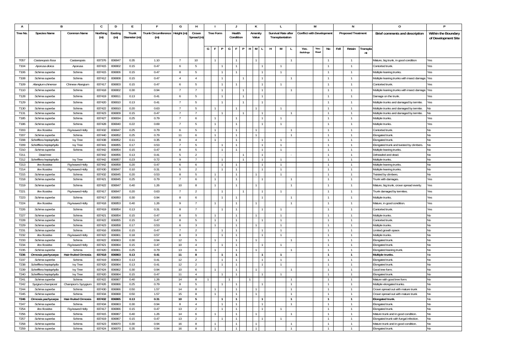| A                |                                      | B                                    | C                | D                | E            |                                | G                    | н                   |                  |              |   |                | к       |              |   |                              |                |                                  | M     |                              |      | N                         |          | 0                                                           |                     |
|------------------|--------------------------------------|--------------------------------------|------------------|------------------|--------------|--------------------------------|----------------------|---------------------|------------------|--------------|---|----------------|---------|--------------|---|------------------------------|----------------|----------------------------------|-------|------------------------------|------|---------------------------|----------|-------------------------------------------------------------|---------------------|
| Tree No.         | <b>Species Name</b>                  | Common Name                          | Northing         | Easting          | Trunk        | Trunk Circumference Height (m) |                      | Crown               | <b>Tree Form</b> |              |   | Health         | Amenity |              |   | Survival Rate after          |                | <b>Conflict with Development</b> |       |                              |      | <b>Proposed Treatment</b> |          | Brief comments and description                              | Within the Boundary |
|                  |                                      |                                      | (m)              | (m)              | Diameter (m) | (m)                            |                      | Spread (m)          |                  |              |   | Condition      | Value   |              |   | Transplantation              |                |                                  |       |                              |      |                           |          |                                                             | of Development Site |
|                  |                                      |                                      |                  |                  |              |                                |                      |                     |                  |              |   |                |         |              |   |                              |                |                                  |       |                              |      |                           |          |                                                             |                     |
|                  |                                      |                                      |                  |                  |              |                                |                      |                     | G F              | P.           | G | IF.            | H M     | L.           | H | M                            | L.             | Yes.                             | Yes - | No                           | Fell | Retain                    | Transpla |                                                             |                     |
|                  |                                      |                                      |                  |                  |              |                                |                      |                     |                  |              |   |                |         |              |   |                              |                | Buildings                        | Road  |                              |      |                           | nt       |                                                             |                     |
| T057             | Castanopsis fissa                    | Castanopsis                          | 837376           | 836847           | 0.35         | 1.10                           |                      | 10                  |                  |              |   | 1              |         |              |   |                              | $\overline{1}$ |                                  |       |                              |      |                           |          | Mature, big trunk, in good condition                        | Yes                 |
| T104             | Aporusa dioica                       | Aporusa                              | 837415           | 836802           | 0.15         | 0.47                           | 6                    | -5                  |                  |              |   | $\overline{1}$ |         |              |   |                              |                |                                  |       | $\mathbf{1}$                 |      | $\overline{1}$            |          | Contorted trunk                                             | Yes                 |
| T106             | Schima superba                       | Schima                               | 837415           | 836806           | 0.15         | 0.47                           | 8                    | -5                  |                  |              |   | $\overline{1}$ |         | 1            |   | -1                           |                |                                  |       | 1                            |      | $\overline{1}$            |          | Multiple leaning trunks.                                    | Yes                 |
| T108             | Schima superba                       | Schima                               | 837412           | 836808           | 0.15         | 0.47                           | $\overline{4}$       | $\frac{4}{3}$       |                  |              |   |                |         |              |   |                              | $\overline{1}$ |                                  |       | 1                            |      | $\overline{1}$            |          | Multiple leaning trunks with insect damage.                 | Yes                 |
| T109             | Alangium chinense                    | Chinese Alangium                     | 837417           | 836803           | 0.15         | 0.47                           | 6                    | -5                  |                  |              |   |                |         |              |   |                              |                |                                  |       |                              |      | -1                        |          | Contorted trunk.                                            | 'es                 |
| T110             | Schima superba                       | Schima                               | 837418           | 836802           | 0.30         | 0.94                           |                      | $\overline{7}$      |                  |              |   |                |         |              |   |                              | $\overline{1}$ |                                  |       | 1                            |      | $\overline{1}$            |          | Multiple leaning trunks with insect damage.                 | Yes                 |
| T128             | Schima superba                       | Schima                               | 837419           | 836811           | 0.13         | 0.41                           | 6                    | -5                  |                  |              |   |                |         |              |   |                              |                |                                  |       |                              |      | $\mathbf{1}$              |          | Damage on the trunk.                                        | es                  |
|                  |                                      |                                      |                  |                  |              |                                |                      |                     |                  |              |   |                |         |              |   |                              |                |                                  |       |                              |      |                           |          |                                                             |                     |
| T129             | Schima superba                       | Schima                               | 837420           | 836810           | 0.13         | 0.41                           |                      | -5                  |                  |              |   |                |         |              |   |                              |                |                                  |       |                              |      |                           |          | Multiple trunks and damaged by termite.                     | Yes                 |
| T130<br>T131     | Schima superba                       | Schima<br>Schima                     | 837422           | 836810           | 0.20         | 0.63<br>0.47                   |                      | -5                  |                  |              |   |                |         |              |   |                              |                |                                  |       | $\mathbf{1}$                 |      |                           |          | Multiple trunks and damaged by termite                      | ٧o                  |
| T185             | Schima superba                       | Schima                               | 837423<br>837427 | 836809<br>836834 | 0.15<br>0.25 | 0.79                           |                      | -7<br>6             |                  |              |   |                |         |              |   |                              |                |                                  |       | 1                            |      |                           |          | Multiple trunks and damaged by termite.<br>Multiple trunks. | ٧o<br>'es           |
|                  | Schima superba                       |                                      |                  |                  |              |                                |                      |                     |                  |              |   |                |         |              |   |                              |                |                                  |       |                              |      |                           |          |                                                             |                     |
| T186             | Schima superba                       | Schima                               | 837428           | 836840           | 0.22         | 0.69                           |                      | 5                   |                  |              |   |                |         |              |   |                              |                |                                  |       |                              |      | $\overline{1}$            |          | Multiple trunks.                                            | Yes                 |
| T203             | llex ficoidea                        | Fig-leaved Holly                     | 837432           | 836847           | 0.25         | 0.79                           | 6                    | - 5                 |                  |              |   | $\overline{1}$ |         |              |   |                              |                |                                  |       | $\mathbf{1}$                 |      | $\overline{1}$            |          | Contorted trunk                                             | No                  |
| T207             | Schima superba                       | Schima                               | 837440           | 836852           | 0.25         | 0.79                           | 11                   | 6                   |                  |              |   | $\mathbf{1}$   |         |              |   |                              |                |                                  |       |                              |      |                           |          | Elongated trunk                                             | No                  |
| T208             | Schefflera heptaphylla               | <b>Ivy Tree</b>                      | 837438           | 836852           | 0.11         | 0.35                           | 8                    | 4                   |                  |              |   | $\mathbf{1}$   |         |              |   |                              |                |                                  |       | $\mathbf{1}$                 |      | $\mathbf{1}$              |          | Elongated trunk                                             | No                  |
| T209             | Schefflera heptaphylla               | lvy Tree                             | 837441           | 836855           | 0.17         | 0.53                           |                      | 5                   |                  |              |   |                |         |              |   |                              |                |                                  |       | $\mathbf{1}$                 |      |                           |          | longated trunk and twisted by climbers.                     | ٧o                  |
| T210             | Schima superba                       | Schima                               | 837442           | 836854           | 0.15         | 0.47                           | 8                    | -5                  |                  |              |   |                |         |              |   |                              |                |                                  |       |                              |      | $\mathbf{1}$              |          | Multiple leaning trunks                                     | J٥                  |
| T211             | Dead tree                            |                                      | 837442           | 836856           | 0.13         | 0.41                           | -5<br>$\mathsf{Q}$   | $\overline{2}$      |                  |              |   |                |         | $\mathbf{1}$ |   |                              |                |                                  |       | $\mathbf{1}$<br>$\mathbf{1}$ |      |                           |          | Deheaded and dead.                                          | No                  |
| T212<br>T213     | Schefflera heptaphylla               | Ivy Tree                             | 837442<br>837442 | 836857<br>836858 | 0.23<br>0.20 | 0.72<br>0.47                   |                      |                     |                  |              |   |                |         |              |   |                              |                |                                  |       | $\overline{1}$               |      |                           |          | Multiple trunks                                             | No                  |
| T214             | llex ficoidea<br>llex ficoidea       | Fig-leaved Holly<br>Fig-leaved Holly | 837430           | 836847           | 0.10         | 0.31                           | 6<br>$5\overline{2}$ | 6<br>$\overline{2}$ |                  |              |   |                |         |              |   | $\mathbf{1}$<br>$\mathbf{1}$ |                |                                  |       | $\mathbf{1}$                 |      | $\overline{1}$            |          | Multiple leaning trunks<br>Multiple leaning trunks          | No<br>No            |
| T <sub>215</sub> | Schima superba                       | Schima                               | 837432           | 836845           | 0.20         | 0.53                           | 8                    | .5                  |                  |              |   |                |         |              |   |                              |                |                                  |       |                              |      |                           |          | wisted by climbers.                                         | J٥                  |
| T218             | Schima superba                       | Schima                               | 837421           | 836845           | 0.25         | 0.79                           |                      | 6                   |                  |              |   | $\overline{1}$ |         |              |   |                              |                |                                  |       |                              |      |                           |          | Trunk with damages                                          | Yes                 |
| T219             | Schima superba                       | Schima                               | 837422           | 836847           | 0.40         | 1.26                           | 10                   | 8                   |                  |              |   |                |         |              |   |                              |                |                                  |       |                              |      |                           |          | Mature, big trunk, crown spread evenly                      | Yes                 |
|                  |                                      |                                      |                  |                  |              |                                |                      |                     |                  |              |   |                |         |              |   |                              |                |                                  |       |                              |      |                           |          |                                                             |                     |
| T221             | llex ficoidea                        | Fig-leaved Holly                     | 837417           | 836847           | 0.20         | 0.63                           |                      | $\overline{2}$      |                  |              |   |                |         |              |   |                              |                |                                  |       | 1                            |      | $\overline{1}$            |          | Trunk damaged by termites.                                  | Yes                 |
| T223             | Schima superba                       | Schima                               | 837417           | 836850           | 0.30         | 0.94                           | 8                    | 6                   |                  |              |   |                |         |              |   |                              |                |                                  |       | 1                            |      | $\overline{1}$            |          | Multiple trunks                                             | Yes                 |
| T224             | llex ficoidea                        | Fig-leaved Holly                     | 837418           | 836853           | 0.40         | 1.26                           | -9                   | -7                  |                  |              |   | $\mathbf{1}$   |         |              |   |                              | $\mathbf{1}$   |                                  |       | -1                           |      | $\mathbf{1}$              |          | Mature, in good condition.                                  | Yes                 |
| T226             | Schima superba                       | Schima                               | 837419           | 836854           | 0.13         | 0.31                           | $\mathbf{R}$         | -7                  |                  |              |   | $\overline{1}$ |         |              |   |                              |                |                                  |       |                              |      | $\mathbf{1}$              |          | Contorted trunk.                                            | Yes                 |
| T227             | Schima superba                       | Schima                               | 837421           | 836854           | 0.15         | 0.47                           |                      | 5                   |                  |              |   |                |         |              |   |                              |                |                                  |       |                              |      |                           |          | Multiple trunks.                                            | ٧o                  |
| T228             | Schima superba                       | Schima                               | 837422           | 836855           | 0.15         | 0.47                           | -8                   | -5                  | $\overline{1}$   |              |   | $\overline{1}$ |         |              |   | $\overline{1}$               |                |                                  |       | $\overline{1}$               |      |                           |          | Contorted trunk                                             | No                  |
| T229             | Schima superba                       | Schima                               | 837423           | 836858           | 0.17         | 0.53                           | 6                    | 3                   |                  |              |   |                |         |              |   |                              |                |                                  |       |                              |      |                           |          | Multiple trunks                                             | No                  |
| T231             | Schima superba                       | Schima                               | 837416           | 836856           | 0.15         | 0.47                           |                      | $\overline{2}$      |                  |              |   |                |         |              |   |                              |                |                                  |       |                              |      |                           |          | imited growth space.                                        | No                  |
| T <sub>232</sub> | llex ficoidea                        | Fig-leaved Holly                     | 837422           | 836861           | 0.18         | 0.57                           | 8                    | 3                   |                  |              |   |                |         |              |   |                              |                |                                  |       | $\mathbf{1}$                 |      |                           |          | Multiple trunks                                             | No                  |
| T233             | Schima superba                       | Schima                               | 837422           | 836863           | 0.30         | 0.94                           | 12<br>10             | 5<br>$\overline{4}$ |                  |              |   | $\overline{1}$ |         |              |   |                              |                |                                  |       | $\overline{1}$               |      | $\overline{1}$            |          | Elongated trunk                                             | ٧o                  |
| T234<br>T235     | llex ficoidea                        | Fig-leaved Holly<br>Schima           | 837421<br>837420 | 836864<br>836861 | 0.15<br>0.25 | 0.47<br>0.79                   | 13                   | 6                   |                  |              |   |                |         |              |   |                              |                |                                  |       |                              |      |                           |          | Elongated trunk                                             | No<br>No            |
| T236             | Schima superba<br>Ormosia pachycarpa | Hair-fruited Ormosia                 | 837418           | 836863           | 0.13         | 0.41                           | 11                   | 8                   |                  |              |   | $\overline{1}$ |         |              |   |                              |                |                                  |       | $\mathbf{1}$                 |      | $\mathbf{1}$              |          | longated leaning trunk.<br>Multiple trunks.                 | No                  |
| T <sub>237</sub> | Schima superba                       | Schima                               | 837419           | 836863           | 0.13         | 0.41                           | 12                   | $\overline{2}$      |                  |              |   |                |         |              |   |                              |                |                                  |       | $\mathbf{1}$                 |      |                           |          | longated trunk                                              | ٧o                  |
| T238             | Schefflera heptaphylla               | Ivy Tree                             | 837420           | 836864           | 0.13         | 0.41                           | 12                   | $\overline{2}$      |                  |              |   |                |         |              |   |                              |                |                                  |       |                              |      |                           |          | Elongated trunk                                             | No                  |
| T239             | Schefflera heptaphylla               | lvy Tree                             | 837424           | 836862           | 0.30         | 0.94                           | 10                   | 6                   |                  |              |   | $\overline{1}$ |         |              |   |                              |                |                                  |       | $\mathbf{1}$                 |      |                           |          | Good tree form                                              | No                  |
| T240             | Schefflera heptaphylla               | lvy Tree                             | 837420           | 836864           | 0.15         | 0.47                           | 11                   | $\Lambda$           |                  |              |   | $\mathbf{1}$   |         |              |   |                              |                |                                  |       | $\mathbf{1}$                 |      | $\overline{1}$            |          | Elongated trunk                                             | No                  |
| T241             | Schima superba                       | Schima                               | 837422           | 836867           | 0.40         | 1.26                           | 14                   | 8                   |                  |              |   |                |         |              |   |                              |                |                                  |       |                              |      |                           |          | Mature with good tree form.                                 | No                  |
| T242             | Syzgium championii                   | Champion's Syzygium                  | 837426           | 836866           | 0.25         | 0.79                           | $\boldsymbol{8}$     | 5                   |                  |              |   |                |         |              |   |                              |                |                                  |       | $\mathbf{1}$                 |      |                           |          | Multiple elongated trunks                                   | No                  |
| T244             | Schima superba                       | Schima                               | 837430           | 836866           | 0.50         | 1.57                           | 14                   | 8                   |                  |              |   |                |         |              |   |                              |                |                                  |       |                              |      |                           |          | Crown spread out with mature trunk                          | ٧o                  |
| T245             | Schima superba                       | Schima                               | 837434           | 836868           | 0.50         | 1.57                           | 15                   | 8                   |                  |              |   | $\overline{1}$ |         |              |   |                              | $\overline{1}$ |                                  |       | $\mathbf{1}$                 |      |                           |          | Crown spread out with mature trunk                          | No                  |
| T246             | Ormosia pachycarpa                   | Hair-fruited Ormosia                 | 837432           | 836865           | 0.13         | 0.31                           | 10                   | -5                  |                  | $\mathbf{1}$ |   | $\overline{1}$ |         |              |   |                              | $\mathbf{1}$   |                                  |       | $\mathbf{1}$                 |      | $\overline{1}$            |          | <b>Elongated trunk</b>                                      | No                  |
| T247             | Schima superba                       | Schima                               | 837434           | 836863           | 0.30         | 0.94                           | 8                    | $\overline{4}$      |                  |              |   |                |         |              |   |                              |                |                                  |       |                              |      |                           |          | Elongated trunk                                             | No                  |
| T254             | llex ficoidea                        | Fig-leaved Holly                     | 837417           | 836866           | 0.15         | 0.47                           | 13                   | $\overline{2}$      |                  |              |   | $\mathbf{1}$   |         |              |   |                              |                |                                  |       | $\mathbf{1}$                 |      | $\mathbf{1}$              |          | Elongated trunk                                             | No                  |
| T256             | Schima superba                       | Schima                               | 837415           | 836867           | 0.40         | 1.26                           | 14                   | 6                   |                  |              |   |                |         |              |   |                              |                |                                  |       |                              |      |                           |          | Mature trunk and in good condition.                         | ٧o                  |
| T <sub>257</sub> | Schima superba                       | Schima                               | 837419           | 836867           | 0.15         | 0.47                           | 13                   | $\overline{2}$      |                  |              |   | $\overline{1}$ |         |              |   |                              |                |                                  |       | 1                            |      |                           |          | Elongated trunk with fungal infection.                      | No                  |
| T258             | Schima superba                       | Schima                               | 837423           | 836870           | 0.30         | 0.94                           | 16                   | 8                   |                  |              |   |                |         |              |   |                              |                |                                  |       |                              |      |                           |          | Mature trunk and in good condition.                         | No                  |
| T259             | Schima superba                       | Schima                               | 837424           | 836870           | 0.35         | 0.94                           | 16                   | 8                   |                  |              |   |                |         |              |   |                              |                |                                  |       |                              |      |                           |          | Elongated trunk                                             | ٧o                  |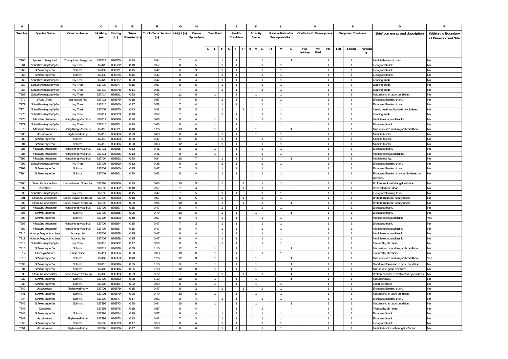| A                |                        | B                      | C        | D       | E            |                     | G               | н               |                  |     |                |     | к       |   | L                   |              |                                  | M     |                |      | N                         |          |                                          |                     |
|------------------|------------------------|------------------------|----------|---------|--------------|---------------------|-----------------|-----------------|------------------|-----|----------------|-----|---------|---|---------------------|--------------|----------------------------------|-------|----------------|------|---------------------------|----------|------------------------------------------|---------------------|
| Tree No.         | Species Name           | Common Name            | Northing | Easting | Trunk        | Trunk Circumference | Height (m)      | Crown           | <b>Tree Form</b> |     | Health         |     | Amenity |   | Survival Rate after |              | <b>Conflict with Development</b> |       |                |      | <b>Proposed Treatment</b> |          | Brief comments and description           | Within the Boundary |
|                  |                        |                        | (m)      | (m)     | Diameter (m) | (m)                 |                 | Spread (m)      |                  |     | Condition      |     | Value   |   | Transplantation     |              |                                  |       |                |      |                           |          |                                          | of Development Site |
|                  |                        |                        |          |         |              |                     |                 |                 |                  |     |                |     |         |   |                     |              |                                  |       |                |      |                           |          |                                          |                     |
|                  |                        |                        |          |         |              |                     |                 |                 | G   F            | - P | GF             | PHM |         | H | M                   | L.           | Yes.                             | Yes - | No             | Fell | Retain                    | Transpla |                                          |                     |
|                  |                        |                        |          |         |              |                     |                 |                 |                  |     |                |     |         |   |                     |              | Buildings                        | Road  |                |      |                           | nt       |                                          |                     |
|                  |                        |                        |          |         |              |                     |                 |                 |                  |     |                |     |         |   |                     |              |                                  |       |                |      |                           |          |                                          |                     |
| T260             | Syzgium championii     | Champion's Syzygium    | 837429   | 836870  | 0.30         | 0.94                |                 | $\overline{4}$  |                  |     | $\overline{1}$ |     |         |   |                     |              |                                  |       | $\overline{1}$ |      |                           |          | Multiple leaning trunks.                 | No                  |
| T <sub>261</sub> | Schefflera heptaphylla | <b>Ivy Tree</b>        | 837428   | 836872  | 0.18         | 0.57                | -8              | -5              |                  |     | $\overline{1}$ |     |         |   | $\overline{1}$      |              |                                  |       | $\overline{1}$ |      | $\overline{1}$            |          | Elongated trunk                          | No                  |
| T263             | Schima superba         | Schima                 | 837437   | 836871  | 0.15         | 0.47                | 6               | 3               |                  |     | $\overline{1}$ |     |         |   | -1                  |              |                                  |       | $\overline{1}$ |      | -1                        |          | Elongated trunl                          | No                  |
| T <sub>265</sub> | Schima superba         | Schima                 | 837432   | 836876  | 0.15         | 0.47                | $\mathbf{R}$    | 3               |                  |     |                |     |         |   | $\mathbf{1}$        |              |                                  |       | $\mathbf{1}$   |      | $\overline{1}$            |          | Elongated trunk                          | No                  |
| T266             | Schefflera heptaphylla | Ivy Tree               | 837428   | 836877  | 0.20         | 0.47                |                 | $\overline{4}$  |                  |     |                |     |         |   |                     |              |                                  |       | 1              |      |                           |          | eaning trunk.                            | N٥                  |
| T267             | Schefflera heptaphylla | lvy Tree               | 837420   | 836877  | 0.15         | 0.57                | -8              | -5              |                  |     | $\overline{1}$ |     |         |   | $\overline{1}$      |              |                                  |       | $\overline{1}$ |      | $\mathbf{1}$              |          | eaning trunk.                            | No                  |
| T268             | Schefflera heptaphylla | lvy Tree               | 837419   | 836878  | 0.11         | 0.35                |                 |                 |                  |     |                |     |         |   |                     |              |                                  |       | $\mathbf{1}$   |      |                           |          | eaning trunk.                            | No                  |
| T269             | Schefflera heptaphylla | lvy Tree               | 837414   | 836881  | 0.20         | 0.63                | 11              | 6               |                  |     | $\mathbf{1}$   |     |         |   | $\mathbf{1}$        |              |                                  |       | $\overline{1}$ |      | -1.                       |          | Mature and in good condition.            | No                  |
| T270             | <b>Ficus virens</b>    | Big-leaved Fig         | 83741    | 836879  | 0.18         | 0.57                |                 | -5              |                  |     |                |     |         |   | -1                  |              |                                  |       | $\mathbf{1}$   |      | $\mathbf{1}$              |          | Elongated leaning trunk                  | No                  |
| T271             | Schefflera heptaphylla | lvy Tree               | 837415   | 836880  | 0.17         | 0.53                |                 | $\overline{4}$  |                  |     |                |     |         |   |                     |              |                                  |       | $\mathbf{1}$   |      |                           |          | Elongated leaning trunk.                 | No                  |
| T274             | Schefflera heptaphylla | lvy Tree               | 83740    | 836870  | 0.13         | 0.41                | -5              | $\overline{3}$  |                  |     |                |     |         |   | $\overline{1}$      |              |                                  |       | $\overline{1}$ |      | $\overline{1}$            |          | Nearly dead and twisted by climbers      | No                  |
| T275             | Schefflera heptaphylla | lvy Tree               | 837411   | 836873  | 0.18         | 0.57                |                 | $\overline{4}$  |                  |     |                |     |         |   |                     |              |                                  |       | $\mathbf{1}$   |      |                           |          | eaning trunk.                            | No                  |
| T276             | Machilus chinensis     | Hong Kong Machilus     | 837411   | 836868  | 0.20         | 0.63                | -8              | 4               |                  |     | $\mathbf{1}$   |     |         |   | $\overline{1}$      |              |                                  |       | $\overline{1}$ |      | $\overline{1}$            |          | Multiple elongated trunks.               | No                  |
| T277             | Schefflera heptaphylla | lvy Tree               | 837415   | 836871  | 0.20         | 0.63                | 8               | $\Delta$        |                  |     |                |     |         |   |                     |              |                                  |       | $\mathbf{1}$   |      |                           |          | Elongated trunk                          | No                  |
| T279             | Machilus chinensis     | Hong Kong Machilus     | 837418   | 836871  | 0.40         | 1.26                | 13              | $\mathbf{R}$    |                  |     |                |     |         |   |                     |              |                                  |       | $\mathbf{1}$   |      |                           |          | Mature in size and in good condition.    | N٥                  |
| T280             | llex ficoidea          | Fig-leaved Holly       | 83741    | 836869  | 0.20         | 0.63                | -8              | 6               |                  |     | $\mathbf{1}$   |     |         |   |                     |              |                                  |       | $\overline{1}$ |      | $\mathbf{1}$              |          | Multiple trunks.                         | No                  |
| T283             | Schima superba         | Schima                 | 837413   | 836863  | 0.20         | 0.47                | 11              | 6               |                  |     | $\overline{1}$ |     |         |   |                     |              |                                  |       | 1              |      |                           |          | Multiple trunks.                         | No                  |
| T284             | Schima superba         | Schima                 | 837412   | 836866  | 0.20         | 0.63                | 12              | $\overline{4}$  |                  |     | $\mathbf{1}$   |     |         |   | -1                  |              |                                  |       | $\mathbf{1}$   |      | $\mathbf{1}$              |          | Multiple trunks                          | No                  |
| T285             | Machilus chinensis     | Hong Kong Machilus     | 83741    | 836865  | 0.13         | 0.41                | 8               | $\overline{2}$  |                  |     |                |     |         |   |                     |              |                                  |       | 1              |      |                           |          | Elongated trunk                          | No                  |
| T286             | Machilus chinensis     | Hong Kong Machilus     | 837411   | 836866  | 0.13         | 0.41                |                 | $\mathcal{L}$   |                  |     |                |     |         |   |                     |              |                                  |       | $\mathbf{1}$   |      |                           |          | Multiple elongated trunks.               | No                  |
| T290             | Machilus chinensis     | Hong Kong Machilus     | 837404   | 836862  | 0.30         | 0.94                | 10              | $\overline{7}$  |                  |     | $\mathbf{1}$   |     |         |   |                     |              |                                  |       | $\overline{1}$ |      |                           |          | Multiple trunks                          | No                  |
| T292             | Schefflera heptaphylla | lvy Tree               | 837403   | 836860  | 0.12         | 0.38                | 6               | $\mathcal{L}$   |                  |     | $\overline{1}$ |     |         |   |                     |              |                                  |       | 1              |      |                           |          | Elongated leaning trunk.                 | No                  |
| T293             | Schima superba         | Schima                 | 837402   | 836860  | 0.15         | 0.47                |                 | $\overline{3}$  |                  |     | $\mathbf{1}$   |     |         |   | $\overline{1}$      |              |                                  |       | $\overline{1}$ |      | $\overline{1}$            |          | Elongated leaning trunk                  | No                  |
| T294             | Schima superba         | Schima                 | 83740    | 836861  | 0.20         | 0.63                | 8               | $\overline{4}$  |                  |     |                |     |         |   |                     |              |                                  |       | $\mathbf{1}$   |      | $\overline{1}$            |          | Elongated leaning trunk and twisted by   | No                  |
|                  |                        |                        |          |         |              |                     |                 |                 |                  |     |                |     |         |   |                     |              |                                  |       |                |      |                           |          | :limbers.                                |                     |
| T296             | Sterculia lanceolata   | Lance-leaved Sterculia | 837399   | 836866  | 0.20         | 0.63                | 10              | -5              |                  |     |                |     |         |   | $\overline{1}$      |              |                                  |       | $\overline{1}$ |      | $\overline{1}$            |          | Broken trunk with fungal infection.      | No                  |
| T <sub>297</sub> | Dead tree              |                        | 83739    | 836862  | 0.18         | 0.57                |                 | $\overline{4}$  |                  |     |                |     |         |   |                     |              |                                  |       | $\overline{1}$ |      |                           |          | Deheaded and dead                        | No                  |
| T299             | Schefflera heptaphylla | lvy Tree               | 837395   | 836866  | 0.15         | 0.47                |                 | -5              |                  |     |                |     |         |   |                     |              |                                  |       | $\overline{1}$ |      | $\mathbf{1}$              |          | Elongated leaning trunk                  | No                  |
| T301             | Sterculia lanceolata   | Lance-leaved Sterculia | 837392   | 836863  | 0.18         | 0.57                | $\mathbf{R}$    | -5              |                  |     |                |     |         |   |                     |              |                                  |       | $\mathbf{1}$   |      | $\mathbf{1}$              |          | Broken trunk and nearly dead             | No                  |
| T302             | Sterculia lanceolata   | Lance-leaved Sterculia | 837393   | 836859  | 0.30         | 0.94                | 10 <sup>°</sup> | 6               |                  |     |                |     |         |   |                     |              |                                  |       | $\mathbf{1}$   |      |                           |          | Broken trunk and nearly dead.            | No                  |
| T305             | Machilus chinensis     | Hong Kong Machilus     | 837403   | 836857  | 0.15         | 0.47                | $\mathbf{Q}$    | $\overline{a}$  |                  |     |                |     |         |   |                     |              |                                  |       | $\overline{1}$ |      | $\mathbf{1}$              |          | Elongated trunk                          | No                  |
| T306             | Schima superba         | Schima                 | 837402   | 836855  | 0.25         | 0.79                | 10              | 6               |                  |     | $\overline{1}$ |     |         |   |                     |              |                                  |       | 1              |      |                           |          | <b>Elongated trunk</b>                   | No                  |
| T307             | Schima superba         | Schima                 | 837405   | 836853  | 0.18         | 0.57                | 8               | 4               |                  |     | $\overline{1}$ |     |         |   |                     |              |                                  |       | $\overline{1}$ |      | $\mathbf{1}$              |          | Multiple elongated trunk.                | Yes                 |
|                  |                        |                        |          |         |              |                     |                 |                 |                  |     |                |     |         |   |                     |              |                                  |       |                |      |                           |          |                                          |                     |
| T308             | Machilus chinensis     | Hong Kong Machilus     | 837406   | 836854  | 0.15         | 0.47                |                 | 3               |                  |     |                |     |         |   |                     |              |                                  |       | 1              |      | $\mathbf{1}$              |          | Elongated trunk                          | No                  |
| T309             | Machilus chinensis     | Hong Kong Machilus     | 837408   | 836857  | 0.15         | 0.47                |                 | $\mathbf{A}$    |                  |     |                |     |         |   |                     |              |                                  |       |                |      |                           |          | Multiple elongated trunk.                | No                  |
| T310             | Acronychia pedunculata | Acronychia             | 837408   | 836858  | 0.15         | 0.47                | 8               | $\varLambda$    |                  |     |                |     |         |   |                     |              |                                  |       | $\mathbf{1}$   |      |                           |          | Multiple elongated trunk.                | No                  |
| T311             | Acronychia pedunculata | Acronychia             | 837409   | 836858  | 0.15         | 0.47                | 6               | $\overline{4}$  |                  |     | $\overline{1}$ |     |         |   | $\overline{1}$      |              |                                  |       | $\overline{1}$ |      | $\overline{1}$            |          | Multiple elongated trunk                 | No                  |
| T313             | Schefflera heptaphylla | lvy Tree               | 837410   | 836862  | 0.17         | 0.53                |                 | -5              |                  |     | $\overline{1}$ |     |         |   |                     |              |                                  |       | $\overline{1}$ |      | $\mathbf{1}$              |          | wisted by climbers.                      | No                  |
| T315             | Schima superba         | Schima                 | 837413   | 836858  | 0.35         | 1.10                | 12              | -7              |                  |     | $\mathbf{1}$   |     |         |   |                     |              |                                  |       | $\overline{1}$ |      | -1                        |          | Mature in size and in good condition.    | No                  |
| T317             | Litsea glutinosa       | Pond Spice             | 83741    | 836854  | 0.20         | 0.63                | 10              | 6               |                  |     |                |     |         |   |                     |              |                                  |       | $\mathbf{1}$   |      |                           |          | wisted by climbers                       | No                  |
| T318             | Schima superba         | Schima                 | 837409   | 836853  | 0.40         | 1.26                | 12              | 8               |                  |     |                |     |         |   |                     |              |                                  |       | -1             |      |                           |          | Mature in size and in good condition.    | Yes                 |
| T333             | Schima superba         | Schima                 | 83741    | 836886  | 0.35         | 1.10                | 9               |                 |                  |     |                |     |         |   |                     |              |                                  |       | $\mathbf{1}$   |      |                           |          | Good tree form and in good condition.    | No                  |
| T334             | Schima superba         | Schima                 | 837409   | 836886  | 0.35         | 1.10                | 12              | 8               | -1               |     | $\overline{1}$ |     |         |   |                     | $\mathbf{1}$ |                                  |       | $\overline{1}$ |      | -1                        |          | Mature and good tree form                | No                  |
| T335             | Sterculia lanceolata   | Lance-leaved Sterculia | 837408   | 836883  | 0.23         | 0.72                |                 | 6               |                  |     |                |     |         |   |                     | $\mathbf{1}$ |                                  |       | $\overline{1}$ |      | $\overline{1}$            |          | Broken branches and twisted by climbers. | No                  |
| T337             | Schima superba         | Schima                 | 837403   | 836883  | 0.38         | 1.19                | 10              | 6               |                  |     |                |     |         |   |                     |              |                                  |       | -1             |      |                           |          | Mature in size                           | No                  |
| T338             | Schima superba         | Schima                 | 837402   | 836881  | 0.22         | 0.69                | $\mathbf{8}$    | $5\overline{2}$ |                  |     |                |     |         |   |                     |              |                                  |       | $\mathbf{1}$   |      |                           |          | Good condition                           | No                  |
| T340             | llex ficoidea          | Fig-leaved Holly       | 837401   | 836879  | 0.15         | 0.47                | 8               | 2               |                  |     |                |     |         |   |                     |              |                                  |       | $\mathbf{1}$   |      |                           |          | Elongated leaning trunk.                 | No                  |
| T341             | Schima superba         | Schima                 | 83740    | 836879  | 0.25         | 0.79                | 10              | -5              |                  |     | $\overline{1}$ |     |         |   |                     |              |                                  |       | $\overline{1}$ |      | $\mathbf{1}$              |          | Mature and in good condition             | <b>No</b>           |
| T344             | Schima superba         | Schima                 | 837399   | 836877  | 0.17         | 0.53                | $\mathsf{o}$    | $\mathfrak{a}$  |                  |     | $\overline{1}$ |     |         |   |                     |              |                                  |       | $\overline{1}$ |      | $\mathbf{1}$              |          | Elongated leaning trunk                  | No                  |
| T346             | Schima superba         | Schima                 | 837399   | 836873  | 0.30         | 0.94                | 10              | 8               |                  |     |                |     |         |   |                     |              |                                  |       | $\mathbf{1}$   |      |                           |          | Mature and in good condition             | No                  |
| T347             | Dead tree              |                        | 837396   | 836876  | 0.18         | 0.57                |                 | $\overline{a}$  |                  |     |                |     |         |   |                     |              |                                  |       | $\mathbf{1}$   |      |                           |          | wisted by climbers                       | No                  |
| T348             | Schima superba         | Schima                 | 837394   | 836874  | 0.18         | 0.57                |                 | $\mathfrak{a}$  |                  |     |                |     |         |   |                     |              |                                  |       | 1              |      |                           |          | <b>Elongated trunk</b>                   | No                  |
| T349             | llex ficoidea          | Fig-leaved Holly       | 837393   | 836873  | 0.13         | 0.41                |                 | 3               |                  |     | $\overline{1}$ |     |         |   |                     |              |                                  |       | $\overline{1}$ |      |                           |          | Elongated trunk                          | No                  |
| T350             | Schima superba         | Schima                 | 837393   | 836873  | 0.17         | 0.53                |                 | $\overline{4}$  |                  |     | $\overline{1}$ |     |         |   |                     |              |                                  |       | $\mathbf{1}$   |      |                           |          | longated trunk                           | No                  |
| T351             |                        |                        | 837392   | 836876  | 0.17         | 0.53                |                 |                 |                  |     |                |     |         |   |                     |              |                                  |       | $\mathbf{1}$   |      |                           |          |                                          |                     |
|                  | llex ficoidea          | Fig-leaved Holly       |          |         |              |                     |                 | 6               |                  |     |                |     |         |   |                     |              |                                  |       |                |      |                           |          | Multiple trunks with fungal infection.   | No                  |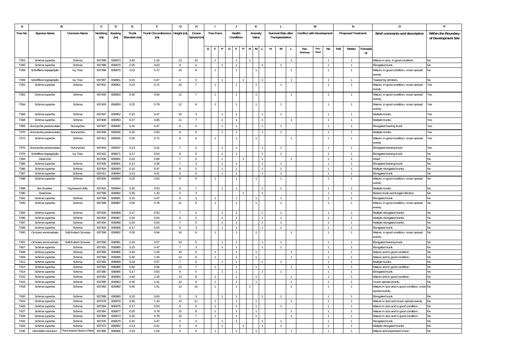| A            |                                  | B                        | C                | D                | E            |                                | G                | Н                       |                  |              |                |                |   | ĸ       |              |                     | L              |                |                                  | M     |              |      | N                         |          | 0                                                      |                     |
|--------------|----------------------------------|--------------------------|------------------|------------------|--------------|--------------------------------|------------------|-------------------------|------------------|--------------|----------------|----------------|---|---------|--------------|---------------------|----------------|----------------|----------------------------------|-------|--------------|------|---------------------------|----------|--------------------------------------------------------|---------------------|
| Tree No.     | <b>Species Name</b>              | Common Name              | Northing         | Easting          | Trunk        | Trunk Circumference Height (m) |                  | Crown                   | <b>Tree Form</b> |              | Health         |                |   | Amenity |              | Survival Rate after |                |                | <b>Conflict with Development</b> |       |              |      | <b>Proposed Treatment</b> |          | Brief comments and description                         | Within the Boundary |
|              |                                  |                          | (m)              | (m)              | Diameter (m) | (m)                            |                  | Spread (m)              |                  |              | Condition      |                |   | Value   |              | Transplantation     |                |                |                                  |       |              |      |                           |          |                                                        | of Development Site |
|              |                                  |                          |                  |                  |              |                                |                  |                         |                  |              |                |                |   |         |              |                     |                |                |                                  |       |              |      |                           |          |                                                        |                     |
|              |                                  |                          |                  |                  |              |                                |                  |                         | G F              | P            | G<br>- F       | <b>D</b>       | н | M       | $\mathbf{L}$ | H                   | M              | L.             | Yes.                             | Yes - | No           | Fell | Retain                    | Transpla |                                                        |                     |
|              |                                  |                          |                  |                  |              |                                |                  |                         |                  |              |                |                |   |         |              |                     |                |                | Buildings                        | Road  |              |      |                           | nt       |                                                        |                     |
| T353         | Schima superba                   | Schima                   | 837388           | 836873           | 0.40         | 1.26                           | 13               | 10                      |                  |              |                |                |   |         |              |                     |                |                |                                  |       |              |      |                           |          | Mature in size, in good condition                      | No                  |
| T355         | Schima superba                   | Schima                   | 837389           | 836870           | 0.20         | 0.63                           |                  | $\overline{4}$          |                  |              |                |                |   |         |              |                     |                |                |                                  |       |              |      |                           |          | Iongated trunk                                         | No                  |
| T358         | Schefflera heptaphylla           | lvy Tree                 | 837396           | 836870           | 0.23         | 0.72                           | 10               | 8                       |                  |              |                |                |   |         |              |                     |                |                |                                  |       |              |      |                           |          | Mature, in good condition, crown spread                | ٧o                  |
|              |                                  |                          |                  |                  |              |                                |                  |                         |                  |              |                |                |   |         |              |                     |                |                |                                  |       |              |      |                           |          | evenly.                                                |                     |
| T359         | Schefflera heptaphylla           | lvy Tree                 | 837387           | 836861           | 0.15         | 0.47                           | $\overline{4}$   | $\overline{3}$          |                  |              |                |                |   |         |              |                     |                |                |                                  |       | $\mathbf{1}$ |      |                           |          | wisted by climbers.                                    | No                  |
| T361         | Schima superba                   | Schima                   | 837401           | 836851           | 0.23         | 0.72                           | 10 <sup>10</sup> | 7                       | $\overline{1}$   |              |                |                |   |         |              |                     | -1.            |                |                                  |       |              |      | -1                        |          | Mature, in good condition, crown spread                | 'es                 |
|              |                                  |                          |                  |                  |              |                                |                  |                         |                  |              |                |                |   |         |              |                     |                |                |                                  |       |              |      |                           |          | evenlv                                                 |                     |
| T362         | Schima superba                   | Schima                   | 837400           | 836850           | 0.30         | 0.94                           | 11               |                         | $\overline{1}$   |              |                | $\mathbf{1}$   |   |         |              |                     |                | $\mathbf{1}$   |                                  |       |              |      | $\overline{1}$            |          | Mature, in good condition, crown spread                | Yes                 |
|              |                                  |                          |                  |                  |              |                                |                  |                         |                  |              |                |                |   |         |              |                     |                |                |                                  |       |              |      | $\overline{1}$            |          | evenlv.                                                |                     |
| T364         | Schima superba                   | Schima                   | 837403           | 836850           | 0.25         | 0.79                           | 12               | 8                       |                  |              |                |                |   |         |              |                     | $\overline{1}$ |                |                                  |       |              |      |                           |          | Mature, in good condition, crown spread<br>venly.      | Yes                 |
| T366         | Schima superba                   | Schima                   | 837407           | 836852           | 0.15         | 0.47                           | 10               | $\overline{\mathbf{3}}$ |                  | 1            | $\mathbf{1}$   |                |   |         |              |                     | -1             |                |                                  |       | 1            |      | $\overline{1}$            |          | Multiple trunks.                                       | Yes                 |
|              |                                  |                          |                  |                  | 0.27         | 0.85                           |                  |                         |                  | $\mathbf{1}$ | $\overline{1}$ |                |   |         |              |                     |                | $\mathbf{1}$   |                                  |       |              |      |                           |          |                                                        |                     |
| T368         | Schima superba                   | Schima                   | 837408           | 836850           |              |                                | 11               | $\overline{1}$          |                  |              |                |                |   |         |              |                     |                |                |                                  |       | $\mathbf{1}$ |      | $\overline{1}$            |          | Multiple trunks.                                       | Yes                 |
| T369         | Acronychia pedunculata           | Acronychia               | 837407           | 836845           | 0.15         | 0.47                           | 6                | $\overline{4}$          |                  |              |                |                |   |         |              |                     | -1.            |                |                                  |       |              |      | $\mathbf{1}$              |          | Elongated leaning trunk.                               | 'es                 |
| T370         | Acronychia pedunculata           | Acronychia               | 837408           | 836846           | 0.20         | 0.63                           | 8                | 6                       |                  |              | $\mathbf{1}$   |                |   |         |              |                     | $\overline{1}$ |                |                                  |       | 1            |      | $\overline{1}$            |          | Multiple trunks.                                       | Yes                 |
| T372         | Schima superba                   | Schima                   | 837412           | 836845           | 0.25         | 0.72                           | 8                | 6                       |                  |              |                |                |   |         |              |                     |                |                |                                  |       |              |      |                           |          | Mature, in good condition, crown spread                | Yes                 |
|              |                                  |                          |                  |                  |              |                                |                  |                         |                  |              |                |                |   |         |              |                     |                |                |                                  |       |              |      |                           |          | :venly.                                                |                     |
| T375         | Acronychia pedunculat            | Acronychia               | 837403           | 836847           | 0.13         | 0.41                           |                  | $\overline{2}$          |                  | $\mathbf{1}$ |                |                |   |         |              |                     | $\overline{1}$ |                |                                  |       |              |      | $\overline{1}$            |          | Elongated leaning trunk.                               | Yes                 |
| T376         | Schefflera heptaphylla           | lvy Tree                 | 837422           | 836871           | 0.17         | 0.53                           | 8                | 5                       |                  |              |                |                |   |         |              |                     |                |                |                                  |       |              |      | $\overline{1}$            |          | Elongated leaning trunk.                               | No                  |
| T384         | Dead tree                        |                          | 837408           | 836891           | 0.22         | 0.69                           |                  | 5                       |                  | $\mathbf{1}$ |                |                |   |         |              |                     |                |                |                                  |       |              |      |                           |          | ead.                                                   | ٧o                  |
| T385         | Schima superba                   | Schima                   | 837405           | 836891           | 0.12         | 0.38                           |                  | $\overline{3}$          |                  | 1            |                |                |   |         |              |                     |                |                |                                  |       | $\mathbf{1}$ |      | $\overline{1}$            |          | Iongated leaning trunk.                                | No                  |
| T386         | Schima superba                   | Schima                   | 837404           | 836893           | 0.15         | 0.47                           | 8                | 5                       |                  | $\mathbf{1}$ |                |                |   |         |              |                     | $\overline{1}$ |                |                                  |       | $\mathbf{1}$ |      | $\overline{1}$            |          | Multiple elongated trunks.                             | No                  |
| T387         | Schima superba                   | Schima                   | 837411           | 836894           | 0.13         | 0.41                           | 6                | $\overline{4}$          |                  |              | $\mathbf{1}$   | 1              |   |         |              |                     | -1             |                |                                  |       | -1           |      |                           |          | Elongated trunk.                                       | N٥                  |
| T388         | Schima superba                   | Schima                   | 837400           | 836892           | 0.20         | 0.63                           | 6                | $\overline{4}$          |                  |              |                |                |   |         |              |                     | $\mathbf{1}$   |                |                                  |       |              |      | $\overline{1}$            |          | Mature, in good condition, crown spread                | No                  |
| T389         |                                  | Fig-leaved Holly         | 837401           | 836894           | 0.20         | 0.53                           | 9                | -7                      |                  |              |                |                |   |         |              |                     | -1.            |                |                                  |       | 1            |      |                           |          | venly.                                                 |                     |
| T390         | llex ficoidea<br>Dead tree       |                          | 837399           | 836892           | 0.35         | 1.10                           | 5                | $\overline{3}$          |                  |              |                |                |   |         |              |                     |                |                |                                  |       |              |      | $\overline{1}$            |          | Multiple trunks.<br>Broken trunk and fungal infection. | No<br>No            |
| T391         | Schima superba                   | Schima                   | 837399           | 836891           | 0.15         | 0.47                           | 6                | 3                       |                  |              | $\overline{1}$ |                |   |         |              |                     |                |                |                                  |       | $\mathbf{1}$ |      | $\overline{1}$            |          | Elongated trunk.                                       | ٧o                  |
| T393         | Schima superba                   | Schima                   | 837398           | 836887           | 0.30         | 0.79                           | 11               | 8                       |                  |              | $\overline{1}$ |                |   |         |              |                     | $\overline{1}$ |                |                                  |       | $\mathbf{1}$ |      | $\overline{1}$            |          | Mature, in good condition, crown spread                | ٧o                  |
|              |                                  |                          |                  |                  |              |                                |                  |                         |                  |              |                |                |   |         |              |                     |                |                |                                  |       |              |      |                           |          | evenly.                                                |                     |
| T394         | Schima superba                   | Schima                   | 837400           | 836889           | 0.17         | 0.53                           |                  | $\overline{4}$          |                  |              |                |                |   |         |              |                     |                |                |                                  |       | $\mathbf{1}$ |      |                           |          | Multiple elongated trunks.                             | ٧o                  |
| T396         | Schima superba                   | Schima                   | 837402           | 836887           | 0.20         | 0.63                           | 9                | $\sim$                  |                  | $\mathbf{1}$ |                | $\mathbf{1}$   |   |         | $\mathbf{1}$ |                     | $\overline{1}$ |                |                                  |       | $\mathbf{1}$ |      | $\overline{1}$            |          | Multiple elongated trunks.                             | No                  |
| T397         | Schima superba                   | Schima                   | 837404           | 836888           | 0.20         | 0.63                           | $\overline{7}$   | - 5                     |                  | $\mathbf{1}$ | $\overline{1}$ |                |   |         | $\mathbf{1}$ |                     | $\mathbf{1}$   |                |                                  |       | $\mathbf{1}$ |      | $\overline{1}$            |          | Multiple elongated trunks.                             | No                  |
| T398         | Schima superba                   | Schima                   | 837403           | 836886           | 0.17         | 0.53                           | -6               | 3                       |                  |              |                | $\mathbf{1}$   |   |         |              |                     | $\mathbf{1}$   |                |                                  |       | -1           |      |                           |          | Elongated trunk.                                       | No                  |
| T400         | Ormosia semicastrata             | Soft-fruited Ormosia     | 837396           | 836882           | 0.30         | 0.94                           | 10               | 8                       |                  |              |                |                |   |         |              |                     |                |                |                                  |       |              |      |                           |          | Mature, in good condition, crown spread                | ٧o                  |
|              |                                  |                          |                  |                  |              |                                |                  |                         |                  |              |                |                |   |         |              |                     |                |                |                                  |       |              |      |                           |          | venly.                                                 |                     |
| T401         | Ormosia semicastrata             | Soft-fruited Ormosia     | 837396           | 836881           | 0.18         | 0.57                           | 10               | -5                      |                  |              |                |                |   |         |              |                     | $\mathbf{1}$   |                |                                  |       |              |      |                           |          | Elongated leaning trunk.                               | No                  |
| T407         | Schima superba                   | Schima                   | 837391           | 836885           | 0.15         | 0.47                           |                  | $\overline{3}$          |                  |              |                |                |   |         |              |                     |                |                |                                  |       | $\mathbf{1}$ |      | $\overline{1}$            |          | Elongated trunk                                        | No                  |
| T408<br>T409 | Schima superba                   | Schima<br>Schima         | 837389<br>837389 | 836885<br>836888 | 0.40<br>0.40 | 1.26<br>1.26                   | 10<br>13         | 6<br>6                  | $\overline{1}$   |              | $\overline{1}$ | $\overline{1}$ |   |         |              |                     |                | $\mathbf{1}$   |                                  |       | $\mathbf{1}$ |      | $\overline{1}$            |          | Mature and in good condition                           | No<br>No            |
| T411         | Schima superba<br>Schima superba | Schima                   | 837383           | 836889           | 0.18         | 0.57                           | $\overline{7}$   | 6                       |                  | $\mathbf{1}$ | $\overline{1}$ |                |   |         |              |                     | $\mathbf{1}$   |                |                                  |       | $\mathbf{1}$ |      | $\overline{1}$            |          | Mature and in good condition<br>Multiple trunks.       | No                  |
| T413         | Schima superba                   | Schima                   | 837381           | 836886           | 0.30         | 0.94                           | 12               | 7                       |                  |              | $\mathbf{1}$   |                |   |         |              |                     |                |                |                                  |       | -1           |      |                           |          | Mature and in good condition.                          | No                  |
| T414         | Schima superba                   | Schima                   | 837380           | 836885           | 0.17         | 0.53                           | $\mathbf{8}$     | -5                      |                  |              |                |                |   |         |              |                     |                |                |                                  |       |              |      |                           |          | Elongated trunk                                        | N٥                  |
| T415         | Schima superba                   | Schima                   | 83738            | 836884           | 0.40         | 1.26                           | 13               | 8                       |                  |              | $\overline{1}$ |                |   |         |              |                     |                |                |                                  |       |              |      |                           |          | Mature and in good condition.                          | No                  |
| T416         | Schima superba                   | Schima                   | 837385           | 836883           | 0.45         | 1.41                           | 13               | 9                       | $\overline{1}$   |              | $\overline{1}$ |                |   |         |              |                     |                |                |                                  |       | 1            |      |                           |          | rown spread evenly                                     | No                  |
| T418         | Schima superba                   | Schima                   | 837383           | 836880           | 0.45         | 1.41                           | 14               | 10                      |                  |              |                |                |   |         |              |                     |                |                |                                  |       |              |      | $\overline{1}$            |          | Mature in size and in good condition, crown No         |                     |
|              |                                  |                          |                  |                  |              |                                |                  |                         |                  |              |                |                |   |         |              |                     |                |                |                                  |       |              |      |                           |          | spread evenly                                          |                     |
| T420         | Schima superba                   | Schima                   | 837389           | 836880           | 0.20         | 0.63                           | - 5              | $\overline{3}$          |                  | $\mathbf{1}$ |                | $\mathbf{1}$   |   |         |              |                     | $\overline{1}$ |                |                                  |       | $\mathbf{1}$ |      | $\overline{1}$            |          | <b>Elongated trunk</b>                                 | No                  |
| T424         | Schima superba                   | Schima                   | 837378           | 836878           | 0.35         | 1.10                           | 12               | 11                      | $\overline{1}$   |              |                | $\mathbf{1}$   |   |         |              |                     |                | $\overline{1}$ |                                  |       | $\mathbf{1}$ |      | $\overline{1}$            |          | Mature in size and crown spread evenly                 | No                  |
| T426         | Schima superba                   | Schima                   | 837384           | 836876           | 0.17         | 0.53                           | $\mathsf{Q}$     | 6                       |                  |              | $\overline{1}$ |                |   |         |              |                     |                |                |                                  |       | -1           |      | $\mathbf{1}$              |          | Mature in size and in good condition.                  | No                  |
| T427         | Schima superba                   | Schima                   | 837384           | 836877           | 0.25         | 0.79                           | 15               | 8                       |                  |              |                |                |   |         |              |                     |                |                |                                  |       | $\mathbf{1}$ |      | $\overline{1}$            |          | Mature in size and in good condition.                  | No                  |
| T428         | Schima superba                   | Schima                   | 837385           | 836873           | 0.25         | 0.79                           | 10               |                         |                  |              | $\overline{1}$ |                |   |         |              |                     |                |                |                                  |       |              |      |                           |          | Mature in size and in good condition.                  | No                  |
| T432         | Schima superba                   | Schima                   | 837376           | 836879           | 0.15         | 0.47                           | 5                | $\overline{4}$          |                  |              |                |                |   |         |              |                     |                |                |                                  |       | $\mathbf{1}$ |      | $\overline{1}$            |          | Elongated trunk                                        | No                  |
| T433         | Schima superba                   | Schima                   | 83737            | 836882           | 0.13         | 0.41                           | 6                | $\overline{4}$          |                  |              |                |                |   |         |              |                     |                |                |                                  |       |              |      |                           |          | Multiple elongated trunks.                             | No                  |
| T435         | Glochidion hirsutum              | Thick-leaved Abacus Plan | 837385           | 836866           | 0.33         | 1.04                           | 6                | 6                       |                  |              |                |                |   |         |              |                     |                |                |                                  |       |              |      |                           |          | Mature and expressed crown                             | No                  |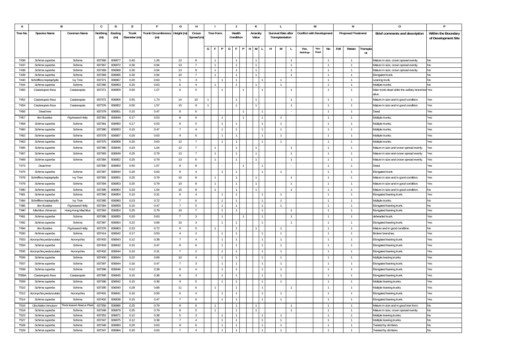| A              |                                     | B                        | C                | D                | E.           |                                | G              | H                   |                  |              | $\mathbf{J}$   |              | К       |   |                     | Τ.             |                |                                  | M             |              |      | N                         |          | 0                                                                  |                     |
|----------------|-------------------------------------|--------------------------|------------------|------------------|--------------|--------------------------------|----------------|---------------------|------------------|--------------|----------------|--------------|---------|---|---------------------|----------------|----------------|----------------------------------|---------------|--------------|------|---------------------------|----------|--------------------------------------------------------------------|---------------------|
| <b>Tree No</b> | <b>Species Name</b>                 | <b>Common Name</b>       | Northing         | Easting          | Trunk        | Trunk Circumference Height (m) |                | Crown               | <b>Tree Form</b> |              | Health         |              | Amenity |   | Survival Rate after |                |                | <b>Conflict with Development</b> |               |              |      | <b>Proposed Treatment</b> |          | Brief comments and description                                     | Within the Boundary |
|                |                                     |                          | (m)              | (m)              | Diameter (m) | (m)                            |                | Spread (m)          |                  |              | Condition      |              | Value   |   | Transplantation     |                |                |                                  |               |              |      |                           |          |                                                                    | of Development Site |
|                |                                     |                          |                  |                  |              |                                |                |                     |                  |              |                |              |         |   |                     |                |                |                                  |               |              |      |                           |          |                                                                    |                     |
|                |                                     |                          |                  |                  |              |                                |                |                     | GF               | P G          | -F             | H            | M       |   | H                   | M              | L              | Yes.                             | Yes -<br>Road | No           | Fell | Retain                    | Transpla |                                                                    |                     |
|                |                                     |                          |                  |                  |              |                                |                |                     |                  |              |                |              |         |   |                     |                |                | <b>Buildings</b>                 |               |              |      |                           | nt       |                                                                    |                     |
| T436           | Schima superba                      | Schima                   | 837366           | 836877           | 0.40         | 1.26                           | 12             | 8                   | $\overline{1}$   |              | $\overline{1}$ |              |         |   |                     |                | $\overline{1}$ |                                  |               |              |      |                           |          | Mature in size, crown spread evenly                                | No                  |
| T437           | Schima superba                      | Schima                   | 837367           | 836872           | 0.30         | 0.94                           | 13             |                     | $\overline{1}$   |              | $\overline{1}$ |              |         |   |                     |                | $\overline{1}$ |                                  |               | $\mathbf{1}$ |      |                           |          | Mature in size, crown spread evenly                                | No                  |
| T438           | Schima superba                      | Schima                   | 837369           | 836868           | 0.30         | 0.94                           | 13             | 8                   |                  |              | $\overline{1}$ |              |         |   |                     |                | -1.            |                                  |               | 1            |      | $\mathbf{1}$              |          | Mature in size, crown spread evenly                                | No                  |
| T439           | Schima superba                      | Schima                   | 837369           | 836865           | 0.30         | 0.94                           | 10             | $\overline{7}$      |                  |              |                |              |         |   |                     |                |                |                                  |               |              |      |                           |          | Iongated trunk                                                     | Nο                  |
| T440           | Schefflera heptaphylla              | Ivy Tree                 | 837371           | 836867           | 0.20         | 0.63                           | 5              | 3                   | $\overline{1}$   |              |                |              |         |   |                     |                |                |                                  |               |              |      |                           |          | eaning trunk                                                       | ٧o                  |
| T444<br>T450   | Schima superba<br>Castanopsis fissa | Schima<br>Castanopsis    | 837366<br>837371 | 836863<br>836859 | 0.20<br>0.50 | 0.63<br>1.57                   | 6<br>6         | $\overline{4}$<br>5 |                  |              | $\overline{1}$ |              |         |   |                     | $\overline{1}$ |                |                                  |               | $\mathbf{1}$ |      | $\overline{1}$<br>-1      |          | Multiple trunks<br>Main trunk dead while the axillary branches Yes | No                  |
|                |                                     |                          |                  |                  |              |                                |                |                     |                  |              |                |              |         |   |                     |                |                |                                  |               |              |      |                           |          | alive                                                              |                     |
| T452           | Castanopsis fissa                   | Castanopsis              | 837372           | 836856           | 0.55         | 1.73                           | 14             | 10 <sup>10</sup>    |                  |              |                |              |         |   |                     |                |                |                                  |               |              |      |                           |          | Mature in size and in good condition                               | Yes                 |
| T454           | Castanopsis fissa                   | Castanopsis              | 837376           | 836852           | 0.50         | 1.57                           | 15             | - 9                 |                  |              |                |              |         |   |                     |                |                |                                  |               |              |      | $\overline{1}$            |          | Mature in size and in good condition.                              | Yes                 |
| T456           | Dead tree                           |                          | 837379           | 836851           | 0.15         | 0.47                           | -8             | 6                   |                  |              |                |              |         |   |                     |                |                |                                  |               |              |      | $\overline{1}$            |          | Dead                                                               | Yes                 |
| T457           | llex ficoidea                       | Fig-leaved Holly         | 837381           | 836849           | 0.17         | 0.53                           | -8             | 6                   |                  | 1            |                | $\mathbf{1}$ |         |   |                     | -1             |                |                                  |               | 1            |      | $\overline{1}$            |          | Multiple trunks.                                                   | Yes                 |
| T458           |                                     |                          |                  |                  | 0.17         | 0.53                           | 8              |                     |                  |              |                |              |         |   |                     |                |                |                                  |               |              |      | -1                        |          |                                                                    |                     |
|                | Schima superba                      | Schima                   | 837381           | 836850           |              |                                |                | 5                   |                  |              |                |              |         |   |                     |                |                |                                  |               | -1           |      |                           |          | Multiple trunks.                                                   | Yes                 |
| T460           | Schima superba                      | Schima                   | 837380           | 836853           | 0.15         | 0.47                           |                | $\overline{4}$      |                  |              |                |              |         |   |                     |                |                |                                  |               |              |      | $\overline{1}$            |          | Multiple trunks.                                                   | 'es                 |
| T462           | Schima superba                      | Schima                   | 837376           | 836857           | 0.20         | 0.63                           |                | 6                   |                  |              |                |              |         |   |                     |                |                |                                  |               |              |      |                           |          | Multiple trunks.                                                   | 'es                 |
| T463           | Schima superba                      | Schima                   | 83737            | 836858           | 0.20         | 0.63                           | 12             |                     |                  |              |                |              |         |   |                     |                |                |                                  |               |              |      | $\overline{1}$            |          | Multiple trunks.                                                   | Yes                 |
| T465           | Schima superba                      | Schima                   | 837380           | 836846           | 0.33         | 1.04                           | 12             |                     |                  |              |                |              |         |   |                     |                |                |                                  |               |              |      |                           |          | Mature in size and crown spread evenly                             | Yes                 |
| T467           | Schima superba                      | Schima                   | 83738            | 836849           | 0.25         | 0.79                           | 13             |                     |                  |              |                |              |         |   |                     |                |                |                                  |               |              |      | $\overline{1}$            |          | Mature in size and crown spread evenly                             | Yes                 |
| T469           | Schima superba                      | Schima                   | 83738            | 836852           | 0.25         | 0.79                           | 13             | 6                   |                  |              |                |              |         |   |                     |                |                |                                  |               |              |      |                           |          | Mature in size and crown spread evenly                             | 'es                 |
| T473           | Dead tree                           |                          | 837390           | 836850           | 0.50         | 1.57                           | 8              | 8                   |                  |              |                |              |         |   |                     |                |                |                                  |               |              |      | $\overline{1}$            |          | Dead.                                                              | 'es                 |
| T475           | Schima superba                      | Schima                   | 83738            | 836844           | 0.20         | 0.63                           | 8              | $\overline{4}$      |                  |              |                |              |         |   |                     | $\overline{1}$ |                |                                  |               |              |      | $\overline{1}$            |          | Elongated trunk.                                                   | Yes                 |
| T478           | Schefflera heptaphylla              | lvy Tree                 | 837392           | 836851           | 0.25         | 0.79                           | 10             | 8                   |                  |              | $\overline{1}$ |              |         |   |                     |                |                |                                  |               | $\mathbf{1}$ |      | $\overline{1}$            |          | Mature in size and in good condition                               | Yes                 |
| T479           | Schima superba                      | Schima                   | 837394           | 836853           | 0.25         | 0.79                           | 10             | 8                   | $\mathbf{1}$     |              | $\overline{1}$ |              |         |   |                     |                | $\overline{1}$ |                                  |               | -1           |      | $\overline{1}$            |          | Mature in size and in good condition.                              | Yes                 |
| T480           | Schima superba                      | Schima                   | 837395           | 836854           | 0.33         | 1.04                           | 15             | 8                   |                  |              |                |              |         |   |                     |                |                |                                  |               |              |      |                           |          | Mature in size and in good condition.                              | No                  |
| T481           | Schima superba                      | Schima                   | 837390           | 836854           | 0.10         | 0.31                           | 6              | $\overline{4}$      |                  |              |                |              |         |   |                     |                |                |                                  |               | $\mathbf{1}$ |      | $\mathbf{1}$              |          | Elongated leaning trunk                                            | Yes                 |
| T484           | Schefflera heptaphylla              | Ivy Tree                 | 837385           | 836860           | 0.23         | 0.72                           |                | 6                   |                  | $\mathbf{1}$ | $\overline{1}$ |              |         |   |                     | $\overline{1}$ |                |                                  |               | $\mathbf{1}$ |      | $\overline{1}$            |          | Multiple trunks                                                    | No                  |
| T485           | llex ficoidea                       | Fig-leaved Holly         | 837384           | 836859           | 0.15         | 0.47                           |                | -5                  |                  | $\mathbf{1}$ | $\mathbf{1}$   |              |         | 1 |                     |                |                |                                  |               | $\mathbf{1}$ |      |                           |          | Elongated leaning trunk.                                           | No                  |
| T490           | Machilus chinensis                  | Hong Kong Machilus       | 837384           | 836854           | 0.25         | 0.79                           | 10             | $\overline{7}$      |                  | $\mathbf{1}$ | $\overline{1}$ |              |         |   |                     |                | $\mathbf{1}$   |                                  |               | $\mathbf{1}$ |      | $\overline{1}$            |          | Elongated leaning trunk                                            | Yes                 |
| T491           | Schima superba                      | Schima                   | 837386           | 836855           | 0.20         | 0.63                           | -7             | 3                   |                  | -1.          |                |              |         |   |                     |                | -1.            |                                  |               | -1           |      | $\overline{1}$            |          | deheaded trunk                                                     | Yes                 |
| T492           | Schima superba                      | Schima                   | 837387           | 836854           | 0.22         | 0.69                           | 10             | $\overline{3}$      |                  |              |                |              |         |   |                     |                |                |                                  |               |              |      |                           |          | Elongated leaning trunk.                                           | Yes                 |
| T494           | llex ficoidea                       | Fig-leaved Holly         | 837376           | 836863           | 0.23         | 0.72                           | 9              | -5                  |                  |              | $\mathbf{1}$   |              |         |   |                     |                |                |                                  |               |              |      |                           |          | Mature and in good condition                                       | J٥                  |
| T500           | Schima superba                      | Schima                   | 837414           | 836842           | 0.17         | 0.53                           | $\overline{4}$ | $\overline{2}$      |                  | $\mathbf{1}$ | $\mathbf{1}$   |              |         |   |                     | $\mathbf{1}$   |                |                                  |               | $\mathbf{1}$ |      |                           |          | Broken branches                                                    | Yes                 |
| T503           | Acronychia pedunculata              | Acronychia               | 837403           | 836843           | 0.12         | 0.38                           |                | $\frac{4}{3}$       |                  |              |                |              |         |   |                     |                |                |                                  |               | 1            |      | $\mathbf{1}$              |          | Elongated leaning trunk                                            | Yes                 |
| T504           |                                     |                          | 837403           | 836842           | 0.15         | 0.47                           | 8              | 6                   |                  | 1            |                |              |         |   |                     | -1             |                |                                  |               | 1            |      | $\overline{1}$            |          |                                                                    | Yes                 |
| T505           | Schima superba                      | Schima                   | 837402           | 836844           | 0.10         | 0.31                           |                |                     |                  |              |                |              |         |   |                     |                |                |                                  |               |              |      | л.                        |          | Elongated leaning trunk                                            |                     |
|                | Acronychia pedunculata              | Acronychia               |                  |                  |              |                                |                | $\overline{2}$      |                  |              |                |              |         |   |                     |                |                |                                  |               |              |      |                           |          | Elongated leaning trunk                                            | Yes                 |
| T506           | Schima superba                      | Schima                   | 837400           | 836844           | 0.22         | 0.69                           | 10             | $\overline{4}$      |                  |              |                |              |         |   |                     | $\overline{1}$ |                |                                  |               | -1           |      | $\overline{1}$            |          | Multiple leaning trunks.                                           | Yes                 |
| T507           | Schima superba                      | Schima                   | 837397           | 836844           | 0.16         | 0.47                           |                | 3                   |                  |              |                |              |         |   |                     |                |                |                                  |               |              |      | $\mathbf{1}$              |          | Elongated leaning trunk.                                           | Yes                 |
| T508           | Schima superba                      | Schima                   | 837396           | 836846           | 0.12         | 0.38                           | 8              | $\overline{4}$      |                  |              |                |              |         |   |                     |                |                |                                  |               |              |      | $\overline{1}$            |          | Elongated leaning trunk.                                           | Yes                 |
| T508A          | Castanopsis fissa                   | Castanopsis              | 837395           | 836845           | 0.15         | 0.38                           | 9              | $\overline{3}$      |                  |              |                |              |         |   |                     | $\overline{1}$ |                |                                  |               |              |      | $\overline{1}$            |          | Elongated leaning trunk.                                           | Yes                 |
| T509           | Schima superba                      | Schima                   | 837396           | 836842           | 0.15         | 0.38                           | $\overline{9}$ | 5                   |                  |              |                |              |         |   |                     |                |                |                                  |               |              |      | $\mathbf{1}$              |          | Multiple leaning trunks                                            | Yes                 |
| T510           | Schima superba                      | Schima                   | 837395           | 836840           | 0.28         | 0.88                           | 11             | 6                   |                  |              |                |              |         |   |                     |                |                |                                  |               |              |      |                           |          | Multiple leaning trunks                                            | 'es                 |
| T512           | Acronychia pedunculata              | Acronychia               | 837401           | 836841           | 0.16         | 0.50                           | -6             | $\overline{4}$      |                  |              |                |              |         |   |                     |                |                |                                  |               |              |      | $\overline{1}$            |          | Elongated leaning trunk                                            | Yes                 |
| T514           | Schima superba                      | Schima                   | 837402           | 836838           | 0.15         | 0.47                           |                | 6                   |                  |              |                |              |         |   |                     | $\overline{1}$ |                |                                  |               | $\mathbf{1}$ |      | $\overline{1}$            |          | Elongated leaning trunk.                                           | Yes                 |
| T516           | <b>Glochidion hirsutum</b>          | Thick-leaved Abacus Plan | 837356           | 836886           | 0.25         | 0.79                           | 8              | 6                   |                  |              | $\mathbf{1}$   |              |         |   |                     |                |                |                                  |               | -1           |      | $\overline{1}$            |          | Mature in size and in good tree form.                              | No                  |
| T519           | Schima superba                      | Schima                   | 837348           | 836879           | 0.25         | 0.79                           | $\mathbf{q}$   | 5                   | $\mathbf{1}$     |              | $\overline{1}$ |              |         |   |                     |                | $\mathbf{1}$   |                                  |               | $\mathbf{1}$ |      | $\mathbf{1}$              |          | Mature in size, crown spread evenly.                               | No                  |
| T523           | Schima superba                      | Schima                   | 837352           | 836871           | 0.12         | 0.38                           | 5              | -3                  |                  |              |                |              |         |   |                     |                |                |                                  |               |              |      |                           |          | Multiple leaning trunks.                                           | No                  |
| T527           | Schima superba                      | Schima                   | 837347           | 836875           | 0.12         | 0.38                           |                | $\overline{4}$      |                  | $\mathbf{1}$ | $\overline{1}$ |              |         |   |                     | $\overline{1}$ |                |                                  |               |              |      |                           |          | Multiple leaning trunks                                            | No                  |
| T528           | Schima superba                      | Schima                   | 837346           | 836883           | 0.20         | 0.63                           | 9              | 6                   |                  | $\mathbf{1}$ |                |              |         |   |                     |                |                |                                  |               |              |      |                           |          | Twisted by climbers                                                | No                  |
| T529           | Schima superba                      | Schima                   | 837347           | 836884           | 0.20         | 0.63                           |                | $\overline{4}$      |                  | 1            | $\overline{1}$ |              |         |   |                     |                |                |                                  |               | -1           |      |                           |          | Twisted by climbers                                                | No                  |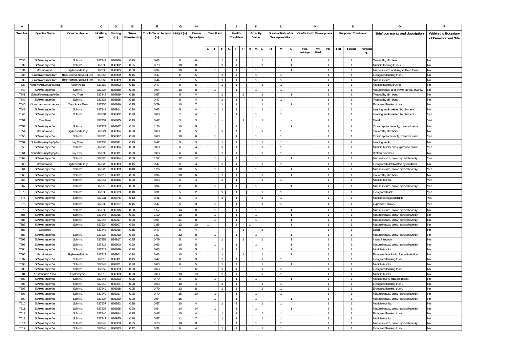| A                |                            | B                        | C        | D       | E.           |                                | G               | H              |     |                |   | $\cdot$        | К               |   | L                   |                |                                  | M     |                |      | N                         |          | 0                                              |                     |
|------------------|----------------------------|--------------------------|----------|---------|--------------|--------------------------------|-----------------|----------------|-----|----------------|---|----------------|-----------------|---|---------------------|----------------|----------------------------------|-------|----------------|------|---------------------------|----------|------------------------------------------------|---------------------|
| <b>Tree No</b>   | <b>Species Name</b>        | <b>Common Name</b>       | Northing | Easting | Trunk        | Trunk Circumference Height (m) |                 | Crown          |     | Tree Form      |   | Health         | Amenity         |   | Survival Rate after |                | <b>Conflict with Development</b> |       |                |      | <b>Proposed Treatment</b> |          | Brief comments and description                 | Within the Boundary |
|                  |                            |                          | (m)      | (m)     | Diameter (m) | (m)                            |                 | Spread (m)     |     |                |   | Condition      | Value           |   | Transplantation     |                |                                  |       |                |      |                           |          |                                                | of Development Site |
|                  |                            |                          |          |         |              |                                |                 |                |     |                |   |                |                 |   |                     |                |                                  |       |                |      |                           |          |                                                |                     |
|                  |                            |                          |          |         |              |                                |                 |                | G I | F.<br><b>P</b> | G | F.             | M<br><b>H</b> I | H | M                   | L.             | Yes.                             | Yes - | No             | Fell | Retain                    | Transpla |                                                |                     |
|                  |                            |                          |          |         |              |                                |                 |                |     |                |   |                |                 |   |                     |                | Buildings                        | Road  |                |      |                           | nt       |                                                |                     |
| T530             | Schima superba             | Schima                   | 837342   | 836886  | 0.20         | 0.63                           |                 | -6             |     |                |   |                |                 |   |                     |                |                                  |       |                |      |                           |          |                                                | No                  |
| T532             | Schima superba             | Schima                   | 837339   | 836882  | 0.25         | 0.79                           | 10              |                |     |                |   |                |                 |   |                     | $\overline{1}$ |                                  |       | $\mathbf{1}$   |      |                           |          | wisted by climbers<br>Multiple leaning trunks. | No                  |
| T534             | llex ficoidea              | Fig-leaved Holly         | 837336   | 836885  | 0.30         | 0.94                           | 10              | 6              |     |                |   | $\overline{1}$ |                 |   |                     | $\overline{1}$ |                                  |       | $\overline{1}$ |      | $\overline{1}$            |          | Mature in size and in good tree form.          | No                  |
| T535             | Glochidion hirsutun        | hick-leaved Abacus Pla   | 837367   | 836890  | 0.15         | 0.47                           | 6               | 5              |     |                |   |                |                 |   |                     |                |                                  |       | $\overline{1}$ |      |                           |          | Elongated leaning trunk                        | No                  |
| T536             | <b>Glochidion hirsutum</b> | Thick-leaved Abacus Plan | 837367   | 836889  | 0.16         | 0.44                           |                 | -5             |     |                |   |                |                 |   | -1                  |                |                                  |       | $\mathbf{1}$   |      |                           |          | Mature in size.                                | No                  |
| T537             | Acronychia pedunculat      | Acronychia               | 837369   | 836892  | 0.15         | 0.47                           | -5              | -5             |     | $\mathbf{1}$   |   |                |                 |   | $\overline{1}$      |                |                                  |       | $\mathbf{1}$   |      | $\mathbf{1}$              |          | Multiple leaning trunks.                       | <b>No</b>           |
| T540             | Schima superba             | Schima                   | 837337   | 836888  | 0.30         | 0.94                           | 10              | 8              |     |                |   |                |                 |   |                     |                |                                  |       | $\mathbf{1}$   |      |                           |          | Mature in size and crown spread evenly.        | No                  |
| T541             | Schefflera heptaphylla     | lvy Tree                 | 837342   | 836889  | 0.18         | 0.57                           | -5              | 4              |     | $\mathbf{1}$   |   |                |                 |   |                     |                |                                  |       | $\mathbf{1}$   |      | $\mathbf{1}$              |          | Twisted by climbers                            | No                  |
| T542             | Schima superba             | Schima                   | 837333   | 836888  | 0.15         | 0.47                           | 8               | $\overline{4}$ |     |                |   |                |                 |   |                     |                |                                  |       | $\mathbf{1}$   |      | $\overline{1}$            |          | wisted by climbers                             | No                  |
| T545             | Cinnamomum camphora        | Camphora Tree            | 837336   | 836896  | 0.25         | 0.79                           | 10 <sup>°</sup> |                |     |                |   |                |                 |   |                     |                |                                  |       |                |      |                           |          | Elongated leaning trunk                        | No                  |
| T548             | Schima superba             | Schima                   | 83734    | 836911  | 0.20         | 0.63                           | 5               | $\overline{4}$ |     |                |   |                |                 |   |                     |                |                                  |       | $\overline{1}$ |      |                           |          | eaning trunk twisted by climbers.              | N <sub>0</sub>      |
| T549             | Schima superba             | Schima                   | 837334   | 836882  | 0.20         | 0.63                           | -7              | $\overline{4}$ |     |                |   |                |                 |   |                     |                |                                  |       | $\mathbf{1}$   |      | $\mathbf{1}$              |          | Leaning trunk twisted by climbers.             | Yes                 |
| T <sub>551</sub> | Dead tree                  |                          | 83733    | 836885  | 0.15         | 0.47                           | -3              | 3              |     |                |   |                |                 |   |                     |                |                                  |       | $\mathbf{1}$   |      | $\mathbf{1}$              |          | Dead.                                          | Yes                 |
|                  |                            |                          |          |         |              |                                |                 |                |     |                |   |                |                 |   |                     |                |                                  |       |                |      |                           |          |                                                |                     |
| T553             | Schima superba             | Schima                   | 83732    | 836887  | 0.40         | 1.26                           | 10              | -5             |     |                |   |                |                 |   |                     |                |                                  |       | $\overline{1}$ |      | $\overline{1}$            |          | rown spread evenly, mature in size.            | N٥                  |
| T554             | llex ficoidea              | Fig-leaved Holly         | 837321   | 836894  | 0.20         | 0.63                           | -8              | - 5            |     |                |   |                |                 |   |                     |                |                                  |       | $\overline{1}$ |      | -1.                       |          | wisted by climbers.                            | No                  |
| T555             | Schima superba             | Schima                   | 837325   | 836887  | 0.20         | 0.63                           | $10$            | 6              |     |                |   |                |                 |   |                     |                |                                  |       | $\overline{1}$ |      | $\mathbf{1}$              |          | Crown spread evenly, mature in size.           | Yes                 |
| T557             | Schefflera heptaphylla     | lvy Tree                 | 837330   | 836891  | 0.15         | 0.47                           | -5              | $\overline{3}$ |     |                |   |                |                 |   |                     |                |                                  |       | $\overline{1}$ |      |                           |          | eaning trunk.                                  | Nο                  |
| T558             | Schima superba             | Schima                   | 837327   | 836884  | 0.20         | 0.63                           | 6               | $\frac{4}{3}$  |     |                |   |                |                 |   |                     |                |                                  |       | $\mathbf{1}$   |      |                           |          | Multiple trunks and expressed crown.           | Yes                 |
| T561             | Schefflera heptaphylla     | lvy Tree                 | 837333   | 836891  | 0.20         | 0.63                           | 6               | 6              |     |                |   |                |                 |   |                     |                |                                  |       | $\mathbf{1}$   |      |                           |          | Broken branches.                               | No                  |
| T562             | Schima superba             | Schima                   | 837320   | 836884  | 0.50         | 1.57                           | 12              | 12             |     | $\mathbf{1}$   |   |                |                 |   |                     | $\overline{1}$ |                                  |       | $\mathbf{1}$   |      | $\mathbf{1}$              |          | Mature in size, crown spread evenly.           | Yes                 |
| T563             | llex ficoidea              | Fig-leaved Holly         | 837323   | 836889  | 0.15         | 0.47                           | -6              | -4             |     |                |   |                |                 |   |                     |                |                                  |       | $\mathbf{1}$   |      |                           |          | Elongated trunk twisted by climbers.           | No                  |
| T564             | Schima superba             | Schima                   | 837320   | 836888  | 0.40         | 1.26                           | 10              | 5              |     |                |   |                |                 |   |                     |                |                                  |       | $\mathbf{1}$   |      |                           |          | Mature in size, crown spread evenly.           | Yes                 |
| T565             | Schima superba             | Schima                   | 83731    | 836891  | 0.30         | 0.94                           | 10              | 6              |     |                |   |                |                 |   |                     |                |                                  |       | $\overline{1}$ |      | $\overline{1}$            |          | wisted by climbers                             | <b>No</b>           |
| T566             | Schima superba             | Schima                   | 837314   | 836886  | 0.20         | 0.63                           | 6               | $\frac{4}{3}$  |     |                |   |                |                 |   |                     |                |                                  |       | $\mathbf{1}$   |      | $\mathbf{1}$              |          | Multiple trunks.                               | Yes                 |
|                  |                            |                          |          |         |              |                                |                 |                |     |                |   |                |                 |   |                     |                |                                  |       |                |      |                           |          |                                                |                     |
| T <sub>567</sub> | Schima superba             | Schima                   | 83731    | 836889  | 0.30         | 0.94                           | 11              | 6              |     |                |   |                |                 |   |                     | $\overline{1}$ |                                  |       | $\mathbf{1}$   |      | $\mathbf{1}$              |          | Mature in size, crown spread evenly.           | Yes                 |
| T573             | Schima superba             | Schima                   | 837338   | 836879  | 0.10         | 0.31                           | -5              | $\overline{2}$ |     |                |   |                |                 |   |                     |                |                                  |       | $\mathbf{1}$   |      | $\overline{1}$            |          | Elongated trunk.                               | Yes                 |
| T575             | Schima superba             | Schima                   | 837331   | 836876  | 0.13         | 0.41                           | 5               | $\overline{4}$ |     |                |   |                |                 |   |                     |                |                                  |       | $\mathbf{1}$   |      | $\overline{1}$            |          | Multiple elongated trunk.                      | Yes                 |
| T576             | Schima superba             | Schima                   | 837339   | 836877  | 0.15         | 0.47                           | 5               | -3             |     |                |   |                |                 |   |                     |                |                                  |       | -1             |      | -1                        |          | Expressed crown                                | Yes                 |
| T579             | Schima superba             | Schima                   | 837336   | 836916  | 0.50         | 1.57                           | 14              | 8              |     |                |   |                |                 |   |                     |                |                                  |       | $\mathbf{1}$   |      | $\mathbf{1}$              |          | Mature in size, crown spread evenly.           | N٥                  |
| T585             | Schima superba             | Schima                   | 837345   | 836916  | 0.35         | 1.10                           | 13              | 8              |     |                |   |                |                 |   |                     |                |                                  |       | $\mathbf{1}$   |      |                           |          | Mature in size, crown spread evenly            | Nο                  |
| T586             | Schima superba             | Schima                   | 837346   | 836917  | 0.30         | 0.94                           | 11              | -8             |     |                |   |                |                 |   |                     | $\overline{1}$ |                                  |       | $\mathbf{1}$   |      |                           |          | Mature in size, crown spread evenly            | No                  |
| T587             | Schima superba             | Schima                   | 837324   | 836907  | 0.60         | 1.88                           | 12              | 10             |     |                |   |                |                 |   |                     | $\overline{1}$ |                                  |       | $\mathbf{1}$   |      | $\overline{1}$            |          | Mature in size, crown spread evenly            | No                  |
| T588             | Dead tree                  |                          | 837349   | 836916  | 0.15         | 0.47                           | 6               | 4              |     |                |   |                |                 |   |                     |                |                                  |       | $\mathbf{1}$   |      |                           |          | hear                                           | N٥                  |
| T589             | Schima superba             | Schima                   | 837324   | 836910  | 0.50         | 1.57                           | 12              | 8              |     |                |   |                |                 |   |                     |                |                                  |       | $\overline{1}$ |      |                           |          | Mature in size, crown spread evenly.           | Nο                  |
| T592             | Schima superba             | Schima                   | 837353   | 836917  | 0.25         | 0.79                           | 5               | $\overline{4}$ |     |                |   |                |                 |   |                     |                |                                  |       | $\mathbf{1}$   |      |                           |          | nsect infection.                               | N٥                  |
| T593             | Schima superba             | Schima                   | 83731    | 836900  | 0.20         | 0.63                           | 10              | -5             |     |                |   |                |                 |   |                     | $\overline{1}$ |                                  |       | $\overline{1}$ |      |                           |          | Mature in size, crown spread evenly.           | No                  |
| T594             | Schima superba             | Schima                   | 83731    | 836899  | 0.20         | 0.63                           | 10              | 5              |     |                |   |                |                 |   |                     | $\mathbf{1}$   |                                  |       | $\overline{1}$ |      | $\overline{1}$            |          | Multiple trunks                                | No                  |
| T595             | llex ficoidea              | Fig-leaved Holly         | 83731    | 836901  | 0.20         | 0.63                           | 10              | -3             |     |                |   |                |                 |   |                     |                |                                  |       | $\mathbf{1}$   |      |                           |          | Elongated trunk with fungal infection.         | No                  |
| T597             | Schima superba             | Schima                   | 83731    | 836901  | 0.15         | 0.47                           | $\mathbf{R}$    | $\mathcal{R}$  |     |                |   |                |                 |   |                     |                |                                  |       | $\overline{1}$ |      |                           |          | Elongated leaning trunk                        | No                  |
| T598             | Schima superba             | Schima                   | 837349   | 836921  | 0.20         | 0.63                           | 8               | -5             |     |                |   |                |                 |   |                     |                |                                  |       | $\mathbf{1}$   |      |                           |          | Multiple trunks                                | No                  |
| T600             | Schima superba             | Schima                   | 837350   | 836923  | 0.20         | 0.63                           |                 | 6              |     | $\mathbf{1}$   |   |                |                 |   |                     |                |                                  |       | $\mathbf{1}$   |      |                           |          | Elongated leaning trunk.                       | No                  |
| T601             | Castanopsis fissa          | Castanopsis              | 83731    | 836908  | 0.20         | 0.63                           | 10              | 10             |     | $\mathbf{1}$   |   |                |                 |   |                     |                |                                  |       | $\overline{1}$ |      | $\overline{1}$            |          | Multiple trunks                                | No                  |
| T603             | Schima superba             | Schima                   | 837346   | 836923  | 0.25         | 0.79                           | 9               | 6              |     |                |   |                |                 |   |                     |                |                                  |       | 1              |      |                           |          | Multiple trunk, mature in size.                | No                  |
| T606             | Schima superba             | Schima                   | 837342   | 836921  | 0.20         | 0.63                           | 10              | $\mathfrak{a}$ |     |                |   |                |                 |   |                     |                |                                  |       | $\mathbf{1}$   |      |                           |          | Elongated leaning trunk                        | No                  |
| T607             | Schima superba             | Schima                   | 837342   | 836918  | 0.25         | 0.79                           | 13              | 8              |     |                |   |                |                 |   |                     |                |                                  |       | $\mathbf{1}$   |      |                           |          | Elongated leaning trunk.                       | N٥                  |
| T608             | Schima superba             | Schima                   | 837340   | 836917  | 0.25         | 0.79                           | 15              | 10             |     |                |   |                |                 |   |                     |                |                                  |       | $\mathbf{1}$   |      |                           |          | Mature in size, crown spread evenly.           | No                  |
| T609             | Schima superba             | Schima                   | 83733    | 836920  | 0.30         | 0.94                           | 15              |                |     | $\overline{1}$ |   |                |                 |   |                     |                |                                  |       | $\mathbf{1}$   |      |                           |          | Aature in size, crown spread evenly            | No                  |
| T610             | Schima superba             | Schima                   | 83733    | 836922  | 0.18         | 0.57                           | 10              | $\overline{4}$ |     |                |   |                |                 |   |                     |                |                                  |       | $\mathbf{1}$   |      |                           |          | Multiple trunks                                | No                  |
| T611             | Schima superba             | Schima                   | 837336   | 836925  | 0.30         | 0.94                           | 14              | 14             |     |                |   |                |                 |   |                     |                |                                  |       |                |      |                           |          | Mature in size, crown spread evenly            | No                  |
| T612             | Schima superba             | Schima                   | 837340   | 836924  | 0.15         | 0.47                           | 10              | $\overline{4}$ |     |                |   |                |                 |   |                     |                |                                  |       | $\mathbf{1}$   |      |                           |          | Elongated leaning trunk.                       | No                  |
| T613             | Schima superba             | Schima                   | 83734    | 836925  | 0.18         | 0.57                           | 11              | $\overline{7}$ |     |                |   |                |                 |   | $\overline{1}$      |                |                                  |       | $\mathbf{1}$   |      |                           |          | Multiple trunks                                | No                  |
| T614             | Schima superba             | Schima                   | 83734    | 836928  | 0.25         | 0.79                           | 10              | 8              |     |                |   |                |                 |   |                     |                |                                  |       | $\mathbf{1}$   |      |                           |          | Aature in size, crown spread evenly            | No                  |
| T617             | Schima superba             | Schima                   | 837348   | 836933  | 0.12         | 0.31                           | 6               | $\overline{4}$ |     |                |   |                |                 |   |                     |                |                                  |       | $\mathbf{1}$   |      |                           |          | Elongated leaning trunk.                       | No                  |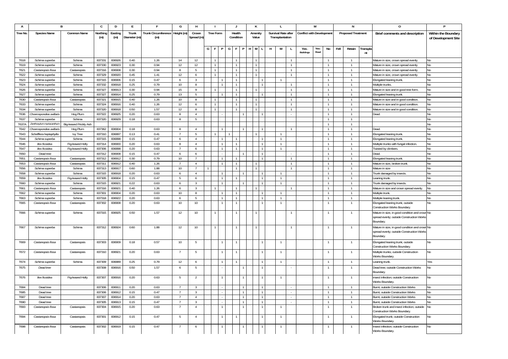| A            |                                            | B                                  | C                | D                | E.           |                                  | G                  | н               |                  |   | $\mathbf{J}$   |              |     | К              |   | L                   |              |                                  | М    |                              |      | N                              |          | $\Omega$                                                 | P                    |
|--------------|--------------------------------------------|------------------------------------|------------------|------------------|--------------|----------------------------------|--------------------|-----------------|------------------|---|----------------|--------------|-----|----------------|---|---------------------|--------------|----------------------------------|------|------------------------------|------|--------------------------------|----------|----------------------------------------------------------|----------------------|
| Tree No.     | <b>Species Name</b>                        | <b>Common Name</b>                 | Northing         | Easting          | Trunk        | Trunk Circumference   Height (m) |                    | Crown           | <b>Tree Form</b> |   | Health         |              |     | Amenity        |   | Survival Rate after |              | <b>Conflict with Development</b> |      |                              |      | <b>Proposed Treatment</b>      |          | Brief comments and description                           | Within the Boundary  |
|              |                                            |                                    | (m)              | (m)              | Diameter (m) | (m)                              |                    | Spread (m)      |                  |   | Condition      |              |     | Value          |   | Transplantation     |              |                                  |      |                              |      |                                |          |                                                          | of Development Site  |
|              |                                            |                                    |                  |                  |              |                                  |                    |                 |                  |   |                |              |     |                |   |                     |              |                                  |      |                              |      |                                |          |                                                          |                      |
|              |                                            |                                    |                  |                  |              |                                  |                    |                 | GF               | P | G<br>F.        | P.           | H M |                | H | M                   | L.           | Yes.                             | Yes. | No                           | Fell | Retain                         | Transpla |                                                          |                      |
|              |                                            |                                    |                  |                  |              |                                  |                    |                 |                  |   |                |              |     |                |   |                     |              | <b>Buildings</b>                 | Road |                              |      |                                | nt       |                                                          |                      |
| T618         | Schima superba                             | Schima                             | 837331           | 836926           | 0.40         | 1.26                             | 14                 | 12              | $\mathbf{1}$     |   | $\overline{1}$ |              |     | $\overline{1}$ |   |                     |              |                                  |      |                              |      |                                |          | Mature in size, crown spread evenly.                     | No                   |
| T619         | Schima superba                             | Schima                             | 837330           | 836923           | 0.30         | 0.94                             | 12                 | 12              | $\mathbf{1}$     |   | $\overline{1}$ |              |     |                |   |                     | $\mathbf{1}$ |                                  |      | $\overline{1}$               |      | $\overline{1}$                 |          | Mature in size, crown spread evenly                      | No                   |
| T621         | Castanopsis fissa                          | Castanopsis                        | 837316           | 836908           | 0.30         | 0.94                             | 8                  | -5              |                  |   | -1             |              |     |                |   |                     | 1            |                                  |      | 1                            |      | $\mathbf{1}$                   |          | Mature in size, crown spread evenly.                     | N <sub>o</sub>       |
| T622         | Schima superba                             | Schima                             | 837329           | 836920           | 0.45         | 1.41                             | 12                 | 6               |                  |   | $\overline{1}$ |              |     | $\sim$         |   |                     | $\mathbf{1}$ |                                  |      | $\mathbf{1}$                 |      | $\overline{1}$                 |          | Mature in size, crown spread evenly.                     | No                   |
| T623         | Schima superba                             | Schima                             | 837315           | 836906           | 0.15         | 0.47                             | 6                  | -3              |                  |   | $\overline{1}$ |              |     |                |   |                     |              |                                  |      | $\mathbf{1}$                 |      | $\overline{1}$                 |          | Elongated leaning trunk.                                 | No                   |
| T624         | Schima superba                             | Schima                             | 837332           | 836918           | 0.25         | 0.79                             | 10                 | 8               |                  |   | $\overline{1}$ |              |     |                |   |                     | $\mathbf{1}$ |                                  |      | $\overline{1}$               |      | $\overline{1}$                 |          | Multiple trunks.                                         | No                   |
| T626         | Schima superba                             | Schima                             | 83732            | 836913           | 0.30         | 0.94                             | 15                 | $\mathsf{Q}$    |                  |   |                |              |     |                |   |                     |              |                                  |      | $\mathbf{1}$                 |      | $\overline{1}$                 |          | Mature in size and in good tree form.                    | No                   |
| T627         | Schima superba                             | Schima                             | 837327           | 836914           | 0.25         | 0.79                             | 13                 | 5               |                  |   | $\overline{1}$ |              |     |                |   |                     |              |                                  |      | $\mathbf{1}$                 |      | $\overline{1}$                 |          | Elongated leaning trunk.                                 | No                   |
| T630         | Castanopsis fissa                          | Castanopsis                        | 837321           | 836915           | 0.40         | 1.26                             | 10                 | 8               |                  |   | $\overline{1}$ |              |     |                |   |                     | 1            |                                  |      | $\mathbf{1}$                 |      | $\overline{1}$                 |          | Mature in size and in good condition.                    | No                   |
| T633         | Schima superba                             | Schima                             | 837324           | 836916           | 0.40         | 1.26                             | 12                 | 6               |                  |   | $\overline{1}$ |              |     |                |   |                     | 1            |                                  |      | $\mathbf{1}$                 |      | $\overline{1}$                 |          | Mature in size and in good condition.                    | No                   |
| T634         | Schima superba                             | Schima                             | 837320           | 836918           | 0.50         | 1.57                             | 12<br>$\mathbf{8}$ | 8               |                  |   |                |              |     |                |   |                     |              |                                  |      | $\mathbf{1}$<br>$\mathbf{1}$ |      | $\mathbf{1}$<br>$\overline{1}$ |          | Mature in size and in good condition.                    | No                   |
| T636<br>T637 | Choerospondias axillar                     | Hog Plum<br>Schima                 | 837322<br>837320 | 836925<br>836929 | 0.20<br>0.18 | 0.63<br>0.63                     | 8                  | $\overline{4}$  |                  |   |                |              |     |                |   |                     |              |                                  |      | $\mathbf{1}$                 |      | $\overline{1}$                 |          | Dead.                                                    | N <sub>o</sub><br>No |
| T637A        | Schima superba<br>Zanthoxylum myriacanthun |                                    |                  |                  |              |                                  |                    | -5              |                  |   |                |              |     |                |   |                     |              |                                  |      | $\overline{1}$               |      | $\mathbf{1}$                   |          |                                                          | No                   |
| T642         | Choerospondias axillari                    | Big-leaved Prickly Ash<br>Hog Plum | 837362           | 836904           | 0.18         | 0.63                             | 8                  | $\Lambda$       |                  |   |                |              |     |                |   |                     |              |                                  |      | $\mathbf{1}$                 |      | $\mathbf{1}$                   |          | Dead                                                     | Nn                   |
| T643         | Schefflera heptaphylla                     | lvy Tree                           | 837310           | 836897           | 0.13         | 0.41                             |                    | -5              |                  |   |                |              |     |                |   |                     |              |                                  |      | $\mathbf{1}$                 |      |                                |          | Elongated leaning trunk.                                 | No                   |
| T644         | Schima superba                             | Schima                             | 837315           | 836898           | 0.15         | 0.47                             | -6                 | $\overline{4}$  |                  |   |                |              |     |                |   | $\overline{1}$      |              |                                  |      | $\mathbf{1}$                 |      | $\overline{1}$                 |          | Elongated leaning trunk.                                 | No                   |
| T646         | llex ficoidea                              | Fig-leaved Holl                    | 837314           | 836900           | 0.20         | 0.63                             | 8                  | $\mathfrak{a}$  |                  |   | $\overline{1}$ |              |     |                |   | $\mathbf{1}$        |              |                                  |      | $\mathbf{1}$                 |      | $\overline{1}$                 |          | Multiple trunks with fungal infection.                   | No                   |
| T647         | llex ficoidea                              | Fig-leaved Holly                   | 837306           | 836898           | 0.20         | 0.63                             |                    | 6               |                  |   |                |              |     |                |   | $\mathbf{1}$        |              |                                  |      | $\mathbf{1}$                 |      | $\mathbf{1}$                   |          | Twisted by climbers.                                     | No                   |
| T650         | Dead tree                                  |                                    | 837312           | 836908           | 0.15         | 0.47                             | 6                  | 6               |                  |   |                |              |     |                |   |                     |              |                                  |      | $\mathbf{1}$                 |      | $\overline{1}$                 |          | Dead                                                     | N <sub>0</sub>       |
| T651         | Castanopsis fissa                          | Castanopsis                        | 837312           | 836912           | 0.30         | 0.79                             | 10                 |                 |                  |   |                |              |     |                |   |                     |              |                                  |      | $\mathbf{1}$                 |      |                                |          | Elongated leaning trunk.                                 | No                   |
| T653         | Castanopsis fissa                          | Castanopsis                        | 837311           | 836912           | 0.40         | 1.26                             |                    | $\overline{4}$  |                  |   | $\mathbf{1}$   |              |     |                |   |                     | $\mathbf{1}$ |                                  |      | -1                           |      | $\mathbf{1}$                   |          | Mature in size, broken trunk.                            | No                   |
| T656         | Schima superba                             | Schima                             | 83731            | 836917           | 0.60         | 1.88                             | 10                 | $\overline{7}$  |                  |   |                |              |     |                |   |                     |              |                                  |      | $\mathbf{1}$                 |      | $\overline{1}$                 |          | Mature in size                                           | No                   |
| T658         | Schima superba                             | Schima                             | 837315           | 836918           | 0.20         | 0.63                             | 6                  | $\mathfrak{a}$  |                  |   |                |              |     |                |   |                     |              |                                  |      | $\mathbf{1}$                 |      |                                |          | Trunk damaged by insects.                                | No                   |
| T659         | llex ficoidea                              | Fig-leaved Holly                   | 837305           | 836904           | 0.15         | 0.47                             | 5                  | 6               |                  |   |                |              |     |                |   | $\overline{1}$      |              |                                  |      | $\mathbf{1}$                 |      | $\overline{1}$                 |          | Leaning trunk                                            | No                   |
| T660         | Schima superba                             | Schima                             | 837315           | 836921           | 0.22         | 0.63                             | 6                  | $\mathbf{3}$    |                  |   |                |              |     |                |   | $\mathbf{1}$        |              |                                  |      | $\mathbf{1}$                 |      | $\overline{1}$                 |          | Frunk damaged by insects.                                | No                   |
| T661         | Castanopsis fissa                          | Castanopsis                        | 837316           | 836921           | 0.40         | 1.26                             | 6                  | $\mathbf{3}$    |                  |   |                |              |     |                |   |                     |              |                                  |      | $\mathbf{1}$                 |      | $\mathbf{1}$                   |          | Mature in size and crown spread evenly.                  | No                   |
| T662         | Schima superba                             | Schima                             | 83730            | 836904           | 0.20         | 0.63                             | 10                 | $\mathbf{R}$    |                  |   |                |              |     |                |   |                     |              |                                  |      | $\mathbf{1}$                 |      | $\overline{1}$                 |          | Multiple trunk                                           |                      |
| T663         | Schima superba                             | Schima                             | 837318           | 836922           | 0.20         | 0.63                             | 6                  | -5              |                  |   | $\overline{1}$ |              |     |                |   | $\overline{1}$      |              |                                  |      | $\mathbf{1}$                 |      | $\overline{1}$                 |          | Multiple leaning trunk.                                  | No                   |
| T665         | Castanopsis fissa                          | Castanopsis                        | 837302           | 836908           | 0.20         | 0.63                             | 10                 | 10 <sup>°</sup> |                  |   | $\mathbf{1}$   |              |     |                |   | 1                   |              |                                  |      | 1                            |      | $\overline{1}$                 |          | Elongated leaning trunk; outside                         | No                   |
|              |                                            |                                    |                  |                  |              |                                  |                    |                 |                  |   |                |              |     |                |   |                     |              |                                  |      |                              |      |                                |          | Construction Works Boundary                              |                      |
| T666         | Schima superba                             | Schima                             | 837315           | 836925           | 0.50         | 1.57                             | 12                 | 10 <sup>1</sup> |                  |   |                |              |     |                |   |                     |              |                                  |      | 1                            |      | $\overline{1}$                 |          | Mature in size, in good condition and crown No           |                      |
|              |                                            |                                    |                  |                  |              |                                  |                    |                 |                  |   |                |              |     |                |   |                     |              |                                  |      |                              |      |                                |          | spread evenly; outside Construction Works                |                      |
|              |                                            |                                    |                  |                  |              |                                  |                    |                 |                  |   |                |              |     |                |   |                     |              |                                  |      |                              |      |                                |          | Boundary                                                 |                      |
| T667         | Schima superba                             | Schima                             | 837312           | 836924           | 0.60         | 1.88                             | 12                 | 10              |                  |   |                |              |     |                |   |                     |              |                                  |      |                              |      | $\mathbf{1}$                   |          | Mature in size, in good condition and crown No           |                      |
|              |                                            |                                    |                  |                  |              |                                  |                    |                 |                  |   |                |              |     |                |   |                     |              |                                  |      |                              |      |                                |          | spread evenly; outside Construction Works                |                      |
|              |                                            |                                    |                  |                  |              |                                  |                    |                 |                  |   |                |              |     |                |   |                     |              |                                  |      |                              |      |                                |          | Boundary.                                                |                      |
| T669         | Castanopsis fissa                          | Castanopsis                        | 837303           | 836909           | 0.18         | 0.57                             | 10                 | -5              |                  |   | $\mathbf{1}$   |              |     |                |   | -1                  |              |                                  |      |                              |      | $\mathbf{1}$                   |          | Elongated leaning trunk; outside                         | No                   |
|              |                                            |                                    |                  |                  |              |                                  |                    |                 |                  |   |                |              |     |                |   |                     |              |                                  |      |                              |      |                                |          | Construction Works Boundary                              |                      |
| T672         | Castanopsis fissa                          | Castanopsis                        | 837310           | 836921           | 0.20         | 0.63                             |                    | -5              |                  |   |                |              |     |                |   |                     |              |                                  |      | $\mathbf{1}$                 |      | $\mathbf{1}$                   |          | Multiple trunks; outside Construction                    | No                   |
|              |                                            |                                    |                  |                  |              |                                  |                    |                 |                  |   |                |              |     |                |   |                     |              |                                  |      |                              |      |                                |          | Works Boundary                                           |                      |
| T674         | Schima superba                             | Schima                             | 837309           | 836889           | 0.25         | 0.79                             | 12                 | 6               |                  |   |                |              |     |                |   | 1                   |              |                                  |      |                              |      | $\overline{1}$                 |          | eaning trunk.                                            | Yes                  |
| T675         | Dead tree                                  |                                    | 837308           | 836916           | 0.50         | 1.57                             | 6                  | 5               |                  |   |                |              |     |                |   |                     |              |                                  |      |                              |      | $\overline{1}$                 |          | Dead tree; outside Construction Works                    | Nο                   |
|              |                                            |                                    |                  |                  |              |                                  |                    |                 |                  |   |                |              |     |                |   |                     |              |                                  |      |                              |      |                                |          | Boundary                                                 |                      |
| T676         | llex ficoidea                              | Fig-leaved Holly                   | 837307           | 836916           | 0.20         | 0.63                             | 5                  | $\overline{2}$  |                  |   |                | $\mathbf{1}$ |     |                |   |                     |              |                                  |      |                              |      | $\overline{1}$                 |          | insect infection; outside Construction                   | No                   |
|              |                                            |                                    |                  |                  |              |                                  |                    |                 |                  |   |                |              |     |                |   |                     |              |                                  |      |                              |      |                                |          | Works Boundary                                           |                      |
| T684         | Dead tree                                  |                                    | 837306           | 836911           | 0.20         | 0.63                             |                    | $\overline{3}$  |                  |   |                |              |     |                |   |                     |              |                                  |      | $\mathbf{1}$                 |      | $\overline{1}$                 |          | Burnt; outside Construction Works                        | No                   |
| T685         | Dead tree                                  |                                    | 837306           | 836912           | 0.15         | 0.47                             |                    | $\overline{3}$  |                  |   |                | $\mathbf{1}$ |     |                |   |                     |              |                                  |      | $\overline{1}$               |      | $\overline{1}$                 |          | Burnt; outside Construction Works                        | No                   |
| T687         | Dead tree                                  |                                    | 83730            | 836914           | 0.20         | 0.63                             |                    | $\overline{4}$  |                  |   |                | $\mathbf{1}$ |     | $\mathbf{1}$   |   |                     |              |                                  |      | $\mathbf{1}$                 |      | $\overline{1}$                 |          | Burnt; outside Construction Works                        | No                   |
| T690         | Dead tree                                  |                                    | 837305           | 836913           | 0.15         | 0.47                             |                    | -3              |                  |   |                | $\mathbf{1}$ |     | 1              |   |                     |              |                                  |      | $\overline{1}$               |      | $\mathbf{1}$                   |          | Burnt; outside Construction Works                        | No                   |
| T693         | Castanopsis fissa                          | Castanopsis                        | 837304           | 836915           | 0.20         | 0.63                             |                    | $\overline{4}$  |                  |   |                |              |     |                |   |                     |              |                                  |      |                              |      | $\overline{1}$                 |          | Broken trunk and insect infection; outside               | No                   |
|              |                                            |                                    |                  |                  |              |                                  |                    |                 |                  |   |                |              |     |                |   |                     |              |                                  |      |                              |      |                                |          | Construction Works Boundary                              |                      |
| T694         | Castanopsis fissa                          | Castanopsis                        | 837301           | 836912           | 0.15         | 0.47                             | -5                 | 4               |                  |   |                |              |     |                |   |                     |              |                                  |      |                              |      | -1                             |          | Elongated trunk; outside Construction<br>Works Boundary. | No                   |
| T698         | Castanopsis fissa                          | Castanopsis                        | 837302           | 836919           | 0.15         | 0.47                             |                    | 6               |                  |   |                |              |     |                |   |                     |              |                                  |      |                              |      |                                |          | nsect infection; outside Construction                    | No                   |
|              |                                            |                                    |                  |                  |              |                                  |                    |                 |                  |   |                |              |     |                |   |                     |              |                                  |      |                              |      |                                |          | Works Boundary.                                          |                      |
|              |                                            |                                    |                  |                  |              |                                  |                    |                 |                  |   |                |              |     |                |   |                     |              |                                  |      |                              |      |                                |          |                                                          |                      |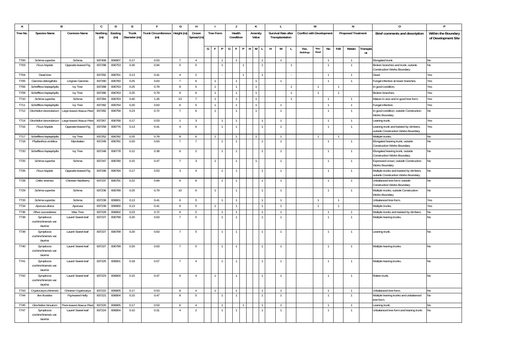| A            |                                               | В                        | C                | D                | E.           |                                | G              | н                   |     | -1               |        | $\mathbf{J}$                     |    |     | К            |   | L                   |                |                                  | М              |                              |      | N                         |                | 0                                                                 | P                   |
|--------------|-----------------------------------------------|--------------------------|------------------|------------------|--------------|--------------------------------|----------------|---------------------|-----|------------------|--------|----------------------------------|----|-----|--------------|---|---------------------|----------------|----------------------------------|----------------|------------------------------|------|---------------------------|----------------|-------------------------------------------------------------------|---------------------|
| Tree No.     | <b>Species Name</b>                           | Common Name              | Northing         | Easting          | Trunk        | Trunk Circumference Height (m) |                | Crown               |     | <b>Tree Form</b> |        | Health                           |    |     | Amenity      |   | Survival Rate after |                | <b>Conflict with Development</b> |                |                              |      | <b>Proposed Treatment</b> |                | Brief comments and description                                    | Within the Boundary |
|              |                                               |                          | (m)              | (m)              | Diameter (m) | (m)                            |                | Spread (m)          |     |                  |        | Condition                        |    |     | Value        |   | Transplantation     |                |                                  |                |                              |      |                           |                |                                                                   | of Development Site |
|              |                                               |                          |                  |                  |              |                                |                |                     |     |                  |        |                                  |    |     |              |   |                     |                |                                  |                |                              |      |                           |                |                                                                   |                     |
|              |                                               |                          |                  |                  |              |                                |                |                     | G I | F                | G<br>P | F                                | P. | H M | L            | H | M                   | L.             | Yes.<br>Buildings                | Yes.<br>Road   | No                           | Fell | Retain                    | Transpla<br>nt |                                                                   |                     |
|              |                                               |                          |                  |                  |              |                                |                |                     |     |                  |        |                                  |    |     |              |   |                     |                |                                  |                |                              |      |                           |                |                                                                   |                     |
| T700<br>T703 | Schima superba                                | Schima                   | 837408           | 836907<br>836753 | 0.17<br>0.30 | 0.53<br>0.94                   |                |                     |     |                  |        |                                  |    |     |              |   |                     | $\overline{1}$ |                                  |                | $\mathbf{1}$<br>$\mathbf{1}$ |      | $\overline{1}$            |                | Elongated trunk                                                   | ٧o<br>No            |
|              | Ficus hispida                                 | Opposite-leaved Fig      | 837298           |                  |              |                                | -5             | -5                  |     |                  |        |                                  |    |     |              |   |                     |                |                                  |                |                              |      |                           |                | Broken branches and trunk; outside<br>Construction Works Boundary |                     |
| T704         | Dead tree                                     |                          | 837292           | 836761           | 0.13         | 0.41                           | $\overline{4}$ | 2                   |     |                  |        |                                  |    |     |              |   |                     |                |                                  |                | $\mathbf{1}$                 |      | $\overline{1}$            |                | Dead.                                                             | Yes                 |
| T705         | Garcinia oblongifolia                         | Lingnan Garcinia         | 837290           | 836760           | 0.25         | 0.63                           |                | 6                   |     |                  |        |                                  |    |     |              |   |                     |                |                                  |                | $\mathbf{1}$                 |      | $\overline{1}$            |                | Fungal infection at lower branches                                | Yes                 |
| T706         | Schefflera heptaphylla                        | lvy Tree                 | 837288           | 836763           | 0.25         | 0.79                           | 8              | -5                  |     | $\mathbf{1}$     |        | $\overline{1}$                   |    |     |              |   |                     | $\overline{1}$ |                                  |                |                              |      |                           |                | In good condition.                                                | Yes                 |
| T709         | Schefflera heptaphylla                        | lvy Tree                 | 837286           | 836763           | 0.25         | 0.79                           | $\mathsf{Q}$   | 6                   |     | $\mathbf{1}$     |        | $\overline{1}$                   |    |     |              |   |                     | $\overline{1}$ |                                  | $\overline{1}$ |                              |      |                           |                | Broken branches                                                   | Yes                 |
| T710         | Schima superba                                | Schima                   | 837284           | 836763           | 0.40         | 1.26                           | 13             | $\overline{7}$      |     | $\mathbf{1}$     |        | $\overline{1}$                   |    |     | $\mathbf{1}$ |   |                     | $\overline{1}$ |                                  |                | $\overline{1}$               |      | $\overline{1}$            |                | Mature in size and in good tree form.                             | Yes                 |
| T711         | Schefflera heptaphylla                        | lvy Tree                 | 837282           | 836764           | 0.20         | 0.63                           | 6              | -5                  |     | $\mathbf{1}$     |        | $\overline{1}$                   |    |     |              |   |                     |                |                                  |                | $\overline{1}$               |      | $\overline{1}$            |                | Fungal infection.                                                 | Yes                 |
| T712         | Glochidion lanceolarium                       | Large-leaved Abacus Plan | 837282           | 836758           | 0.23         | 0.72                           |                | 6                   |     |                  |        |                                  |    |     |              |   |                     |                |                                  |                | $\mathbf{1}$                 |      | $\mathbf{1}$              |                | In good condition; outside Construction                           | No                  |
|              |                                               |                          |                  |                  |              |                                |                |                     |     |                  |        |                                  |    |     |              |   |                     |                |                                  |                |                              |      |                           |                | Works Boundary.                                                   |                     |
| T714         | Glochidion lanceolariun                       | Large-leaved Abacus Plar | 837267           | 836768           | 0.17         | 0.53                           |                | 3                   |     |                  |        |                                  |    |     |              |   | -1                  |                |                                  |                | $\mathbf{1}$                 |      | $\overline{1}$            |                | Leaning trunk                                                     | Yes                 |
| T716         | Ficus hispida                                 | Opposite-leaved Fig      | 837258           | 836776           | 0.13         | 0.41                           | $\overline{4}$ | 6                   |     |                  |        | $\overline{1}$                   |    |     |              |   | $\overline{1}$      |                |                                  |                | $\mathbf{1}$                 |      | $\overline{1}$            |                | Leaning trunk and twisted by climbers;                            | Yes                 |
|              |                                               |                          |                  |                  |              |                                |                |                     |     |                  |        |                                  |    |     |              |   |                     |                |                                  |                |                              |      |                           |                | outside Construction Works Boundary.                              |                     |
| T717<br>T718 | Schefflera heptaphylla<br>Phyllanthus emblica | lvy Tree<br>Myrobalan    | 837252<br>837249 | 836782<br>836781 | 0.25<br>0.20 | 0.79<br>0.63                   | 8              | 6<br>$\overline{7}$ |     |                  |        | $\overline{1}$<br>$\overline{1}$ |    |     |              |   | $\overline{1}$      |                |                                  |                | $\mathbf{1}$                 |      | $\overline{1}$            |                | Multiple trunks.<br>Elongated leaning trunk; outside              | No<br>No            |
|              |                                               |                          |                  |                  |              |                                |                |                     |     |                  |        |                                  |    |     |              |   |                     |                |                                  |                |                              |      |                           |                | Construction Works Boundary                                       |                     |
| T720         | Schefflera heptaphylla                        | Ivy Tree                 | 837248           | 836778           | 0.12         | 0.38                           | 6              | $\overline{2}$      |     |                  |        | $\overline{1}$                   |    |     |              |   |                     |                |                                  |                | $\mathbf{1}$                 |      | $\overline{1}$            |                | Elongated leaning trunk; outside                                  | No                  |
|              |                                               |                          |                  |                  |              |                                |                |                     |     |                  |        |                                  |    |     |              |   |                     |                |                                  |                |                              |      |                           |                | Construction Works Boundary                                       |                     |
| T725         | Schima superba                                | Schima                   | 837247           | 836780           | 0.15         | 0.47                           |                | $\overline{3}$      |     |                  |        | $\mathbf{1}$                     |    |     |              |   | $\overline{1}$      |                |                                  |                | $\mathbf{1}$                 |      | $\overline{1}$            |                | Expressed crown; outside Construction<br>Works Boundary.          | No                  |
| T726         | Ficus hispida                                 | Opposite-leaved Fig      | 837246           | 836784           | 0.17         | 0.53                           | 3              | $\overline{4}$      |     |                  |        | $\overline{1}$                   |    |     |              |   |                     |                |                                  |                | $\overline{1}$               |      | $\overline{1}$            |                | Multiple trunks and twisted by climbers;                          | No                  |
|              |                                               |                          |                  |                  |              |                                |                |                     |     |                  |        |                                  |    |     |              |   |                     |                |                                  |                |                              |      |                           |                | outside Construction Works Boundary.                              |                     |
| T728         | Celtis sinensis                               | Chinese Hackberry        | 837237           | 836791           | 0.22         | 0.69                           | 6              | 8                   |     |                  |        |                                  |    |     |              |   |                     |                |                                  |                | $\mathbf{1}$                 |      |                           |                | Unbalanced tree form; outside                                     | No                  |
|              |                                               |                          |                  |                  |              |                                |                |                     |     |                  |        |                                  |    |     |              |   |                     |                |                                  |                |                              |      |                           |                | Construction Works Boundary                                       |                     |
| T729         | Schima superba                                | Schima                   | 837236           | 836789           | 0.25         | 0.79                           | 10             | 6                   |     |                  |        |                                  |    |     |              |   |                     |                |                                  |                | $\mathbf{1}$                 |      | $\overline{1}$            |                | Multiple trunks; outside Construction<br>Works Boundary.          | No                  |
| T733         | Schima superba                                | Schima                   | 837239           | 836801           | 0.13         | 0.41                           | -6             | -5                  |     |                  |        |                                  |    |     |              |   |                     |                |                                  | 1              |                              |      |                           |                | Unbalanced tree form.                                             | Yes                 |
| T734         | Aporusa dioica                                | Aporusa                  | 837239           | 836800           | 0.13         | 0.41                           | 6              | -5                  |     | $\mathbf{1}$     |        | $\mathbf{1}$                     |    |     |              |   | $\overline{1}$      |                |                                  | $\mathbf{1}$   |                              | -1   |                           |                | Multiple trunks.                                                  | Yes                 |
| T736         | Rhus succedanea                               | Wax Tree                 | 837229           | 836802           | 0.23         | 0.72                           | 6              | -5                  |     |                  |        |                                  |    |     |              |   |                     |                |                                  |                |                              |      |                           |                | Multiple trunks and twisted by climbers.                          | No                  |
| T738         | Symplocos                                     | Laurel Sweet-leaf        | 837227           | 836799           | 0.20         | 0.63                           |                | 5                   |     |                  |        |                                  |    |     |              |   |                     |                |                                  |                | $\overline{1}$               |      | $\overline{1}$            |                | Multiple leaning trunks                                           | ٧o                  |
|              | cochinchinensis var.                          |                          |                  |                  |              |                                |                |                     |     |                  |        |                                  |    |     |              |   |                     |                |                                  |                |                              |      |                           |                |                                                                   |                     |
|              | laurina                                       |                          |                  |                  |              |                                |                |                     |     |                  |        |                                  |    |     |              |   |                     |                |                                  |                |                              |      |                           |                |                                                                   |                     |
| T739         | Symplocos<br>cochinchinensis var.             | Laurel Sweet-leaf        | 837227           | 836799           | 0.20         | 0.63                           |                | -5                  |     |                  |        |                                  |    |     |              |   |                     |                |                                  |                | $\overline{1}$               |      |                           |                | Leaning trunk.                                                    | No                  |
|              | laurina                                       |                          |                  |                  |              |                                |                |                     |     |                  |        |                                  |    |     |              |   |                     |                |                                  |                |                              |      |                           |                |                                                                   |                     |
| T740         | Symplocos                                     | Laurel Sweet-leaf        | 837227           | 836799           | 0.20         | 0.63                           |                | 5                   |     |                  |        |                                  |    |     |              |   |                     |                |                                  |                | $\mathbf{1}$                 |      |                           |                | Multiple leaning trunks.                                          | No                  |
|              | cochinchinensis var.                          |                          |                  |                  |              |                                |                |                     |     |                  |        |                                  |    |     |              |   |                     |                |                                  |                |                              |      |                           |                |                                                                   |                     |
| T741         | laurina                                       |                          | 837225           | 836801           | 0.18         | 0.57                           |                | $\overline{4}$      |     |                  |        |                                  |    |     |              |   |                     |                |                                  |                | $\mathbf{1}$                 |      | $\overline{1}$            |                |                                                                   |                     |
|              | Symplocos<br>cochinchinensis var.             | Laurel Sweet-leaf        |                  |                  |              |                                |                |                     |     |                  |        |                                  |    |     |              |   |                     |                |                                  |                |                              |      |                           |                | Multiple leaning trunks.                                          | No                  |
|              | laurina                                       |                          |                  |                  |              |                                |                |                     |     |                  |        |                                  |    |     |              |   |                     |                |                                  |                |                              |      |                           |                |                                                                   |                     |
| T742         | Symplocos                                     | Laurel Sweet-leaf        | 837223           | 836804           | 0.15         | 0.47                           | 6              | $\mathbf{A}$        |     | -1               |        |                                  |    |     |              |   |                     |                |                                  |                | $\mathbf{1}$                 |      |                           |                | Rotten trunk.                                                     | No                  |
|              | cochinchinensis var.<br>laurina               |                          |                  |                  |              |                                |                |                     |     |                  |        |                                  |    |     |              |   |                     |                |                                  |                |                              |      |                           |                |                                                                   |                     |
| T743         | Cryptocarya chinensis                         | Chinese Cryptocarya      | 837222           | 836805           | 0.17         | 0.53                           | 8              | $\overline{4}$      |     | $\mathbf{1}$     |        | $\overline{1}$                   |    |     |              |   | $\overline{1}$      |                |                                  |                | $\overline{1}$               |      | $\overline{1}$            |                | Unbalanced tree form.                                             | No                  |
| T744         | llex ficoidea                                 | Fig-leaved Holly         | 837221           | 836804           | 0.15         | 0.47                           | 8              | 5                   |     |                  |        | $\mathbf{1}$                     |    |     |              |   |                     |                |                                  |                | $\mathbf{1}$                 |      | $\overline{1}$            |                | Multiple leaning trunks and unbalanced                            | No                  |
|              |                                               |                          |                  |                  |              |                                |                |                     |     |                  |        |                                  |    |     |              |   |                     |                |                                  |                |                              |      |                           |                | tree form.                                                        |                     |
| T745         | Glochidion hirsutum                           | hick-leaved Abacus Plar  | 837220           | 836805           | 0.17         | 0.53                           | 6              | $\frac{4}{3}$       |     |                  |        |                                  |    |     |              |   | $\mathbf{1}$        |                |                                  |                | $\overline{1}$               |      | $\mathbf{1}$              |                | eaning trunk.                                                     | No                  |
| T747         | Symplocos<br>cochinchinensis var.             | Laurel Sweet-leaf        | 837224           | 836804           | 0.10         | 0.31                           | $\overline{4}$ | $\overline{2}$      |     |                  |        |                                  |    |     |              |   | -1                  |                |                                  |                | $\overline{1}$               |      | $\mathbf{1}$              |                | Unbalanced tree form and leaning trunk.                           | No                  |
|              | laurina                                       |                          |                  |                  |              |                                |                |                     |     |                  |        |                                  |    |     |              |   |                     |                |                                  |                |                              |      |                           |                |                                                                   |                     |
|              |                                               |                          |                  |                  |              |                                |                |                     |     |                  |        |                                  |    |     |              |   |                     |                |                                  |                |                              |      |                           |                |                                                                   |                     |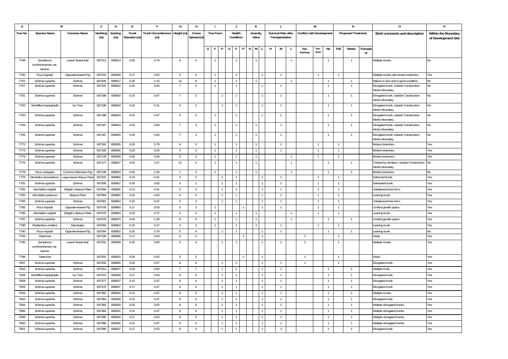| А            |                                          | B                        | C                | D                | E            |                     | G              | н              |   |                  |                | J              |  | K       |   | L                   |              |                                  | M            |              |              | N                         |                | 0                                                            |                     |
|--------------|------------------------------------------|--------------------------|------------------|------------------|--------------|---------------------|----------------|----------------|---|------------------|----------------|----------------|--|---------|---|---------------------|--------------|----------------------------------|--------------|--------------|--------------|---------------------------|----------------|--------------------------------------------------------------|---------------------|
| Tree No.     | Species Name                             | Common Name              | Northing         | Easting          | Trunk        | Trunk Circumference | Height (m)     | Crown          |   | <b>Tree Form</b> |                | Health         |  | Amenity |   | Survival Rate after |              | <b>Conflict with Development</b> |              |              |              | <b>Proposed Treatment</b> |                | Brief comments and description                               | Within the Boundary |
|              |                                          |                          | (m)              | (m)              | Diameter (m) | (m)                 |                | Spread (m)     |   |                  |                | Condition      |  | Value   |   | Transplantation     |              |                                  |              |              |              |                           |                |                                                              | of Development Site |
|              |                                          |                          |                  |                  |              |                     |                |                |   |                  |                |                |  |         |   |                     |              |                                  |              |              |              |                           |                |                                                              |                     |
|              |                                          |                          |                  |                  |              |                     |                |                | G | F.               |                | G<br>F.        |  | HM      | H | М                   | L            | Yes.<br>Buildings                | Yes.<br>Road | No           | Fell         | Retain                    | Transpla<br>nt |                                                              |                     |
| T748         |                                          | Laurel Sweet-leaf        | 837212           | 836813           | 0.25         | 0.79                | 8              | 6              |   | $\mathbf{1}$     |                | $\overline{1}$ |  |         |   |                     |              |                                  |              |              |              | $\mathbf{1}$              |                | Multiple trunks.                                             | N <sub>o</sub>      |
|              | Symplocos<br>cochinchinensis var.        |                          |                  |                  |              |                     |                |                |   |                  |                |                |  |         |   |                     |              |                                  |              |              |              |                           |                |                                                              |                     |
|              | laurina                                  |                          |                  |                  |              |                     |                |                |   |                  |                |                |  |         |   |                     |              |                                  |              |              |              |                           |                |                                                              |                     |
| T750         | Ficus hispida                            | Opposite-leaved Fig      | 837216           | 836818           | 0.17         | 0.53                | - 5            | $\mathbf{A}$   |   | $\mathbf{1}$     |                |                |  |         |   | 1                   |              |                                  |              |              |              |                           |                | Multiple trunks with broken branches.                        | Yes                 |
| T751         | Schima superba                           | Schima                   | 837205           | 836817           | 0.35         | 1.10                | 14             | $\mathbf{R}$   |   | $\overline{1}$   |                | $\overline{1}$ |  |         |   |                     |              |                                  |              |              |              |                           |                | Mature in size and in good condition.                        | N٥                  |
| T757         | Schima superba                           | Schima                   | 837191           | 836822           | 0.20         | 0.63                |                | 5              |   | $\mathbf{1}$     |                | $\mathbf{1}$   |  |         |   |                     |              |                                  |              |              |              | $\mathbf{1}$              |                | Elongated trunk; outside Construction                        | No                  |
| T761         |                                          | Schima                   | 837188           | 836820           | 0.15         | 0.47                | $\overline{7}$ | $\overline{3}$ |   |                  |                | $\overline{1}$ |  |         |   | $\overline{1}$      |              |                                  |              |              |              | $\mathbf{1}$              |                | Works Boundary.<br>Elongated trunk; outside Construction     | No                  |
|              | Schima superba                           |                          |                  |                  |              |                     |                |                |   |                  |                |                |  |         |   |                     |              |                                  |              |              |              |                           |                | Works Boundary                                               |                     |
| T762         | Schefflera heptaphylla                   | lvy Tree                 | 837188           | 836819           | 0.10         | 0.31                | 6              | $\overline{2}$ |   |                  |                | $\overline{1}$ |  |         |   | $\overline{1}$      |              |                                  |              |              |              | $\mathbf{1}$              |                | Elongated trunk; outside Construction                        | No                  |
|              |                                          |                          |                  |                  |              |                     |                |                |   |                  |                |                |  |         |   |                     |              |                                  |              |              |              |                           |                | Works Boundary.                                              |                     |
| T763         | Schima superba                           | Schima                   | 837188           | 836823           | 0.15         | 0.47                | -5             | $\overline{3}$ |   | $\mathbf{1}$     |                | -1.            |  |         |   | -1                  |              |                                  |              |              |              | 1                         |                | Elongated trunk; outside Construction<br>Works Boundary.     | No                  |
| T764         | Schima superba                           | Schima                   | 837187           | 836823           | 0.20         | 0.63                |                | 3              |   | $\mathbf{1}$     |                |                |  |         |   | -1                  |              |                                  |              |              |              | $\mathbf{1}$              |                | Elongated trunk; outside Construction                        | No                  |
|              |                                          |                          |                  |                  |              |                     |                |                |   |                  |                |                |  |         |   |                     |              |                                  |              |              |              |                           |                | Norks Boundary.                                              |                     |
| T765         | Schima superba                           | Schima                   | 83718            | 836825           | 0.20         | 0.63                |                | 3              |   | -1               |                |                |  |         |   |                     |              |                                  |              |              |              |                           |                | Elongated trunk; outside Construction                        | No                  |
|              |                                          |                          |                  |                  |              |                     |                |                |   |                  |                |                |  |         |   |                     |              |                                  |              |              |              |                           |                | <b>Norks Boundary</b>                                        |                     |
| T772         | Schima superba                           | Schima                   | 837181           | 836835           | 0.25         | 0.79                | $\overline{4}$ | 3              |   | $\mathbf{1}$     |                | $\mathbf{1}$   |  |         |   | $\mathbf{1}$        |              |                                  |              |              |              |                           |                | Broken branches                                              | Yes                 |
| T773         | Schima superba                           | Schima                   | 837180           | 836836           | 0.20         | 0.63                | -3             | 3              |   | $\mathbf{1}$     |                | $\mathbf{1}$   |  |         |   | 1                   |              |                                  |              |              |              |                           |                | Broken branches                                              | Yes                 |
| T774         | Schima superba                           | Schima                   | 837178           | 836839           | 0.30         | 0.94                | -5             | $\overline{3}$ |   | $\mathbf{1}$     |                | $\mathbf{1}$   |  |         |   |                     | $\mathbf{1}$ |                                  |              |              |              |                           |                | Broken branches.                                             | Yes                 |
| T776         | Schima superba                           | Schima                   | 837177           | 836827           | 0.50         | 1.57                | 12             | $\overline{4}$ |   |                  |                |                |  |         |   |                     |              |                                  |              |              |              | $\mathbf{1}$              |                | Twisted by climbers; outside Construction<br>Works Boundary. | No                  |
| T778         | Ficus variegata                          | Common Red-stem Fig      | 837149           | 836853           | 0.40         | 1.26                |                | 3              |   | $\mathbf{1}$     |                | $\mathbf{1}$   |  |         |   |                     | $\mathbf{1}$ |                                  |              |              |              |                           |                | Broken branches.                                             | No                  |
| T779         | Glochidion lanceolariu                   | Large-leaved Abacus Plar | 837152           | 836856           | 0.13         | 0.41                | 3              | $\overline{2}$ |   |                  |                | $\overline{1}$ |  |         |   | -1                  |              |                                  |              |              |              |                           |                | Deformed trunk                                               | Yes                 |
| T781         | Schima superba                           | Schima                   | 837095           | 836867           | 0.30         | 0.63                | $\overline{4}$ | $\overline{1}$ |   |                  |                | $\overline{1}$ |  |         |   | -1                  |              |                                  |              |              |              |                           |                | Deheaded trunk                                               | Yes                 |
| T782         | Glochidion wrightii                      | Wright's Abacus Plant    | 837094           | 836865           | 0.13         | 0.41                | -5             | 3              |   |                  |                |                |  |         |   |                     |              |                                  |              |              |              |                           |                | Jnbalanced tree form.                                        | Yes                 |
| T783         | Glochidion puberum                       | Abacus Plant             | 837084           | 836862           | 0.20         | 0.63                | $\overline{4}$ | $\overline{3}$ |   |                  |                | $\overline{1}$ |  |         |   | $\overline{1}$      |              |                                  |              |              | $\mathbf{1}$ |                           |                | eaning trunk.                                                | Yes                 |
| T784         | Schima superba                           | Schima                   | 83708            | 836863           | 0.15         | 0.47                | -5             | $\overline{3}$ |   |                  |                |                |  |         |   | $\mathbf{1}$        |              |                                  |              |              |              |                           |                | Jnbalanced tree form.                                        | Yes                 |
| T785         | Ficus hispida                            | Opposite-leaved Fig      | 837078           | 836860           | 0.17         | 0.53                | -5             | $\overline{3}$ |   |                  |                |                |  |         |   | $\mathbf{1}$        |              |                                  |              |              | $\mathbf{1}$ |                           |                | Limited growth space.                                        | Yes                 |
| T786         | Glochidion wrightii                      | Wright's Abacus Plant    | 83707            | 836863           | 0.23         | 0.72                | -3             | 3              |   |                  |                |                |  |         |   |                     |              |                                  |              |              |              |                           |                | eaning trunk                                                 | Yes                 |
| T787         | Schima superba                           | Schima                   | 83707            | 836873           | 0.40         | 1.26                | -8             | 6              |   | -1               |                |                |  |         |   |                     |              |                                  |              |              |              | 1                         |                | Limited growth space.                                        | Yes                 |
| T788         | Phyllanthus emblica                      | Myrobalan                | 837060           | 836854           | 0.15         | 0.47                | $\mathcal{R}$  | $\mathcal{R}$  |   |                  |                |                |  |         |   |                     |              |                                  |              |              |              |                           |                | eaning trunk                                                 | Yes                 |
| T790         | Ficus hispida                            | Opposite-leaved Fig      | 837044           | 836852           | 0.25         | 0.79                | 5              | $\overline{4}$ |   |                  | $\mathbf{1}$   | $\mathbf{1}$   |  |         |   | $\mathbf{1}$        |              |                                  |              |              |              |                           |                | eaning trunk                                                 | No                  |
| T794         | Dead tree                                |                          | 837199           | 836908           | 0.17         | 0.53                | 6              | 3              |   |                  |                |                |  |         |   |                     |              |                                  |              |              |              |                           |                | Dead.                                                        | Yes                 |
| T795         | Symplocos                                | Laurel Sweet-leaf        | 837201           | 836909           | 0.20         | 0.63                | 5              | 3              |   |                  |                |                |  |         |   |                     |              |                                  |              |              |              |                           |                | Multiple trunks.                                             | Yes                 |
|              | cochinchinensis var.<br>laurina          |                          |                  |                  |              |                     |                |                |   |                  |                |                |  |         |   |                     |              |                                  |              |              |              |                           |                |                                                              |                     |
| T796         | Dead tree                                |                          | 837202           | 836910           | 0.20         | 0.63                | 5              | $\overline{3}$ |   |                  |                |                |  |         |   |                     |              |                                  |              |              |              |                           |                | Dead.                                                        | Yes                 |
| T807         | Schima superba                           | Schima                   | 837255           | 836880           | 0.20         | 0.57                | -8             | 6              |   |                  |                |                |  |         |   |                     |              |                                  |              |              |              |                           |                | Elongated trunk                                              | Yes                 |
| T816         |                                          | Schima                   | 83731            | 836872           | 0.18         | 0.50                |                | $\overline{7}$ |   |                  |                |                |  |         |   |                     |              |                                  |              |              |              | 1                         |                | Multiple trunk                                               | Yes                 |
| T826         | Schima superba<br>Schefflera heptaphylla | lvy Tree                 | 83737            | 836839           | 0.17         | 0.53                | 6              | 6              |   |                  |                |                |  |         |   | $\mathbf{1}$        |              |                                  |              |              |              |                           |                | Elongated trunk                                              | Yes                 |
| T828         |                                          | Schima                   | 83737            | 836837           | 0.15         | 0.47                | 8              | $\overline{4}$ |   |                  |                |                |  |         |   | $\mathbf{1}$        |              |                                  |              |              |              | $\mathbf{1}$              |                |                                                              | Yes                 |
| T829         | Schima superba                           |                          | 837375           | 836837           | 0.17         | 0.47                | -8             |                |   |                  |                | $\overline{1}$ |  |         |   | $\mathbf{1}$        |              |                                  |              | $\mathbf{1}$ |              | $\overline{1}$            |                | Elongated trunk                                              |                     |
|              | Schima superba                           | Schima                   |                  |                  |              | 0.47                | -8             | 6              |   |                  |                | $\overline{1}$ |  |         |   | $\overline{1}$      |              |                                  |              |              |              | $\overline{1}$            |                | Elongated trunk                                              | Yes                 |
| T834<br>T843 | Schima superba                           | Schima                   | 837382<br>837384 | 836824           | 0.15         | 0.47                | 8              | 5              |   |                  | $\overline{1}$ | $\mathbf{1}$   |  |         |   |                     |              |                                  |              |              |              | $\overline{1}$            |                | Multiple trunks.                                             | Yes                 |
| T844         | Schima superba                           | Schima<br>Schima         | 837382           | 836829<br>836828 | 0.15<br>0.20 | 0.63                |                | 6              |   |                  | -1             | $\mathbf{1}$   |  |         |   | $\mathbf{1}$        |              |                                  |              | $\mathbf{1}$ |              |                           |                | Elongated trunk                                              | Yes<br>Yes          |
| T846         | Schima superba                           |                          | 837384           | 836831           | 0.15         | 0.47                | 8              | 6              |   |                  |                | $\mathbf{1}$   |  |         |   | $\mathbf{1}$        |              |                                  |              | 1            |              | $\overline{1}$            |                | Multiple elongated trunks.                                   |                     |
| T848         | Schima superba                           | Schima<br>Schima         |                  | 836834           | 0.17         | 0.53                | -8<br>-8       | 6<br>6         |   |                  |                |                |  |         |   | 1                   |              |                                  |              |              |              | $\mathbf{1}$              |                | Multiple elongated trunks.                                   | Yes                 |
|              | Schima superba                           |                          | 837385           |                  |              |                     |                |                |   |                  |                |                |  |         |   |                     |              |                                  |              |              |              |                           |                | Multiple elongated trunks.                                   | Yes                 |
| T850         | Schima superba                           | Schima                   | 837386           | 836836           | 0.15         | 0.47                | 8              | $\overline{4}$ |   |                  |                |                |  |         |   |                     |              |                                  |              |              |              | $\mathbf{1}$              |                | Multiple elongated trunks.                                   | Yes                 |
| T851         | Schima superba                           | Schima                   | 837390           | 836837           | 0.17         | 0.53                | -8             | 3              |   |                  |                |                |  |         |   | 1                   |              |                                  |              | $\mathbf{1}$ |              |                           |                | Elongated trunk.                                             | Yes                 |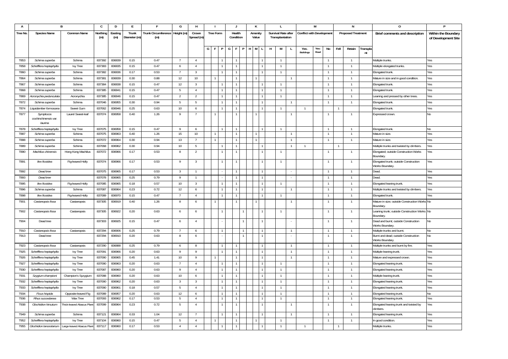| Tree No.<br><b>Species Name</b><br>Common Name<br>Northing<br>Easting<br>Trunk<br><b>Trunk Circumference</b><br>Height (m)<br>Crown<br><b>Tree Form</b><br>Health<br>Amenity<br>Survival Rate after<br><b>Conflict with Development</b><br><b>Proposed Treatment</b><br>Brief comments and description<br>Within the Boundary<br>Diameter (m<br>(m)<br>Condition<br>Value<br>Transplantation<br>(m)<br>(m)<br>Spread (m)<br>of Development Site<br>GFP<br>HML<br>G<br>F.<br>H<br>M<br>Yes.<br>Yes.<br>No<br>Fell<br>Retain<br>Transpla<br>L.<br>Road<br>Buildings<br>nt<br>T853<br>837392<br>836839<br>0.15<br>0.47<br>Schima<br>$\Lambda$<br>Multiple trunks.<br>Yes<br>Schima superba<br>T858<br>837383<br>836835<br>0.15<br>0.47<br>6<br>$\overline{4}$<br>Schefflera heptaphylla<br>lvy Tree<br>$\mathbf{1}$<br>Multiple elongated trunks.<br>Yes<br>T860<br>837382<br>836836<br>0.17<br>0.53<br>Schima superba<br>Schima<br>$\overline{7}$<br>$\mathcal{L}$<br>Elongated trunk<br>Yes<br>T864<br>837381<br>836839<br>0.30<br>0.88<br>10<br>Schima superba<br>Schima<br>12<br>$\overline{1}$<br>$\overline{1}$<br>Mature in size and in good condition.<br>Yes<br>0.47<br>T867<br>Schima superba<br>Schima<br>837384<br>836838<br>0.15<br>12<br>3<br>Elongated trunk<br>Yes<br>$\mathbf{1}$<br>$\mathbf{1}$<br>$\overline{1}$<br>T868<br>0.47<br>837385<br>0.15<br>Schima superba<br>Schima<br>836841<br>5<br>$\overline{4}$<br>$\overline{1}$<br>$\mathbf{1}$<br>Elongated trunk<br>Yes<br>$\overline{1}$<br>$\overline{1}$<br>$\mathbf{1}$<br>T869<br>0.15<br>0.47<br>837385<br>836846<br>A <i>cronychia pedunculata</i><br>Acronychia<br>$\overline{2}$<br>$\overline{2}$<br>Leaning and pressed by other trees.<br>Yes<br>$\overline{1}$<br>$\mathbf{1}$<br>$\overline{1}$<br>-1<br>T872<br>0.94<br>Schima<br>837046<br>836955<br>0.30<br>Schima superba<br>Elongated trunk.<br>Yes<br>-5<br>5<br>-1.<br>1<br>T874<br>837062<br>836946<br>0.25<br>0.63<br>$10$<br>Yes<br>Sweet Gum<br>Liquidamber formosana<br>6<br>$\mathbf{1}$<br>1<br>Elongated trunk<br>-1<br>T877<br>837074<br>836958<br>0.40<br>1.26<br>Laurel Sweet-leaf<br>No<br>Symplocos<br>9<br>Expressed crown.<br>cochinchinensis var.<br>laurina<br>T878<br>837075<br>836958<br>0.47<br>Schefflera heptaphylla<br>lvy Tree<br>0.15<br>- 9<br>Elongated trunk<br>No<br>6<br>$\overline{1}$<br>$\mathbf{1}$<br>$\mathbf{1}$<br>T887<br>1.26<br>837075<br>836963<br>0.40<br>15<br>10<br>Schima superba<br>Schima<br>Mature in size.<br>Yes<br>T888<br>Schima<br>837072<br>836964<br>0.30<br>0.94<br>13<br>Schima superba<br>$\overline{7}$<br>$\mathbf{1}$<br>Mature in size.<br>Yes<br>0.94<br>T889<br>Schima<br>837068<br>836962<br>0.30<br>$10$<br>5<br>Schima superba<br>Multiple trunks and twisted by climbers.<br>Yes<br>T890<br>0.53<br>Machilus chinensis<br>Hong Kong Machilus<br>837072<br>836966<br>0.17<br>8<br>$\overline{2}$<br>Elongated; outside Construction Works<br>Yes<br>$\mathbf{1}$<br>Boundary.<br>T891<br>0.53<br>837074<br>836966<br>0.17<br>Yes<br>llex ficoidea<br>Fig-leaved Holly<br>9<br>3<br>$\mathbf{1}$<br>Elongated trunk; outside Construction<br>$\mathbf{1}$<br>Works Boundary.<br>T892<br>837075<br>836965<br>0.17<br>0.53<br>Yes<br>Dead tree<br>-3<br>Dead.<br>T893<br>0.25<br>Dead tree<br>837078<br>836965<br>0.79<br>$\overline{9}$<br>Yes<br>$\mathbf{1}$<br>1<br>$\mathbf{1}$<br>Dead.<br>T895<br>837085<br>836965<br>0.18<br>0.57<br>llex ficoidea<br>Fig-leaved Holly<br>10<br>3<br>Elongated leaning trunk.<br>Yes<br>T896<br>Schima<br>837087<br>836964<br>0.23<br>0.72<br>12<br>Yes<br>Schima superba<br>6<br>1<br>Multiple trunks and twisted by climbers.<br>0.15<br>0.47<br>T898<br>837089<br>836970<br>llex ficoidea<br>Fig-leaved Holly<br>Elongated trunk.<br>Yes<br>$\overline{4}$<br>T901<br>837305<br>836919<br>0.40<br>1.26<br>8<br>Castanopsis fissa<br>Castanopsis<br>6<br>1<br>$\mathbf{1}$<br>$\mathbf{1}$<br>$\overline{1}$<br>Mature in size; outside Construction Works<br>No<br><b>Boundary</b><br>T902<br>0.63<br>Castanopsis fissa<br>837305<br>836922<br>0.20<br>eaning trunk; outside Construction Works No<br>Castanopsis<br>6<br>6<br>Boundary<br>0.47<br>T904<br>837303<br>836925<br>0.15<br>Dead tree<br>Dead and burnt; outside Construction<br>-6<br>$\overline{4}$<br>No<br>Works Boundary.<br>T910<br>837294<br>836906<br>0.25<br>0.79<br>Castanopsis<br>Multiple trunks and burnt.<br>No<br>Castanopsis fissa<br>6<br>T913<br>837294<br>836910<br>0.20<br>0.63<br>Dead tree<br>$\mathbf{8}$<br>6<br>Burnt and dead; outside Construction<br>No<br>Works Boundary.<br>T923<br>837290<br>0.79<br>Castanopsis fissa<br>Castanopsis<br>836888<br>0.25<br>8<br>Multiple trunks and burnt by fire<br>Yes<br>-6<br>1<br>T925<br>0.63<br>837091<br>836966<br>0.20<br>Schefflera heptaphylla<br>lvy Tree<br>-9<br>-9<br>Multiple leaning trunk<br>Yes<br>$\mathbf{1}$<br>-1<br>$\mathbf{1}$<br>$\mathbf{1}$<br>T926<br>837090<br>1.41<br>lvy Tree<br>836965<br>0.45<br>10<br>Yes<br>Schefflera heptaphylla<br>9<br>$\mathbf{1}$<br>Mature and expressed crown.<br>-1<br>$\mathbf{1}$<br>$\overline{1}$<br>T927<br>837090<br>836963<br>0.20<br>0.63<br>Yes<br>Schefflera heptaphylla<br>lvy Tree<br>Elongated leaning trunk.<br>$\overline{4}$<br>7<br>$\mathbf{1}$<br>-1<br>-1<br>T930<br>837087<br>836960<br>0.20<br>0.63<br>Yes<br>Schefflera heptaphylla<br>lvy Tree<br>9<br>Elongated leaning trunk.<br>$\overline{4}$<br>$\overline{1}$<br>-1<br>T931<br>837088<br>836960<br>0.20<br>0.63<br>Szygium championi<br>Champion's Syzygium<br>10<br>6<br>Multiple leaning trunk.<br>Yes<br>1<br>$\mathbf{1}$<br>T932<br>837090<br>836962<br>0.20<br>0.63<br>Schefflera heptaphylla<br>lvy Tree<br>3<br>3<br>Elongated leaning trunk.<br>Yes<br>$\overline{1}$<br>1<br>T933<br>0.18<br>0.57<br>Schefflera heptaphylla<br>lvy Tree<br>837090<br>836961<br>5<br>$\overline{4}$<br>Elongated leaning trunk.<br>Yes<br>1<br>0.63<br>T934<br>837089<br>836957<br>0.20<br>12<br>Ficus hispida<br>Opposite-leaved Fig<br>$\overline{1}$<br>$\overline{1}$<br>$\mathbf{1}$<br>Elongated leaning trunk.<br>No<br>6<br>$\mathbf{1}$<br>T936<br>837093<br>0.53<br>836962<br>0.17<br>5<br>Yes<br>Rhus succedanea<br>Wax Tree<br>$\frac{4}{3}$<br>$\overline{1}$<br>$\mathbf{1}$<br>$\overline{1}$<br>$\overline{1}$<br>$\overline{1}$<br>$\mathbf{1}$<br>Elongated leaning trunk.<br>T938<br>837099<br>836964<br>0.23<br>0.72<br>Thick-leaved Abacus Plar<br>5<br>Yes<br><b>Glochidion hirsutum</b><br>$\frac{4}{3}$<br>Elongated leaning trunk and twisted by<br>$\mathbf{1}$<br>climbers.<br>T949<br>1.04<br>Schima superba<br>Schima<br>837121<br>836964<br>0.33<br>12<br>Yes<br>Elongated leaning trunk.<br>$\mathbf{1}$<br>T952<br>Schefflera heptaphylla<br>837104<br>836960<br>0.15<br>0.47<br>Yes<br>lvy Tree<br>-5<br>$\frac{4}{3}$<br>In good condition.<br>T955<br>0.53<br>837117<br>836960<br>0.17<br>Glochidion lanceolarium Large-leaved Abacus Plan<br>$\overline{4}$<br>$\overline{4}$<br>Multiple trunks.<br>Yes | A | B | C | D | E. | G | H |  |  | J | к | L |  | M |  | N | 0 | P |
|-------------------------------------------------------------------------------------------------------------------------------------------------------------------------------------------------------------------------------------------------------------------------------------------------------------------------------------------------------------------------------------------------------------------------------------------------------------------------------------------------------------------------------------------------------------------------------------------------------------------------------------------------------------------------------------------------------------------------------------------------------------------------------------------------------------------------------------------------------------------------------------------------------------------------------------------------------------------------------------------------------------------------------------------------------------------------------------------------------------------------------------------------------------------------------------------------------------------------------------------------------------------------------------------------------------------------------------------------------------------------------------------------------------------------------------------------------------------------------------------------------------------------------------------------------------------------------------------------------------------------------------------------------------------------------------------------------------------------------------------------------------------------------------------------------------------------------------------------------------------------------------------------------------------------------------------------------------------------------------------------------------------------------------------------------------------------------------------------------------------------------------------------------------------------------------------------------------------------------------------------------------------------------------------------------------------------------------------------------------------------------------------------------------------------------------------------------------------------------------------------------------------------------------------------------------------------------------------------------------------------------------------------------------------------------------------------------------------------------------------------------------------------------------------------------------------------------------------------------------------------------------------------------------------------------------------------------------------------------------------------------------------------------------------------------------------------------------------------------------------------------------------------------------------------------------------------------------------------------------------------------------------------------------------------------------------------------------------------------------------------------------------------------------------------------------------------------------------------------------------------------------------------------------------------------------------------------------------------------------------------------------------------------------------------------------------------------------------------------------------------------------------------------------------------------------------------------------------------------------------------------------------------------------------------------------------------------------------------------------------------------------------------------------------------------------------------------------------------------------------------------------------------------------------------------------------------------------------------------------------------------------------------------------------------------------------------------------------------------------------------------------------------------------------------------------------------------------------------------------------------------------------------------------------------------------------------------------------------------------------------------------------------------------------------------------------------------------------------------------------------------------------------------------------------------------------------------------------------------------------------------------------------------------------------------------------------------------------------------------------------------------------------------------------------------------------------------------------------------------------------------------------------------------------------------------------------------------------------------------------------------------------------------------------------------------------------------------------------------------------------------------------------------------------------------------------------------------------------------------------------------------------------------------------------------------------------------------------------------------------------------------------------------------------------------------------------------------------------------------------------------------------------------------------------------------------------------------------------------------------------------------------------------------------------------------------------------------------------------------------------------------------------------------------------------------------------------------------------------------------------------------------------------------------------------------------------------------------------------------------------------------------------------------------------------------------------------------------------------------------------------------------------------------------------------------------------------------------------------------------------------------------------------------------------------------------------------------------------------------------------------------------------------------------------------------------------------------------------------------------------------------------------------------------------------------------------------------------------------------------------------------------------------------------------------------------------------------------------------------------------------------------------------------------------------------------|---|---|---|---|----|---|---|--|--|---|---|---|--|---|--|---|---|---|
|                                                                                                                                                                                                                                                                                                                                                                                                                                                                                                                                                                                                                                                                                                                                                                                                                                                                                                                                                                                                                                                                                                                                                                                                                                                                                                                                                                                                                                                                                                                                                                                                                                                                                                                                                                                                                                                                                                                                                                                                                                                                                                                                                                                                                                                                                                                                                                                                                                                                                                                                                                                                                                                                                                                                                                                                                                                                                                                                                                                                                                                                                                                                                                                                                                                                                                                                                                                                                                                                                                                                                                                                                                                                                                                                                                                                                                                                                                                                                                                                                                                                                                                                                                                                                                                                                                                                                                                                                                                                                                                                                                                                                                                                                                                                                                                                                                                                                                                                                                                                                                                                                                                                                                                                                                                                                                                                                                                                                                                                                                                                                                                                                                                                                                                                                                                                                                                                                                                                                                                                                                                                                                                                                                                                                                                                                                                                                                                                                                                                                                                                                                                                                                                                                                                                                                                                                                                                                                                                                                                                                                                                   |   |   |   |   |    |   |   |  |  |   |   |   |  |   |  |   |   |   |
|                                                                                                                                                                                                                                                                                                                                                                                                                                                                                                                                                                                                                                                                                                                                                                                                                                                                                                                                                                                                                                                                                                                                                                                                                                                                                                                                                                                                                                                                                                                                                                                                                                                                                                                                                                                                                                                                                                                                                                                                                                                                                                                                                                                                                                                                                                                                                                                                                                                                                                                                                                                                                                                                                                                                                                                                                                                                                                                                                                                                                                                                                                                                                                                                                                                                                                                                                                                                                                                                                                                                                                                                                                                                                                                                                                                                                                                                                                                                                                                                                                                                                                                                                                                                                                                                                                                                                                                                                                                                                                                                                                                                                                                                                                                                                                                                                                                                                                                                                                                                                                                                                                                                                                                                                                                                                                                                                                                                                                                                                                                                                                                                                                                                                                                                                                                                                                                                                                                                                                                                                                                                                                                                                                                                                                                                                                                                                                                                                                                                                                                                                                                                                                                                                                                                                                                                                                                                                                                                                                                                                                                                   |   |   |   |   |    |   |   |  |  |   |   |   |  |   |  |   |   |   |
|                                                                                                                                                                                                                                                                                                                                                                                                                                                                                                                                                                                                                                                                                                                                                                                                                                                                                                                                                                                                                                                                                                                                                                                                                                                                                                                                                                                                                                                                                                                                                                                                                                                                                                                                                                                                                                                                                                                                                                                                                                                                                                                                                                                                                                                                                                                                                                                                                                                                                                                                                                                                                                                                                                                                                                                                                                                                                                                                                                                                                                                                                                                                                                                                                                                                                                                                                                                                                                                                                                                                                                                                                                                                                                                                                                                                                                                                                                                                                                                                                                                                                                                                                                                                                                                                                                                                                                                                                                                                                                                                                                                                                                                                                                                                                                                                                                                                                                                                                                                                                                                                                                                                                                                                                                                                                                                                                                                                                                                                                                                                                                                                                                                                                                                                                                                                                                                                                                                                                                                                                                                                                                                                                                                                                                                                                                                                                                                                                                                                                                                                                                                                                                                                                                                                                                                                                                                                                                                                                                                                                                                                   |   |   |   |   |    |   |   |  |  |   |   |   |  |   |  |   |   |   |
|                                                                                                                                                                                                                                                                                                                                                                                                                                                                                                                                                                                                                                                                                                                                                                                                                                                                                                                                                                                                                                                                                                                                                                                                                                                                                                                                                                                                                                                                                                                                                                                                                                                                                                                                                                                                                                                                                                                                                                                                                                                                                                                                                                                                                                                                                                                                                                                                                                                                                                                                                                                                                                                                                                                                                                                                                                                                                                                                                                                                                                                                                                                                                                                                                                                                                                                                                                                                                                                                                                                                                                                                                                                                                                                                                                                                                                                                                                                                                                                                                                                                                                                                                                                                                                                                                                                                                                                                                                                                                                                                                                                                                                                                                                                                                                                                                                                                                                                                                                                                                                                                                                                                                                                                                                                                                                                                                                                                                                                                                                                                                                                                                                                                                                                                                                                                                                                                                                                                                                                                                                                                                                                                                                                                                                                                                                                                                                                                                                                                                                                                                                                                                                                                                                                                                                                                                                                                                                                                                                                                                                                                   |   |   |   |   |    |   |   |  |  |   |   |   |  |   |  |   |   |   |
|                                                                                                                                                                                                                                                                                                                                                                                                                                                                                                                                                                                                                                                                                                                                                                                                                                                                                                                                                                                                                                                                                                                                                                                                                                                                                                                                                                                                                                                                                                                                                                                                                                                                                                                                                                                                                                                                                                                                                                                                                                                                                                                                                                                                                                                                                                                                                                                                                                                                                                                                                                                                                                                                                                                                                                                                                                                                                                                                                                                                                                                                                                                                                                                                                                                                                                                                                                                                                                                                                                                                                                                                                                                                                                                                                                                                                                                                                                                                                                                                                                                                                                                                                                                                                                                                                                                                                                                                                                                                                                                                                                                                                                                                                                                                                                                                                                                                                                                                                                                                                                                                                                                                                                                                                                                                                                                                                                                                                                                                                                                                                                                                                                                                                                                                                                                                                                                                                                                                                                                                                                                                                                                                                                                                                                                                                                                                                                                                                                                                                                                                                                                                                                                                                                                                                                                                                                                                                                                                                                                                                                                                   |   |   |   |   |    |   |   |  |  |   |   |   |  |   |  |   |   |   |
|                                                                                                                                                                                                                                                                                                                                                                                                                                                                                                                                                                                                                                                                                                                                                                                                                                                                                                                                                                                                                                                                                                                                                                                                                                                                                                                                                                                                                                                                                                                                                                                                                                                                                                                                                                                                                                                                                                                                                                                                                                                                                                                                                                                                                                                                                                                                                                                                                                                                                                                                                                                                                                                                                                                                                                                                                                                                                                                                                                                                                                                                                                                                                                                                                                                                                                                                                                                                                                                                                                                                                                                                                                                                                                                                                                                                                                                                                                                                                                                                                                                                                                                                                                                                                                                                                                                                                                                                                                                                                                                                                                                                                                                                                                                                                                                                                                                                                                                                                                                                                                                                                                                                                                                                                                                                                                                                                                                                                                                                                                                                                                                                                                                                                                                                                                                                                                                                                                                                                                                                                                                                                                                                                                                                                                                                                                                                                                                                                                                                                                                                                                                                                                                                                                                                                                                                                                                                                                                                                                                                                                                                   |   |   |   |   |    |   |   |  |  |   |   |   |  |   |  |   |   |   |
|                                                                                                                                                                                                                                                                                                                                                                                                                                                                                                                                                                                                                                                                                                                                                                                                                                                                                                                                                                                                                                                                                                                                                                                                                                                                                                                                                                                                                                                                                                                                                                                                                                                                                                                                                                                                                                                                                                                                                                                                                                                                                                                                                                                                                                                                                                                                                                                                                                                                                                                                                                                                                                                                                                                                                                                                                                                                                                                                                                                                                                                                                                                                                                                                                                                                                                                                                                                                                                                                                                                                                                                                                                                                                                                                                                                                                                                                                                                                                                                                                                                                                                                                                                                                                                                                                                                                                                                                                                                                                                                                                                                                                                                                                                                                                                                                                                                                                                                                                                                                                                                                                                                                                                                                                                                                                                                                                                                                                                                                                                                                                                                                                                                                                                                                                                                                                                                                                                                                                                                                                                                                                                                                                                                                                                                                                                                                                                                                                                                                                                                                                                                                                                                                                                                                                                                                                                                                                                                                                                                                                                                                   |   |   |   |   |    |   |   |  |  |   |   |   |  |   |  |   |   |   |
|                                                                                                                                                                                                                                                                                                                                                                                                                                                                                                                                                                                                                                                                                                                                                                                                                                                                                                                                                                                                                                                                                                                                                                                                                                                                                                                                                                                                                                                                                                                                                                                                                                                                                                                                                                                                                                                                                                                                                                                                                                                                                                                                                                                                                                                                                                                                                                                                                                                                                                                                                                                                                                                                                                                                                                                                                                                                                                                                                                                                                                                                                                                                                                                                                                                                                                                                                                                                                                                                                                                                                                                                                                                                                                                                                                                                                                                                                                                                                                                                                                                                                                                                                                                                                                                                                                                                                                                                                                                                                                                                                                                                                                                                                                                                                                                                                                                                                                                                                                                                                                                                                                                                                                                                                                                                                                                                                                                                                                                                                                                                                                                                                                                                                                                                                                                                                                                                                                                                                                                                                                                                                                                                                                                                                                                                                                                                                                                                                                                                                                                                                                                                                                                                                                                                                                                                                                                                                                                                                                                                                                                                   |   |   |   |   |    |   |   |  |  |   |   |   |  |   |  |   |   |   |
|                                                                                                                                                                                                                                                                                                                                                                                                                                                                                                                                                                                                                                                                                                                                                                                                                                                                                                                                                                                                                                                                                                                                                                                                                                                                                                                                                                                                                                                                                                                                                                                                                                                                                                                                                                                                                                                                                                                                                                                                                                                                                                                                                                                                                                                                                                                                                                                                                                                                                                                                                                                                                                                                                                                                                                                                                                                                                                                                                                                                                                                                                                                                                                                                                                                                                                                                                                                                                                                                                                                                                                                                                                                                                                                                                                                                                                                                                                                                                                                                                                                                                                                                                                                                                                                                                                                                                                                                                                                                                                                                                                                                                                                                                                                                                                                                                                                                                                                                                                                                                                                                                                                                                                                                                                                                                                                                                                                                                                                                                                                                                                                                                                                                                                                                                                                                                                                                                                                                                                                                                                                                                                                                                                                                                                                                                                                                                                                                                                                                                                                                                                                                                                                                                                                                                                                                                                                                                                                                                                                                                                                                   |   |   |   |   |    |   |   |  |  |   |   |   |  |   |  |   |   |   |
|                                                                                                                                                                                                                                                                                                                                                                                                                                                                                                                                                                                                                                                                                                                                                                                                                                                                                                                                                                                                                                                                                                                                                                                                                                                                                                                                                                                                                                                                                                                                                                                                                                                                                                                                                                                                                                                                                                                                                                                                                                                                                                                                                                                                                                                                                                                                                                                                                                                                                                                                                                                                                                                                                                                                                                                                                                                                                                                                                                                                                                                                                                                                                                                                                                                                                                                                                                                                                                                                                                                                                                                                                                                                                                                                                                                                                                                                                                                                                                                                                                                                                                                                                                                                                                                                                                                                                                                                                                                                                                                                                                                                                                                                                                                                                                                                                                                                                                                                                                                                                                                                                                                                                                                                                                                                                                                                                                                                                                                                                                                                                                                                                                                                                                                                                                                                                                                                                                                                                                                                                                                                                                                                                                                                                                                                                                                                                                                                                                                                                                                                                                                                                                                                                                                                                                                                                                                                                                                                                                                                                                                                   |   |   |   |   |    |   |   |  |  |   |   |   |  |   |  |   |   |   |
|                                                                                                                                                                                                                                                                                                                                                                                                                                                                                                                                                                                                                                                                                                                                                                                                                                                                                                                                                                                                                                                                                                                                                                                                                                                                                                                                                                                                                                                                                                                                                                                                                                                                                                                                                                                                                                                                                                                                                                                                                                                                                                                                                                                                                                                                                                                                                                                                                                                                                                                                                                                                                                                                                                                                                                                                                                                                                                                                                                                                                                                                                                                                                                                                                                                                                                                                                                                                                                                                                                                                                                                                                                                                                                                                                                                                                                                                                                                                                                                                                                                                                                                                                                                                                                                                                                                                                                                                                                                                                                                                                                                                                                                                                                                                                                                                                                                                                                                                                                                                                                                                                                                                                                                                                                                                                                                                                                                                                                                                                                                                                                                                                                                                                                                                                                                                                                                                                                                                                                                                                                                                                                                                                                                                                                                                                                                                                                                                                                                                                                                                                                                                                                                                                                                                                                                                                                                                                                                                                                                                                                                                   |   |   |   |   |    |   |   |  |  |   |   |   |  |   |  |   |   |   |
|                                                                                                                                                                                                                                                                                                                                                                                                                                                                                                                                                                                                                                                                                                                                                                                                                                                                                                                                                                                                                                                                                                                                                                                                                                                                                                                                                                                                                                                                                                                                                                                                                                                                                                                                                                                                                                                                                                                                                                                                                                                                                                                                                                                                                                                                                                                                                                                                                                                                                                                                                                                                                                                                                                                                                                                                                                                                                                                                                                                                                                                                                                                                                                                                                                                                                                                                                                                                                                                                                                                                                                                                                                                                                                                                                                                                                                                                                                                                                                                                                                                                                                                                                                                                                                                                                                                                                                                                                                                                                                                                                                                                                                                                                                                                                                                                                                                                                                                                                                                                                                                                                                                                                                                                                                                                                                                                                                                                                                                                                                                                                                                                                                                                                                                                                                                                                                                                                                                                                                                                                                                                                                                                                                                                                                                                                                                                                                                                                                                                                                                                                                                                                                                                                                                                                                                                                                                                                                                                                                                                                                                                   |   |   |   |   |    |   |   |  |  |   |   |   |  |   |  |   |   |   |
|                                                                                                                                                                                                                                                                                                                                                                                                                                                                                                                                                                                                                                                                                                                                                                                                                                                                                                                                                                                                                                                                                                                                                                                                                                                                                                                                                                                                                                                                                                                                                                                                                                                                                                                                                                                                                                                                                                                                                                                                                                                                                                                                                                                                                                                                                                                                                                                                                                                                                                                                                                                                                                                                                                                                                                                                                                                                                                                                                                                                                                                                                                                                                                                                                                                                                                                                                                                                                                                                                                                                                                                                                                                                                                                                                                                                                                                                                                                                                                                                                                                                                                                                                                                                                                                                                                                                                                                                                                                                                                                                                                                                                                                                                                                                                                                                                                                                                                                                                                                                                                                                                                                                                                                                                                                                                                                                                                                                                                                                                                                                                                                                                                                                                                                                                                                                                                                                                                                                                                                                                                                                                                                                                                                                                                                                                                                                                                                                                                                                                                                                                                                                                                                                                                                                                                                                                                                                                                                                                                                                                                                                   |   |   |   |   |    |   |   |  |  |   |   |   |  |   |  |   |   |   |
|                                                                                                                                                                                                                                                                                                                                                                                                                                                                                                                                                                                                                                                                                                                                                                                                                                                                                                                                                                                                                                                                                                                                                                                                                                                                                                                                                                                                                                                                                                                                                                                                                                                                                                                                                                                                                                                                                                                                                                                                                                                                                                                                                                                                                                                                                                                                                                                                                                                                                                                                                                                                                                                                                                                                                                                                                                                                                                                                                                                                                                                                                                                                                                                                                                                                                                                                                                                                                                                                                                                                                                                                                                                                                                                                                                                                                                                                                                                                                                                                                                                                                                                                                                                                                                                                                                                                                                                                                                                                                                                                                                                                                                                                                                                                                                                                                                                                                                                                                                                                                                                                                                                                                                                                                                                                                                                                                                                                                                                                                                                                                                                                                                                                                                                                                                                                                                                                                                                                                                                                                                                                                                                                                                                                                                                                                                                                                                                                                                                                                                                                                                                                                                                                                                                                                                                                                                                                                                                                                                                                                                                                   |   |   |   |   |    |   |   |  |  |   |   |   |  |   |  |   |   |   |
|                                                                                                                                                                                                                                                                                                                                                                                                                                                                                                                                                                                                                                                                                                                                                                                                                                                                                                                                                                                                                                                                                                                                                                                                                                                                                                                                                                                                                                                                                                                                                                                                                                                                                                                                                                                                                                                                                                                                                                                                                                                                                                                                                                                                                                                                                                                                                                                                                                                                                                                                                                                                                                                                                                                                                                                                                                                                                                                                                                                                                                                                                                                                                                                                                                                                                                                                                                                                                                                                                                                                                                                                                                                                                                                                                                                                                                                                                                                                                                                                                                                                                                                                                                                                                                                                                                                                                                                                                                                                                                                                                                                                                                                                                                                                                                                                                                                                                                                                                                                                                                                                                                                                                                                                                                                                                                                                                                                                                                                                                                                                                                                                                                                                                                                                                                                                                                                                                                                                                                                                                                                                                                                                                                                                                                                                                                                                                                                                                                                                                                                                                                                                                                                                                                                                                                                                                                                                                                                                                                                                                                                                   |   |   |   |   |    |   |   |  |  |   |   |   |  |   |  |   |   |   |
|                                                                                                                                                                                                                                                                                                                                                                                                                                                                                                                                                                                                                                                                                                                                                                                                                                                                                                                                                                                                                                                                                                                                                                                                                                                                                                                                                                                                                                                                                                                                                                                                                                                                                                                                                                                                                                                                                                                                                                                                                                                                                                                                                                                                                                                                                                                                                                                                                                                                                                                                                                                                                                                                                                                                                                                                                                                                                                                                                                                                                                                                                                                                                                                                                                                                                                                                                                                                                                                                                                                                                                                                                                                                                                                                                                                                                                                                                                                                                                                                                                                                                                                                                                                                                                                                                                                                                                                                                                                                                                                                                                                                                                                                                                                                                                                                                                                                                                                                                                                                                                                                                                                                                                                                                                                                                                                                                                                                                                                                                                                                                                                                                                                                                                                                                                                                                                                                                                                                                                                                                                                                                                                                                                                                                                                                                                                                                                                                                                                                                                                                                                                                                                                                                                                                                                                                                                                                                                                                                                                                                                                                   |   |   |   |   |    |   |   |  |  |   |   |   |  |   |  |   |   |   |
|                                                                                                                                                                                                                                                                                                                                                                                                                                                                                                                                                                                                                                                                                                                                                                                                                                                                                                                                                                                                                                                                                                                                                                                                                                                                                                                                                                                                                                                                                                                                                                                                                                                                                                                                                                                                                                                                                                                                                                                                                                                                                                                                                                                                                                                                                                                                                                                                                                                                                                                                                                                                                                                                                                                                                                                                                                                                                                                                                                                                                                                                                                                                                                                                                                                                                                                                                                                                                                                                                                                                                                                                                                                                                                                                                                                                                                                                                                                                                                                                                                                                                                                                                                                                                                                                                                                                                                                                                                                                                                                                                                                                                                                                                                                                                                                                                                                                                                                                                                                                                                                                                                                                                                                                                                                                                                                                                                                                                                                                                                                                                                                                                                                                                                                                                                                                                                                                                                                                                                                                                                                                                                                                                                                                                                                                                                                                                                                                                                                                                                                                                                                                                                                                                                                                                                                                                                                                                                                                                                                                                                                                   |   |   |   |   |    |   |   |  |  |   |   |   |  |   |  |   |   |   |
|                                                                                                                                                                                                                                                                                                                                                                                                                                                                                                                                                                                                                                                                                                                                                                                                                                                                                                                                                                                                                                                                                                                                                                                                                                                                                                                                                                                                                                                                                                                                                                                                                                                                                                                                                                                                                                                                                                                                                                                                                                                                                                                                                                                                                                                                                                                                                                                                                                                                                                                                                                                                                                                                                                                                                                                                                                                                                                                                                                                                                                                                                                                                                                                                                                                                                                                                                                                                                                                                                                                                                                                                                                                                                                                                                                                                                                                                                                                                                                                                                                                                                                                                                                                                                                                                                                                                                                                                                                                                                                                                                                                                                                                                                                                                                                                                                                                                                                                                                                                                                                                                                                                                                                                                                                                                                                                                                                                                                                                                                                                                                                                                                                                                                                                                                                                                                                                                                                                                                                                                                                                                                                                                                                                                                                                                                                                                                                                                                                                                                                                                                                                                                                                                                                                                                                                                                                                                                                                                                                                                                                                                   |   |   |   |   |    |   |   |  |  |   |   |   |  |   |  |   |   |   |
|                                                                                                                                                                                                                                                                                                                                                                                                                                                                                                                                                                                                                                                                                                                                                                                                                                                                                                                                                                                                                                                                                                                                                                                                                                                                                                                                                                                                                                                                                                                                                                                                                                                                                                                                                                                                                                                                                                                                                                                                                                                                                                                                                                                                                                                                                                                                                                                                                                                                                                                                                                                                                                                                                                                                                                                                                                                                                                                                                                                                                                                                                                                                                                                                                                                                                                                                                                                                                                                                                                                                                                                                                                                                                                                                                                                                                                                                                                                                                                                                                                                                                                                                                                                                                                                                                                                                                                                                                                                                                                                                                                                                                                                                                                                                                                                                                                                                                                                                                                                                                                                                                                                                                                                                                                                                                                                                                                                                                                                                                                                                                                                                                                                                                                                                                                                                                                                                                                                                                                                                                                                                                                                                                                                                                                                                                                                                                                                                                                                                                                                                                                                                                                                                                                                                                                                                                                                                                                                                                                                                                                                                   |   |   |   |   |    |   |   |  |  |   |   |   |  |   |  |   |   |   |
|                                                                                                                                                                                                                                                                                                                                                                                                                                                                                                                                                                                                                                                                                                                                                                                                                                                                                                                                                                                                                                                                                                                                                                                                                                                                                                                                                                                                                                                                                                                                                                                                                                                                                                                                                                                                                                                                                                                                                                                                                                                                                                                                                                                                                                                                                                                                                                                                                                                                                                                                                                                                                                                                                                                                                                                                                                                                                                                                                                                                                                                                                                                                                                                                                                                                                                                                                                                                                                                                                                                                                                                                                                                                                                                                                                                                                                                                                                                                                                                                                                                                                                                                                                                                                                                                                                                                                                                                                                                                                                                                                                                                                                                                                                                                                                                                                                                                                                                                                                                                                                                                                                                                                                                                                                                                                                                                                                                                                                                                                                                                                                                                                                                                                                                                                                                                                                                                                                                                                                                                                                                                                                                                                                                                                                                                                                                                                                                                                                                                                                                                                                                                                                                                                                                                                                                                                                                                                                                                                                                                                                                                   |   |   |   |   |    |   |   |  |  |   |   |   |  |   |  |   |   |   |
|                                                                                                                                                                                                                                                                                                                                                                                                                                                                                                                                                                                                                                                                                                                                                                                                                                                                                                                                                                                                                                                                                                                                                                                                                                                                                                                                                                                                                                                                                                                                                                                                                                                                                                                                                                                                                                                                                                                                                                                                                                                                                                                                                                                                                                                                                                                                                                                                                                                                                                                                                                                                                                                                                                                                                                                                                                                                                                                                                                                                                                                                                                                                                                                                                                                                                                                                                                                                                                                                                                                                                                                                                                                                                                                                                                                                                                                                                                                                                                                                                                                                                                                                                                                                                                                                                                                                                                                                                                                                                                                                                                                                                                                                                                                                                                                                                                                                                                                                                                                                                                                                                                                                                                                                                                                                                                                                                                                                                                                                                                                                                                                                                                                                                                                                                                                                                                                                                                                                                                                                                                                                                                                                                                                                                                                                                                                                                                                                                                                                                                                                                                                                                                                                                                                                                                                                                                                                                                                                                                                                                                                                   |   |   |   |   |    |   |   |  |  |   |   |   |  |   |  |   |   |   |
|                                                                                                                                                                                                                                                                                                                                                                                                                                                                                                                                                                                                                                                                                                                                                                                                                                                                                                                                                                                                                                                                                                                                                                                                                                                                                                                                                                                                                                                                                                                                                                                                                                                                                                                                                                                                                                                                                                                                                                                                                                                                                                                                                                                                                                                                                                                                                                                                                                                                                                                                                                                                                                                                                                                                                                                                                                                                                                                                                                                                                                                                                                                                                                                                                                                                                                                                                                                                                                                                                                                                                                                                                                                                                                                                                                                                                                                                                                                                                                                                                                                                                                                                                                                                                                                                                                                                                                                                                                                                                                                                                                                                                                                                                                                                                                                                                                                                                                                                                                                                                                                                                                                                                                                                                                                                                                                                                                                                                                                                                                                                                                                                                                                                                                                                                                                                                                                                                                                                                                                                                                                                                                                                                                                                                                                                                                                                                                                                                                                                                                                                                                                                                                                                                                                                                                                                                                                                                                                                                                                                                                                                   |   |   |   |   |    |   |   |  |  |   |   |   |  |   |  |   |   |   |
|                                                                                                                                                                                                                                                                                                                                                                                                                                                                                                                                                                                                                                                                                                                                                                                                                                                                                                                                                                                                                                                                                                                                                                                                                                                                                                                                                                                                                                                                                                                                                                                                                                                                                                                                                                                                                                                                                                                                                                                                                                                                                                                                                                                                                                                                                                                                                                                                                                                                                                                                                                                                                                                                                                                                                                                                                                                                                                                                                                                                                                                                                                                                                                                                                                                                                                                                                                                                                                                                                                                                                                                                                                                                                                                                                                                                                                                                                                                                                                                                                                                                                                                                                                                                                                                                                                                                                                                                                                                                                                                                                                                                                                                                                                                                                                                                                                                                                                                                                                                                                                                                                                                                                                                                                                                                                                                                                                                                                                                                                                                                                                                                                                                                                                                                                                                                                                                                                                                                                                                                                                                                                                                                                                                                                                                                                                                                                                                                                                                                                                                                                                                                                                                                                                                                                                                                                                                                                                                                                                                                                                                                   |   |   |   |   |    |   |   |  |  |   |   |   |  |   |  |   |   |   |
|                                                                                                                                                                                                                                                                                                                                                                                                                                                                                                                                                                                                                                                                                                                                                                                                                                                                                                                                                                                                                                                                                                                                                                                                                                                                                                                                                                                                                                                                                                                                                                                                                                                                                                                                                                                                                                                                                                                                                                                                                                                                                                                                                                                                                                                                                                                                                                                                                                                                                                                                                                                                                                                                                                                                                                                                                                                                                                                                                                                                                                                                                                                                                                                                                                                                                                                                                                                                                                                                                                                                                                                                                                                                                                                                                                                                                                                                                                                                                                                                                                                                                                                                                                                                                                                                                                                                                                                                                                                                                                                                                                                                                                                                                                                                                                                                                                                                                                                                                                                                                                                                                                                                                                                                                                                                                                                                                                                                                                                                                                                                                                                                                                                                                                                                                                                                                                                                                                                                                                                                                                                                                                                                                                                                                                                                                                                                                                                                                                                                                                                                                                                                                                                                                                                                                                                                                                                                                                                                                                                                                                                                   |   |   |   |   |    |   |   |  |  |   |   |   |  |   |  |   |   |   |
|                                                                                                                                                                                                                                                                                                                                                                                                                                                                                                                                                                                                                                                                                                                                                                                                                                                                                                                                                                                                                                                                                                                                                                                                                                                                                                                                                                                                                                                                                                                                                                                                                                                                                                                                                                                                                                                                                                                                                                                                                                                                                                                                                                                                                                                                                                                                                                                                                                                                                                                                                                                                                                                                                                                                                                                                                                                                                                                                                                                                                                                                                                                                                                                                                                                                                                                                                                                                                                                                                                                                                                                                                                                                                                                                                                                                                                                                                                                                                                                                                                                                                                                                                                                                                                                                                                                                                                                                                                                                                                                                                                                                                                                                                                                                                                                                                                                                                                                                                                                                                                                                                                                                                                                                                                                                                                                                                                                                                                                                                                                                                                                                                                                                                                                                                                                                                                                                                                                                                                                                                                                                                                                                                                                                                                                                                                                                                                                                                                                                                                                                                                                                                                                                                                                                                                                                                                                                                                                                                                                                                                                                   |   |   |   |   |    |   |   |  |  |   |   |   |  |   |  |   |   |   |
|                                                                                                                                                                                                                                                                                                                                                                                                                                                                                                                                                                                                                                                                                                                                                                                                                                                                                                                                                                                                                                                                                                                                                                                                                                                                                                                                                                                                                                                                                                                                                                                                                                                                                                                                                                                                                                                                                                                                                                                                                                                                                                                                                                                                                                                                                                                                                                                                                                                                                                                                                                                                                                                                                                                                                                                                                                                                                                                                                                                                                                                                                                                                                                                                                                                                                                                                                                                                                                                                                                                                                                                                                                                                                                                                                                                                                                                                                                                                                                                                                                                                                                                                                                                                                                                                                                                                                                                                                                                                                                                                                                                                                                                                                                                                                                                                                                                                                                                                                                                                                                                                                                                                                                                                                                                                                                                                                                                                                                                                                                                                                                                                                                                                                                                                                                                                                                                                                                                                                                                                                                                                                                                                                                                                                                                                                                                                                                                                                                                                                                                                                                                                                                                                                                                                                                                                                                                                                                                                                                                                                                                                   |   |   |   |   |    |   |   |  |  |   |   |   |  |   |  |   |   |   |
|                                                                                                                                                                                                                                                                                                                                                                                                                                                                                                                                                                                                                                                                                                                                                                                                                                                                                                                                                                                                                                                                                                                                                                                                                                                                                                                                                                                                                                                                                                                                                                                                                                                                                                                                                                                                                                                                                                                                                                                                                                                                                                                                                                                                                                                                                                                                                                                                                                                                                                                                                                                                                                                                                                                                                                                                                                                                                                                                                                                                                                                                                                                                                                                                                                                                                                                                                                                                                                                                                                                                                                                                                                                                                                                                                                                                                                                                                                                                                                                                                                                                                                                                                                                                                                                                                                                                                                                                                                                                                                                                                                                                                                                                                                                                                                                                                                                                                                                                                                                                                                                                                                                                                                                                                                                                                                                                                                                                                                                                                                                                                                                                                                                                                                                                                                                                                                                                                                                                                                                                                                                                                                                                                                                                                                                                                                                                                                                                                                                                                                                                                                                                                                                                                                                                                                                                                                                                                                                                                                                                                                                                   |   |   |   |   |    |   |   |  |  |   |   |   |  |   |  |   |   |   |
|                                                                                                                                                                                                                                                                                                                                                                                                                                                                                                                                                                                                                                                                                                                                                                                                                                                                                                                                                                                                                                                                                                                                                                                                                                                                                                                                                                                                                                                                                                                                                                                                                                                                                                                                                                                                                                                                                                                                                                                                                                                                                                                                                                                                                                                                                                                                                                                                                                                                                                                                                                                                                                                                                                                                                                                                                                                                                                                                                                                                                                                                                                                                                                                                                                                                                                                                                                                                                                                                                                                                                                                                                                                                                                                                                                                                                                                                                                                                                                                                                                                                                                                                                                                                                                                                                                                                                                                                                                                                                                                                                                                                                                                                                                                                                                                                                                                                                                                                                                                                                                                                                                                                                                                                                                                                                                                                                                                                                                                                                                                                                                                                                                                                                                                                                                                                                                                                                                                                                                                                                                                                                                                                                                                                                                                                                                                                                                                                                                                                                                                                                                                                                                                                                                                                                                                                                                                                                                                                                                                                                                                                   |   |   |   |   |    |   |   |  |  |   |   |   |  |   |  |   |   |   |
|                                                                                                                                                                                                                                                                                                                                                                                                                                                                                                                                                                                                                                                                                                                                                                                                                                                                                                                                                                                                                                                                                                                                                                                                                                                                                                                                                                                                                                                                                                                                                                                                                                                                                                                                                                                                                                                                                                                                                                                                                                                                                                                                                                                                                                                                                                                                                                                                                                                                                                                                                                                                                                                                                                                                                                                                                                                                                                                                                                                                                                                                                                                                                                                                                                                                                                                                                                                                                                                                                                                                                                                                                                                                                                                                                                                                                                                                                                                                                                                                                                                                                                                                                                                                                                                                                                                                                                                                                                                                                                                                                                                                                                                                                                                                                                                                                                                                                                                                                                                                                                                                                                                                                                                                                                                                                                                                                                                                                                                                                                                                                                                                                                                                                                                                                                                                                                                                                                                                                                                                                                                                                                                                                                                                                                                                                                                                                                                                                                                                                                                                                                                                                                                                                                                                                                                                                                                                                                                                                                                                                                                                   |   |   |   |   |    |   |   |  |  |   |   |   |  |   |  |   |   |   |
|                                                                                                                                                                                                                                                                                                                                                                                                                                                                                                                                                                                                                                                                                                                                                                                                                                                                                                                                                                                                                                                                                                                                                                                                                                                                                                                                                                                                                                                                                                                                                                                                                                                                                                                                                                                                                                                                                                                                                                                                                                                                                                                                                                                                                                                                                                                                                                                                                                                                                                                                                                                                                                                                                                                                                                                                                                                                                                                                                                                                                                                                                                                                                                                                                                                                                                                                                                                                                                                                                                                                                                                                                                                                                                                                                                                                                                                                                                                                                                                                                                                                                                                                                                                                                                                                                                                                                                                                                                                                                                                                                                                                                                                                                                                                                                                                                                                                                                                                                                                                                                                                                                                                                                                                                                                                                                                                                                                                                                                                                                                                                                                                                                                                                                                                                                                                                                                                                                                                                                                                                                                                                                                                                                                                                                                                                                                                                                                                                                                                                                                                                                                                                                                                                                                                                                                                                                                                                                                                                                                                                                                                   |   |   |   |   |    |   |   |  |  |   |   |   |  |   |  |   |   |   |
|                                                                                                                                                                                                                                                                                                                                                                                                                                                                                                                                                                                                                                                                                                                                                                                                                                                                                                                                                                                                                                                                                                                                                                                                                                                                                                                                                                                                                                                                                                                                                                                                                                                                                                                                                                                                                                                                                                                                                                                                                                                                                                                                                                                                                                                                                                                                                                                                                                                                                                                                                                                                                                                                                                                                                                                                                                                                                                                                                                                                                                                                                                                                                                                                                                                                                                                                                                                                                                                                                                                                                                                                                                                                                                                                                                                                                                                                                                                                                                                                                                                                                                                                                                                                                                                                                                                                                                                                                                                                                                                                                                                                                                                                                                                                                                                                                                                                                                                                                                                                                                                                                                                                                                                                                                                                                                                                                                                                                                                                                                                                                                                                                                                                                                                                                                                                                                                                                                                                                                                                                                                                                                                                                                                                                                                                                                                                                                                                                                                                                                                                                                                                                                                                                                                                                                                                                                                                                                                                                                                                                                                                   |   |   |   |   |    |   |   |  |  |   |   |   |  |   |  |   |   |   |
|                                                                                                                                                                                                                                                                                                                                                                                                                                                                                                                                                                                                                                                                                                                                                                                                                                                                                                                                                                                                                                                                                                                                                                                                                                                                                                                                                                                                                                                                                                                                                                                                                                                                                                                                                                                                                                                                                                                                                                                                                                                                                                                                                                                                                                                                                                                                                                                                                                                                                                                                                                                                                                                                                                                                                                                                                                                                                                                                                                                                                                                                                                                                                                                                                                                                                                                                                                                                                                                                                                                                                                                                                                                                                                                                                                                                                                                                                                                                                                                                                                                                                                                                                                                                                                                                                                                                                                                                                                                                                                                                                                                                                                                                                                                                                                                                                                                                                                                                                                                                                                                                                                                                                                                                                                                                                                                                                                                                                                                                                                                                                                                                                                                                                                                                                                                                                                                                                                                                                                                                                                                                                                                                                                                                                                                                                                                                                                                                                                                                                                                                                                                                                                                                                                                                                                                                                                                                                                                                                                                                                                                                   |   |   |   |   |    |   |   |  |  |   |   |   |  |   |  |   |   |   |
|                                                                                                                                                                                                                                                                                                                                                                                                                                                                                                                                                                                                                                                                                                                                                                                                                                                                                                                                                                                                                                                                                                                                                                                                                                                                                                                                                                                                                                                                                                                                                                                                                                                                                                                                                                                                                                                                                                                                                                                                                                                                                                                                                                                                                                                                                                                                                                                                                                                                                                                                                                                                                                                                                                                                                                                                                                                                                                                                                                                                                                                                                                                                                                                                                                                                                                                                                                                                                                                                                                                                                                                                                                                                                                                                                                                                                                                                                                                                                                                                                                                                                                                                                                                                                                                                                                                                                                                                                                                                                                                                                                                                                                                                                                                                                                                                                                                                                                                                                                                                                                                                                                                                                                                                                                                                                                                                                                                                                                                                                                                                                                                                                                                                                                                                                                                                                                                                                                                                                                                                                                                                                                                                                                                                                                                                                                                                                                                                                                                                                                                                                                                                                                                                                                                                                                                                                                                                                                                                                                                                                                                                   |   |   |   |   |    |   |   |  |  |   |   |   |  |   |  |   |   |   |
|                                                                                                                                                                                                                                                                                                                                                                                                                                                                                                                                                                                                                                                                                                                                                                                                                                                                                                                                                                                                                                                                                                                                                                                                                                                                                                                                                                                                                                                                                                                                                                                                                                                                                                                                                                                                                                                                                                                                                                                                                                                                                                                                                                                                                                                                                                                                                                                                                                                                                                                                                                                                                                                                                                                                                                                                                                                                                                                                                                                                                                                                                                                                                                                                                                                                                                                                                                                                                                                                                                                                                                                                                                                                                                                                                                                                                                                                                                                                                                                                                                                                                                                                                                                                                                                                                                                                                                                                                                                                                                                                                                                                                                                                                                                                                                                                                                                                                                                                                                                                                                                                                                                                                                                                                                                                                                                                                                                                                                                                                                                                                                                                                                                                                                                                                                                                                                                                                                                                                                                                                                                                                                                                                                                                                                                                                                                                                                                                                                                                                                                                                                                                                                                                                                                                                                                                                                                                                                                                                                                                                                                                   |   |   |   |   |    |   |   |  |  |   |   |   |  |   |  |   |   |   |
|                                                                                                                                                                                                                                                                                                                                                                                                                                                                                                                                                                                                                                                                                                                                                                                                                                                                                                                                                                                                                                                                                                                                                                                                                                                                                                                                                                                                                                                                                                                                                                                                                                                                                                                                                                                                                                                                                                                                                                                                                                                                                                                                                                                                                                                                                                                                                                                                                                                                                                                                                                                                                                                                                                                                                                                                                                                                                                                                                                                                                                                                                                                                                                                                                                                                                                                                                                                                                                                                                                                                                                                                                                                                                                                                                                                                                                                                                                                                                                                                                                                                                                                                                                                                                                                                                                                                                                                                                                                                                                                                                                                                                                                                                                                                                                                                                                                                                                                                                                                                                                                                                                                                                                                                                                                                                                                                                                                                                                                                                                                                                                                                                                                                                                                                                                                                                                                                                                                                                                                                                                                                                                                                                                                                                                                                                                                                                                                                                                                                                                                                                                                                                                                                                                                                                                                                                                                                                                                                                                                                                                                                   |   |   |   |   |    |   |   |  |  |   |   |   |  |   |  |   |   |   |
|                                                                                                                                                                                                                                                                                                                                                                                                                                                                                                                                                                                                                                                                                                                                                                                                                                                                                                                                                                                                                                                                                                                                                                                                                                                                                                                                                                                                                                                                                                                                                                                                                                                                                                                                                                                                                                                                                                                                                                                                                                                                                                                                                                                                                                                                                                                                                                                                                                                                                                                                                                                                                                                                                                                                                                                                                                                                                                                                                                                                                                                                                                                                                                                                                                                                                                                                                                                                                                                                                                                                                                                                                                                                                                                                                                                                                                                                                                                                                                                                                                                                                                                                                                                                                                                                                                                                                                                                                                                                                                                                                                                                                                                                                                                                                                                                                                                                                                                                                                                                                                                                                                                                                                                                                                                                                                                                                                                                                                                                                                                                                                                                                                                                                                                                                                                                                                                                                                                                                                                                                                                                                                                                                                                                                                                                                                                                                                                                                                                                                                                                                                                                                                                                                                                                                                                                                                                                                                                                                                                                                                                                   |   |   |   |   |    |   |   |  |  |   |   |   |  |   |  |   |   |   |
|                                                                                                                                                                                                                                                                                                                                                                                                                                                                                                                                                                                                                                                                                                                                                                                                                                                                                                                                                                                                                                                                                                                                                                                                                                                                                                                                                                                                                                                                                                                                                                                                                                                                                                                                                                                                                                                                                                                                                                                                                                                                                                                                                                                                                                                                                                                                                                                                                                                                                                                                                                                                                                                                                                                                                                                                                                                                                                                                                                                                                                                                                                                                                                                                                                                                                                                                                                                                                                                                                                                                                                                                                                                                                                                                                                                                                                                                                                                                                                                                                                                                                                                                                                                                                                                                                                                                                                                                                                                                                                                                                                                                                                                                                                                                                                                                                                                                                                                                                                                                                                                                                                                                                                                                                                                                                                                                                                                                                                                                                                                                                                                                                                                                                                                                                                                                                                                                                                                                                                                                                                                                                                                                                                                                                                                                                                                                                                                                                                                                                                                                                                                                                                                                                                                                                                                                                                                                                                                                                                                                                                                                   |   |   |   |   |    |   |   |  |  |   |   |   |  |   |  |   |   |   |
|                                                                                                                                                                                                                                                                                                                                                                                                                                                                                                                                                                                                                                                                                                                                                                                                                                                                                                                                                                                                                                                                                                                                                                                                                                                                                                                                                                                                                                                                                                                                                                                                                                                                                                                                                                                                                                                                                                                                                                                                                                                                                                                                                                                                                                                                                                                                                                                                                                                                                                                                                                                                                                                                                                                                                                                                                                                                                                                                                                                                                                                                                                                                                                                                                                                                                                                                                                                                                                                                                                                                                                                                                                                                                                                                                                                                                                                                                                                                                                                                                                                                                                                                                                                                                                                                                                                                                                                                                                                                                                                                                                                                                                                                                                                                                                                                                                                                                                                                                                                                                                                                                                                                                                                                                                                                                                                                                                                                                                                                                                                                                                                                                                                                                                                                                                                                                                                                                                                                                                                                                                                                                                                                                                                                                                                                                                                                                                                                                                                                                                                                                                                                                                                                                                                                                                                                                                                                                                                                                                                                                                                                   |   |   |   |   |    |   |   |  |  |   |   |   |  |   |  |   |   |   |
|                                                                                                                                                                                                                                                                                                                                                                                                                                                                                                                                                                                                                                                                                                                                                                                                                                                                                                                                                                                                                                                                                                                                                                                                                                                                                                                                                                                                                                                                                                                                                                                                                                                                                                                                                                                                                                                                                                                                                                                                                                                                                                                                                                                                                                                                                                                                                                                                                                                                                                                                                                                                                                                                                                                                                                                                                                                                                                                                                                                                                                                                                                                                                                                                                                                                                                                                                                                                                                                                                                                                                                                                                                                                                                                                                                                                                                                                                                                                                                                                                                                                                                                                                                                                                                                                                                                                                                                                                                                                                                                                                                                                                                                                                                                                                                                                                                                                                                                                                                                                                                                                                                                                                                                                                                                                                                                                                                                                                                                                                                                                                                                                                                                                                                                                                                                                                                                                                                                                                                                                                                                                                                                                                                                                                                                                                                                                                                                                                                                                                                                                                                                                                                                                                                                                                                                                                                                                                                                                                                                                                                                                   |   |   |   |   |    |   |   |  |  |   |   |   |  |   |  |   |   |   |
|                                                                                                                                                                                                                                                                                                                                                                                                                                                                                                                                                                                                                                                                                                                                                                                                                                                                                                                                                                                                                                                                                                                                                                                                                                                                                                                                                                                                                                                                                                                                                                                                                                                                                                                                                                                                                                                                                                                                                                                                                                                                                                                                                                                                                                                                                                                                                                                                                                                                                                                                                                                                                                                                                                                                                                                                                                                                                                                                                                                                                                                                                                                                                                                                                                                                                                                                                                                                                                                                                                                                                                                                                                                                                                                                                                                                                                                                                                                                                                                                                                                                                                                                                                                                                                                                                                                                                                                                                                                                                                                                                                                                                                                                                                                                                                                                                                                                                                                                                                                                                                                                                                                                                                                                                                                                                                                                                                                                                                                                                                                                                                                                                                                                                                                                                                                                                                                                                                                                                                                                                                                                                                                                                                                                                                                                                                                                                                                                                                                                                                                                                                                                                                                                                                                                                                                                                                                                                                                                                                                                                                                                   |   |   |   |   |    |   |   |  |  |   |   |   |  |   |  |   |   |   |
|                                                                                                                                                                                                                                                                                                                                                                                                                                                                                                                                                                                                                                                                                                                                                                                                                                                                                                                                                                                                                                                                                                                                                                                                                                                                                                                                                                                                                                                                                                                                                                                                                                                                                                                                                                                                                                                                                                                                                                                                                                                                                                                                                                                                                                                                                                                                                                                                                                                                                                                                                                                                                                                                                                                                                                                                                                                                                                                                                                                                                                                                                                                                                                                                                                                                                                                                                                                                                                                                                                                                                                                                                                                                                                                                                                                                                                                                                                                                                                                                                                                                                                                                                                                                                                                                                                                                                                                                                                                                                                                                                                                                                                                                                                                                                                                                                                                                                                                                                                                                                                                                                                                                                                                                                                                                                                                                                                                                                                                                                                                                                                                                                                                                                                                                                                                                                                                                                                                                                                                                                                                                                                                                                                                                                                                                                                                                                                                                                                                                                                                                                                                                                                                                                                                                                                                                                                                                                                                                                                                                                                                                   |   |   |   |   |    |   |   |  |  |   |   |   |  |   |  |   |   |   |
|                                                                                                                                                                                                                                                                                                                                                                                                                                                                                                                                                                                                                                                                                                                                                                                                                                                                                                                                                                                                                                                                                                                                                                                                                                                                                                                                                                                                                                                                                                                                                                                                                                                                                                                                                                                                                                                                                                                                                                                                                                                                                                                                                                                                                                                                                                                                                                                                                                                                                                                                                                                                                                                                                                                                                                                                                                                                                                                                                                                                                                                                                                                                                                                                                                                                                                                                                                                                                                                                                                                                                                                                                                                                                                                                                                                                                                                                                                                                                                                                                                                                                                                                                                                                                                                                                                                                                                                                                                                                                                                                                                                                                                                                                                                                                                                                                                                                                                                                                                                                                                                                                                                                                                                                                                                                                                                                                                                                                                                                                                                                                                                                                                                                                                                                                                                                                                                                                                                                                                                                                                                                                                                                                                                                                                                                                                                                                                                                                                                                                                                                                                                                                                                                                                                                                                                                                                                                                                                                                                                                                                                                   |   |   |   |   |    |   |   |  |  |   |   |   |  |   |  |   |   |   |
|                                                                                                                                                                                                                                                                                                                                                                                                                                                                                                                                                                                                                                                                                                                                                                                                                                                                                                                                                                                                                                                                                                                                                                                                                                                                                                                                                                                                                                                                                                                                                                                                                                                                                                                                                                                                                                                                                                                                                                                                                                                                                                                                                                                                                                                                                                                                                                                                                                                                                                                                                                                                                                                                                                                                                                                                                                                                                                                                                                                                                                                                                                                                                                                                                                                                                                                                                                                                                                                                                                                                                                                                                                                                                                                                                                                                                                                                                                                                                                                                                                                                                                                                                                                                                                                                                                                                                                                                                                                                                                                                                                                                                                                                                                                                                                                                                                                                                                                                                                                                                                                                                                                                                                                                                                                                                                                                                                                                                                                                                                                                                                                                                                                                                                                                                                                                                                                                                                                                                                                                                                                                                                                                                                                                                                                                                                                                                                                                                                                                                                                                                                                                                                                                                                                                                                                                                                                                                                                                                                                                                                                                   |   |   |   |   |    |   |   |  |  |   |   |   |  |   |  |   |   |   |
|                                                                                                                                                                                                                                                                                                                                                                                                                                                                                                                                                                                                                                                                                                                                                                                                                                                                                                                                                                                                                                                                                                                                                                                                                                                                                                                                                                                                                                                                                                                                                                                                                                                                                                                                                                                                                                                                                                                                                                                                                                                                                                                                                                                                                                                                                                                                                                                                                                                                                                                                                                                                                                                                                                                                                                                                                                                                                                                                                                                                                                                                                                                                                                                                                                                                                                                                                                                                                                                                                                                                                                                                                                                                                                                                                                                                                                                                                                                                                                                                                                                                                                                                                                                                                                                                                                                                                                                                                                                                                                                                                                                                                                                                                                                                                                                                                                                                                                                                                                                                                                                                                                                                                                                                                                                                                                                                                                                                                                                                                                                                                                                                                                                                                                                                                                                                                                                                                                                                                                                                                                                                                                                                                                                                                                                                                                                                                                                                                                                                                                                                                                                                                                                                                                                                                                                                                                                                                                                                                                                                                                                                   |   |   |   |   |    |   |   |  |  |   |   |   |  |   |  |   |   |   |
|                                                                                                                                                                                                                                                                                                                                                                                                                                                                                                                                                                                                                                                                                                                                                                                                                                                                                                                                                                                                                                                                                                                                                                                                                                                                                                                                                                                                                                                                                                                                                                                                                                                                                                                                                                                                                                                                                                                                                                                                                                                                                                                                                                                                                                                                                                                                                                                                                                                                                                                                                                                                                                                                                                                                                                                                                                                                                                                                                                                                                                                                                                                                                                                                                                                                                                                                                                                                                                                                                                                                                                                                                                                                                                                                                                                                                                                                                                                                                                                                                                                                                                                                                                                                                                                                                                                                                                                                                                                                                                                                                                                                                                                                                                                                                                                                                                                                                                                                                                                                                                                                                                                                                                                                                                                                                                                                                                                                                                                                                                                                                                                                                                                                                                                                                                                                                                                                                                                                                                                                                                                                                                                                                                                                                                                                                                                                                                                                                                                                                                                                                                                                                                                                                                                                                                                                                                                                                                                                                                                                                                                                   |   |   |   |   |    |   |   |  |  |   |   |   |  |   |  |   |   |   |
|                                                                                                                                                                                                                                                                                                                                                                                                                                                                                                                                                                                                                                                                                                                                                                                                                                                                                                                                                                                                                                                                                                                                                                                                                                                                                                                                                                                                                                                                                                                                                                                                                                                                                                                                                                                                                                                                                                                                                                                                                                                                                                                                                                                                                                                                                                                                                                                                                                                                                                                                                                                                                                                                                                                                                                                                                                                                                                                                                                                                                                                                                                                                                                                                                                                                                                                                                                                                                                                                                                                                                                                                                                                                                                                                                                                                                                                                                                                                                                                                                                                                                                                                                                                                                                                                                                                                                                                                                                                                                                                                                                                                                                                                                                                                                                                                                                                                                                                                                                                                                                                                                                                                                                                                                                                                                                                                                                                                                                                                                                                                                                                                                                                                                                                                                                                                                                                                                                                                                                                                                                                                                                                                                                                                                                                                                                                                                                                                                                                                                                                                                                                                                                                                                                                                                                                                                                                                                                                                                                                                                                                                   |   |   |   |   |    |   |   |  |  |   |   |   |  |   |  |   |   |   |
|                                                                                                                                                                                                                                                                                                                                                                                                                                                                                                                                                                                                                                                                                                                                                                                                                                                                                                                                                                                                                                                                                                                                                                                                                                                                                                                                                                                                                                                                                                                                                                                                                                                                                                                                                                                                                                                                                                                                                                                                                                                                                                                                                                                                                                                                                                                                                                                                                                                                                                                                                                                                                                                                                                                                                                                                                                                                                                                                                                                                                                                                                                                                                                                                                                                                                                                                                                                                                                                                                                                                                                                                                                                                                                                                                                                                                                                                                                                                                                                                                                                                                                                                                                                                                                                                                                                                                                                                                                                                                                                                                                                                                                                                                                                                                                                                                                                                                                                                                                                                                                                                                                                                                                                                                                                                                                                                                                                                                                                                                                                                                                                                                                                                                                                                                                                                                                                                                                                                                                                                                                                                                                                                                                                                                                                                                                                                                                                                                                                                                                                                                                                                                                                                                                                                                                                                                                                                                                                                                                                                                                                                   |   |   |   |   |    |   |   |  |  |   |   |   |  |   |  |   |   |   |
|                                                                                                                                                                                                                                                                                                                                                                                                                                                                                                                                                                                                                                                                                                                                                                                                                                                                                                                                                                                                                                                                                                                                                                                                                                                                                                                                                                                                                                                                                                                                                                                                                                                                                                                                                                                                                                                                                                                                                                                                                                                                                                                                                                                                                                                                                                                                                                                                                                                                                                                                                                                                                                                                                                                                                                                                                                                                                                                                                                                                                                                                                                                                                                                                                                                                                                                                                                                                                                                                                                                                                                                                                                                                                                                                                                                                                                                                                                                                                                                                                                                                                                                                                                                                                                                                                                                                                                                                                                                                                                                                                                                                                                                                                                                                                                                                                                                                                                                                                                                                                                                                                                                                                                                                                                                                                                                                                                                                                                                                                                                                                                                                                                                                                                                                                                                                                                                                                                                                                                                                                                                                                                                                                                                                                                                                                                                                                                                                                                                                                                                                                                                                                                                                                                                                                                                                                                                                                                                                                                                                                                                                   |   |   |   |   |    |   |   |  |  |   |   |   |  |   |  |   |   |   |
|                                                                                                                                                                                                                                                                                                                                                                                                                                                                                                                                                                                                                                                                                                                                                                                                                                                                                                                                                                                                                                                                                                                                                                                                                                                                                                                                                                                                                                                                                                                                                                                                                                                                                                                                                                                                                                                                                                                                                                                                                                                                                                                                                                                                                                                                                                                                                                                                                                                                                                                                                                                                                                                                                                                                                                                                                                                                                                                                                                                                                                                                                                                                                                                                                                                                                                                                                                                                                                                                                                                                                                                                                                                                                                                                                                                                                                                                                                                                                                                                                                                                                                                                                                                                                                                                                                                                                                                                                                                                                                                                                                                                                                                                                                                                                                                                                                                                                                                                                                                                                                                                                                                                                                                                                                                                                                                                                                                                                                                                                                                                                                                                                                                                                                                                                                                                                                                                                                                                                                                                                                                                                                                                                                                                                                                                                                                                                                                                                                                                                                                                                                                                                                                                                                                                                                                                                                                                                                                                                                                                                                                                   |   |   |   |   |    |   |   |  |  |   |   |   |  |   |  |   |   |   |
|                                                                                                                                                                                                                                                                                                                                                                                                                                                                                                                                                                                                                                                                                                                                                                                                                                                                                                                                                                                                                                                                                                                                                                                                                                                                                                                                                                                                                                                                                                                                                                                                                                                                                                                                                                                                                                                                                                                                                                                                                                                                                                                                                                                                                                                                                                                                                                                                                                                                                                                                                                                                                                                                                                                                                                                                                                                                                                                                                                                                                                                                                                                                                                                                                                                                                                                                                                                                                                                                                                                                                                                                                                                                                                                                                                                                                                                                                                                                                                                                                                                                                                                                                                                                                                                                                                                                                                                                                                                                                                                                                                                                                                                                                                                                                                                                                                                                                                                                                                                                                                                                                                                                                                                                                                                                                                                                                                                                                                                                                                                                                                                                                                                                                                                                                                                                                                                                                                                                                                                                                                                                                                                                                                                                                                                                                                                                                                                                                                                                                                                                                                                                                                                                                                                                                                                                                                                                                                                                                                                                                                                                   |   |   |   |   |    |   |   |  |  |   |   |   |  |   |  |   |   |   |
|                                                                                                                                                                                                                                                                                                                                                                                                                                                                                                                                                                                                                                                                                                                                                                                                                                                                                                                                                                                                                                                                                                                                                                                                                                                                                                                                                                                                                                                                                                                                                                                                                                                                                                                                                                                                                                                                                                                                                                                                                                                                                                                                                                                                                                                                                                                                                                                                                                                                                                                                                                                                                                                                                                                                                                                                                                                                                                                                                                                                                                                                                                                                                                                                                                                                                                                                                                                                                                                                                                                                                                                                                                                                                                                                                                                                                                                                                                                                                                                                                                                                                                                                                                                                                                                                                                                                                                                                                                                                                                                                                                                                                                                                                                                                                                                                                                                                                                                                                                                                                                                                                                                                                                                                                                                                                                                                                                                                                                                                                                                                                                                                                                                                                                                                                                                                                                                                                                                                                                                                                                                                                                                                                                                                                                                                                                                                                                                                                                                                                                                                                                                                                                                                                                                                                                                                                                                                                                                                                                                                                                                                   |   |   |   |   |    |   |   |  |  |   |   |   |  |   |  |   |   |   |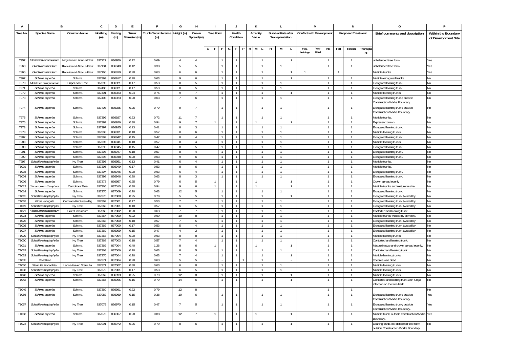| A              |                                          | B                        | C                | D                | E            |                     | G              | H                |           |                                  |   | $\mathbf{J}$   | К       |                     | L              |    |                                  | М    |                   |      | N                         |          | 0                                                                        |                     |
|----------------|------------------------------------------|--------------------------|------------------|------------------|--------------|---------------------|----------------|------------------|-----------|----------------------------------|---|----------------|---------|---------------------|----------------|----|----------------------------------|------|-------------------|------|---------------------------|----------|--------------------------------------------------------------------------|---------------------|
| Tree No.       | <b>Species Name</b>                      | <b>Common Name</b>       | Northing         | Easting          | Trunk        | Trunk Circumference | Height (m)     | Crown            | Tree Form |                                  |   | Health         | Amenity | Survival Rate after |                |    | <b>Conflict with Development</b> |      |                   |      | <b>Proposed Treatment</b> |          | Brief comments and description                                           | Within the Boundary |
|                |                                          |                          | (m)              | (m)              | Diameter (m) | (m)                 |                | Spread (m)       |           |                                  |   | Condition      | Value   | Transplantation     |                |    |                                  |      |                   |      |                           |          |                                                                          | of Development Site |
|                |                                          |                          |                  |                  |              |                     |                |                  |           |                                  |   |                |         |                     |                |    |                                  |      |                   |      |                           |          |                                                                          |                     |
|                |                                          |                          |                  |                  |              |                     |                |                  | GF        |                                  | G | F              | H M     | H                   | М              | L. | Yes.                             | Yes. | No                | Fell | Retain                    | Transpla |                                                                          |                     |
|                |                                          |                          |                  |                  |              |                     |                |                  |           |                                  |   |                |         |                     |                |    | <b>Buildings</b>                 | Road |                   |      |                           | nt       |                                                                          |                     |
| T957           | Glochidion lanceolariun                  | Large-leaved Abacus Plar | 837121           | 836956           | 0.22         | 0.69                | $\overline{4}$ | $\overline{A}$   |           |                                  |   |                |         |                     |                |    |                                  |      |                   |      |                           |          | unbalanced tree form.                                                    | Yes                 |
|                |                                          |                          |                  |                  |              |                     |                |                  |           |                                  |   |                |         |                     |                |    |                                  |      |                   |      |                           |          |                                                                          |                     |
| T960           | <b>Glochidion hirsutum</b>               | Thick-leaved Abacus Plar | 837134           | 836940           | 0.12         | 0.38                | - 5            | -5               |           |                                  |   | $\overline{1}$ |         |                     |                |    |                                  |      | $\mathbf{1}$      |      | $\overline{1}$            |          | unbalanced tree form.                                                    | Yes                 |
| T966           | Glochidion hirsutum                      | Thick-leaved Abacus Plar | 837165           | 836919           | 0.20         | 0.63                | 6              | -6               |           |                                  |   | $\overline{1}$ |         |                     |                |    | $\overline{1}$                   |      |                   |      |                           |          | Multiple trunks                                                          | Yes                 |
| T967           | Schima superba                           | Schima                   | 837399           | 836917           | 0.20         | 0.63                | 9              | 6                |           | $\overline{1}$                   |   | $\overline{1}$ |         |                     |                |    |                                  |      |                   |      | $\mathbf{1}$              |          | Multiple elongated trunks                                                | No                  |
| T970           | Melaleuca quinquenerv                    | Paper-bark Tree          | 837399           | 836921           | 0.17         | 0.53                | -8             | -5               |           |                                  |   |                |         |                     |                |    |                                  |      |                   |      |                           |          | Elongated leaning trunk.                                                 | No                  |
| T971           | Schima superba                           | Schima                   | 837400           | 836921           | 0.17         | 0.53                | -8             | -5               |           |                                  |   |                |         |                     |                |    |                                  |      | 1                 |      |                           |          | Elongated leaning trunk.                                                 | No                  |
| T972           | Schima superba                           | Schima                   | 83740            | 836923           | 0.24         | 0.75                | $\mathsf{Q}$   | $\overline{7}$   |           | $\overline{1}$                   |   | $\mathbf{1}$   |         |                     |                |    |                                  |      | $\overline{1}$    |      |                           |          | Multiple leaning trunks                                                  | <b>No</b>           |
| T973           | Schima superba                           | Schima                   | 837403           | 836923           | 0.20         | 0.63                |                | 6                |           |                                  |   |                |         |                     |                |    |                                  |      |                   |      | $\mathbf{1}$              |          | Elongated leaning trunk; outside                                         | No                  |
|                |                                          |                          |                  |                  |              |                     |                |                  |           |                                  |   |                |         |                     |                |    |                                  |      |                   |      |                           |          | Construction Works Boundary                                              |                     |
| T974           | Schima superba                           | Schima                   | 837403           | 836925           | 0.25         | 0.79                | $\mathsf{Q}$   |                  |           |                                  |   |                |         |                     |                |    |                                  |      |                   |      |                           |          | Elongated leaning trunk; outside                                         | No                  |
|                |                                          |                          |                  |                  |              |                     |                |                  |           |                                  |   |                |         |                     |                |    |                                  |      |                   |      |                           |          | Construction Works Boundary                                              |                     |
| T975           | Schima superba                           | Schima                   | 837399           | 836927           | 0.23         | 0.72                | 11             |                  |           |                                  |   |                |         |                     |                |    |                                  |      | $\mathbf{1}$      |      |                           |          | Multiple trunks                                                          | <b>No</b>           |
| T976           | Schima superba                           | Schima                   | 837397           | 836926           | 0.30         | 0.94                | q              |                  |           |                                  |   |                |         |                     |                |    |                                  |      | 1                 |      |                           |          | Expressed crown                                                          | No                  |
| T978           | Schima superba                           | Schima                   | 837397           | 836925           | 0.13         | 0.41                | 8              | 3                |           |                                  |   | $\mathbf{1}$   |         |                     |                |    |                                  |      | $\mathbf{1}$      |      | $\mathbf{1}$              |          | Elongated leaning trunk.                                                 | No                  |
| T979           | Schima superba                           | Schima                   | 837398           | 836931           | 0.18         | 0.57                | -8             | 6                |           |                                  |   |                |         |                     |                |    |                                  |      |                   |      |                           |          | Multiple leaning trunks                                                  | No                  |
| T987           | Schima superba                           | Schima                   | 83739            | 836942           | 0.15         | 0.47                | 8              | $\overline{a}$   |           |                                  |   |                |         |                     | $\mathbf{1}$   |    |                                  |      | $\mathbf{1}$      |      |                           |          | Elongated leaning trunk.                                                 | No                  |
| T988           | Schima superba                           | Schima                   | 837396           | 836941           | 0.18         | 0.57                | -8             | $\overline{4}$   |           | $\overline{1}$                   |   | $\mathbf{1}$   |         |                     | $\overline{1}$ |    |                                  |      | $\overline{1}$    |      | $\overline{1}$            |          | Multiple leaning trunks.                                                 | No                  |
| T989           | Schima superba                           | Schima                   | 837395           | 836945           | 0.15         | 0.47                | -8             | $5\overline{2}$  |           | $\overline{1}$                   |   | $\overline{1}$ |         |                     | $\mathbf{1}$   |    |                                  |      | $\mathbf{1}$      |      | $\overline{1}$            |          | Elongated leaning trunk.                                                 | No                  |
| T991           | Schima superba                           | Schima                   | 837393           | 836947           | 0.18         | 0.57                | 8              | $\overline{4}$   |           |                                  |   |                |         |                     | $\mathbf{1}$   |    |                                  |      | $\mathbf{1}$      |      | $\mathbf{1}$              |          | Elongated leaning trunk.                                                 | No                  |
| T992           | Schima superba                           | Schima                   | 837393           | 836948           | 0.20         | 0.63                | $\mathbf{q}$   | 6                |           |                                  |   |                |         |                     | $\mathbf{1}$   |    |                                  |      |                   |      |                           |          | Elongated leaning trunk.                                                 | <b>No</b>           |
| T997           | Schefflera heptaphylla                   | lvy Tree                 | 837393           | 836951           | 0.13         | 0.41                | 6              | $\overline{a}$   |           |                                  |   |                |         |                     |                |    |                                  |      | $\mathbf{1}$      |      |                           |          | Multiple trunks                                                          | No                  |
| T1001          | Schima superba                           | Schima                   | 837395           | 836949           | 0.17         | 0.53                | -8             | -6               |           | $\overline{1}$<br>$\overline{1}$ |   | $\overline{1}$ |         |                     | $\overline{1}$ |    |                                  |      | $\overline{1}$    |      | $\overline{1}$            |          | Multiple trunks                                                          | No                  |
| T1003          | Schima superba                           | Schima                   | 83739            | 836946           | 0.20         | 0.63                | 6              | $\overline{a}$   |           |                                  |   |                |         |                     | $\mathbf{1}$   |    |                                  |      | 1                 |      |                           |          | Iongated leaning trunk.                                                  | No                  |
| T1004          | Schima superba                           | Schima                   | 837398           | 836946           | 0.20         | 0.63                | 8<br>6         | 3                |           |                                  |   |                |         |                     |                |    |                                  |      | 1<br>$\mathbf{1}$ |      |                           |          | Elongated leaning trunk.                                                 | No                  |
| T1006          | Schima superba                           | Schima                   | 83737            | 836957           | 0.25         | 0.79                |                | 5                |           |                                  |   |                |         |                     |                |    |                                  |      |                   |      |                           |          | Crown spread evenly                                                      | N <sub>o</sub>      |
| T1012          | Cinnamomum Camphora                      | Camphora Tree            | 837365           | 837010           | 0.30         | 0.94                | $\mathsf{Q}$   | -6               |           |                                  |   |                |         |                     |                |    |                                  |      | $\mathbf{1}$      |      |                           |          | Multiple trunks and mature in size.                                      | No                  |
| T1014          | Schima superba                           | Schima                   | 83737            | 837009           | 0.20         | 0.63                | 12             | -5<br>$\sqrt{2}$ |           | $\overline{1}$<br>$\overline{1}$ |   | $\mathbf{1}$   |         |                     |                |    |                                  |      | $\overline{1}$    |      | $\overline{1}$            |          | Elongated leaning trunk.                                                 | No                  |
| T1015<br>T1018 | Schefflera heptaphylla                   | <b>Ivy Tree</b>          | 837375           | 837008           | 0.25<br>0.17 | 0.79                | -5             |                  |           |                                  |   |                |         |                     |                |    |                                  |      |                   |      |                           |          | Elongated leaning trunk twisted by                                       | No                  |
| T1019          | Ficus variegata                          | Common Red-stem Fig      | 837362<br>837363 | 837001           | 0.18         | 0.53<br>0.57        | 6              | -7<br>5          |           | $\overline{1}$                   |   |                |         |                     |                |    |                                  |      | 1<br>$\mathbf{1}$ |      | -1.                       |          | Elongated leaning trunk twisted by                                       | No<br>No            |
| T1021          | Schefflera heptaphyll                    | <b>Ivy Tree</b>          | 837363           | 837001<br>837002 |              | 0.63                |                |                  |           |                                  |   |                |         |                     |                |    |                                  |      | $\mathbf{1}$      |      |                           |          | Elongated leaning trunk twisted by                                       |                     |
|                | Viburnum odoratissimur                   | Sweet Viburnum           |                  |                  | 0.20         |                     |                | 8                |           | $\overline{1}$                   |   | $\overline{1}$ |         |                     | $\overline{1}$ |    |                                  |      | $\overline{1}$    |      |                           |          | Contorted and leaning trunk                                              | No                  |
| T1024<br>T1025 | Schima superba                           | Schima<br>Schima         | 837367<br>837368 | 837000<br>837000 | 0.22<br>0.18 | 0.69<br>0.57        | 10             | -5               |           | $\overline{1}$                   |   | $\overline{1}$ |         |                     | $\mathbf{1}$   |    |                                  |      | $\overline{1}$    |      | $\mathbf{1}$              |          | Multiple trunks twisted by climbers.                                     | No                  |
| T1026          | Schima superba                           | Schima                   | 837369           | 837000           | 0.17         | 0.53                | -5             | $\mathbf{A}$     |           |                                  |   | $\mathbf{1}$   |         |                     | $\mathbf{1}$   |    |                                  |      | $\mathbf{1}$      |      | -1                        |          | Elongated leaning trunk twisted by                                       | No<br>No            |
| T1027          | Schima superba                           | Schima                   | 837369           | 836999           | 0.15         | 0.47                | $\overline{4}$ | 2                |           | $\overline{1}$                   |   | $\mathbf{1}$   |         |                     | $\mathbf{1}$   |    |                                  |      | $\overline{1}$    |      | $\mathbf{1}$              |          | Elongated leaning trunk twisted by<br>Elongated leaning trunk twisted by | <b>No</b>           |
| T1029          | Schima superba<br>Schefflera heptaphylla | lvy Tree                 | 837368           | 837004           | 0.20         | 0.63                | 8              | $\mathbf{R}$     |           |                                  |   |                |         |                     |                |    |                                  |      | $\mathbf{1}$      |      |                           |          | Multiple leaning trunks.                                                 | No                  |
| T1030          | Schefflera heptaphylla                   | lvy Tree                 | 837368           | 837003           | 0.18         | 0.57                |                | 4                |           | $\mathbf{1}$                     |   | $\mathbf{1}$   |         |                     | -1             |    |                                  |      | $\mathbf{1}$      |      | $\mathbf{1}$              |          | Contorted and leaning trunk.                                             | No                  |
| T1031          | Schima superba                           | Schima                   | 837369           | 837004           | 0.40         | 1.26                | 8              | 6                |           |                                  |   | $\mathbf{1}$   |         |                     |                |    |                                  |      | $\overline{1}$    |      | $\overline{1}$            |          | Mature in size and crown spread evenly.                                  | No                  |
| T1032          | Schefflera heptaphylla                   |                          | 837368           | 837006           | 0.20         | 0.63                | 8              | 5.               |           |                                  |   |                |         |                     |                |    |                                  |      |                   |      |                           |          |                                                                          | No                  |
| T1033          | Schefflera heptaphylla                   | lvy Tree<br>lvy Tree     | 83737            | 837004           | 0.20         | 0.63                |                | $\overline{a}$   |           | $\overline{1}$                   |   |                |         |                     |                |    |                                  |      | $\overline{1}$    |      | $\overline{1}$            |          | Contorted and leaning trunk<br>Multiple leaning trunks                   | <b>No</b>           |
| T1035          | Dead tree                                |                          | 837371           | 837004           | 0.20         | 0.63                | 5              |                  |           |                                  |   |                |         |                     |                |    |                                  |      | $\mathbf{1}$      |      |                           |          | The tree was dead.                                                       | No                  |
| T1036          | Sterculia lanceolata                     | Lance-leaved Sterculia   | 837371           | 837002           | 0.30         | 0.63                | 6              | -8               |           | $\overline{1}$                   |   |                |         |                     |                |    |                                  |      | $\overline{1}$    |      | $\mathbf{1}$              |          | Multiple leaning trunks                                                  | No                  |
| T1038          | Schefflera heptaphylla                   | lvy Tree                 | 83737            | 837001           | 0.17         | 0.53                | 6              | -5               |           |                                  |   |                |         |                     |                |    |                                  |      | $\overline{1}$    |      | $\mathbf{1}$              |          | Multiple leaning trunks                                                  | No                  |
| T1040          | Schima superba                           | Schima                   | 837367           | 836993           | 0.25         | 0.79                | 12             |                  |           |                                  |   |                |         |                     |                |    |                                  |      |                   |      |                           |          | Multiple leaning trunks.                                                 | No                  |
| T1042          | Schima superba                           | Schima                   | 837365           | 836995           | 0.15         | 0.79                | 14             | 6                |           |                                  |   | $\mathbf{1}$   |         |                     |                |    |                                  |      |                   |      | $\mathbf{1}$              |          | Contorted and leaning trunk with fungal                                  | No                  |
|                |                                          |                          |                  |                  |              |                     |                |                  |           |                                  |   |                |         |                     |                |    |                                  |      |                   |      |                           |          | infection on the tree bark.                                              |                     |
| T1049          | Schima superba                           | Schima                   | 837360           | 836991           | 0.22         | 0.79                | 12             | 8                |           |                                  |   |                |         |                     |                |    |                                  |      | $\mathbf{1}$      |      | $\overline{1}$            |          |                                                                          | No                  |
| T1066          | Schima superba                           | Schima                   | 837082           | 836969           | 0.15         | 0.38                | 10             | 6                |           |                                  |   |                |         |                     |                |    |                                  |      |                   |      | $\mathbf{1}$              |          | Elongated leaning trunk; outside                                         | Yes                 |
|                |                                          |                          |                  |                  |              |                     |                |                  |           |                                  |   |                |         |                     |                |    |                                  |      |                   |      |                           |          | Construction Works Boundary                                              |                     |
| T1067          | Schefflera heptaphylla                   | lvy Tree                 | 837079           | 836970           | 0.15         | 0.47                |                | 5                |           |                                  |   |                |         |                     |                |    |                                  |      |                   |      | $\overline{1}$            |          | Elongated leaning trunk; outside                                         | Yes                 |
|                |                                          |                          |                  |                  |              |                     |                |                  |           |                                  |   |                |         |                     |                |    |                                  |      |                   |      |                           |          | Construction Works Boundary                                              |                     |
| T1068          | Schima superba                           | Schima                   | 837075           | 836967           | 0.28         | 0.88                | 12             | -7               |           |                                  |   | -1             |         |                     |                |    |                                  |      |                   |      | $\mathbf{1}$              |          | Multiple trunk; outside Construction Works Yes                           |                     |
|                |                                          |                          |                  |                  |              |                     |                |                  |           |                                  |   |                |         |                     |                |    |                                  |      |                   |      |                           |          | Boundary                                                                 |                     |
| T1073          | Schefflera heptaphylla                   | lvy Tree                 | 837091           | 836972           | 0.25         | 0.79                | -8             | 6                |           |                                  |   |                |         |                     |                |    |                                  |      |                   |      |                           |          | Leaning trunk and deformed tree form;                                    | No                  |
|                |                                          |                          |                  |                  |              |                     |                |                  |           |                                  |   |                |         |                     |                |    |                                  |      |                   |      |                           |          | outside Construction Works Boundary.                                     |                     |